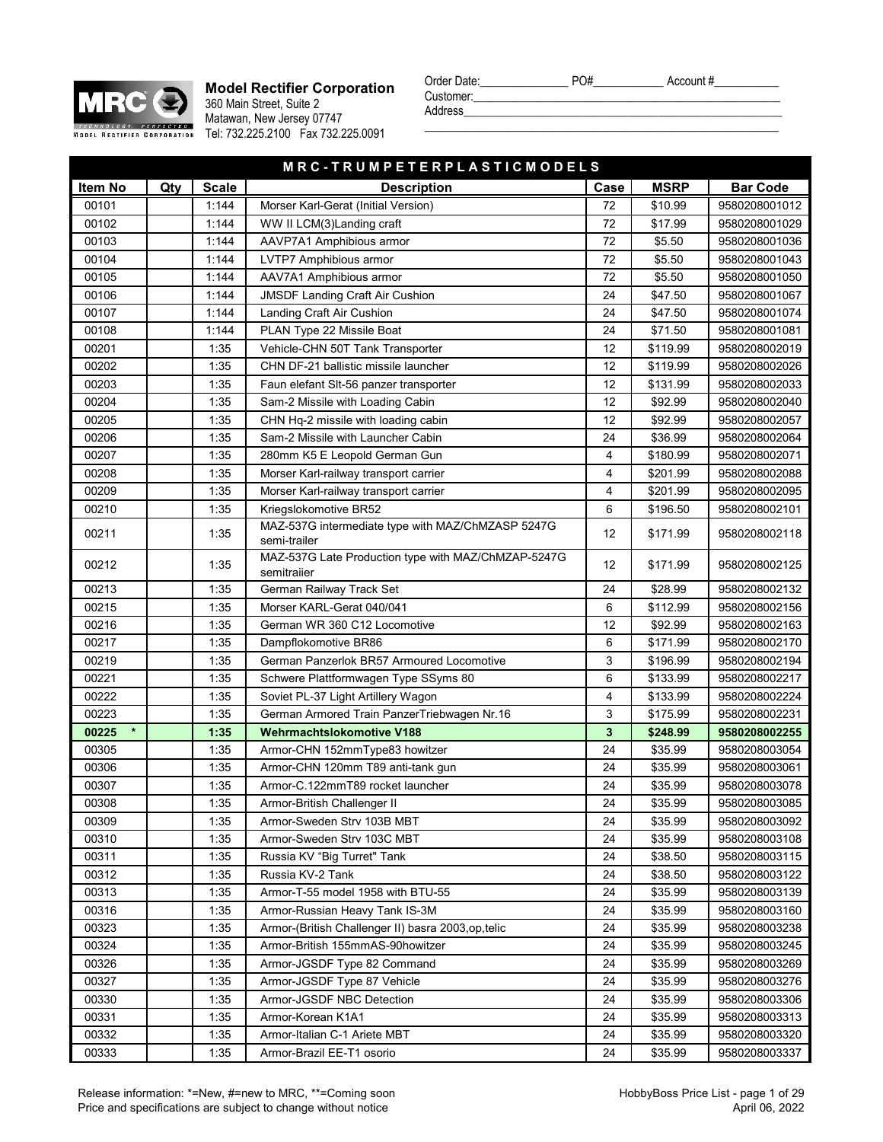

**Model Rectifier Corporation** 360 Main Street, Suite 2 Matawan, New Jersey 07747 Tel: 732.225.2100 Fax 732.225.0091

**M R C - T R U M P I** 

| Order Date: | PO# | Account# |
|-------------|-----|----------|
| Customer:   |     |          |

| Customer:<br>Address |      |             |                 |
|----------------------|------|-------------|-----------------|
|                      |      |             |                 |
|                      |      |             |                 |
| ETERPLASTICMODELS    |      |             |                 |
| scription            | Case | <b>MSRP</b> | <b>Bar Code</b> |

| Item No          | Qty | <b>Scale</b> | <b>Description</b>                                                 | Case | <b>MSRP</b> | <b>Bar Code</b> |
|------------------|-----|--------------|--------------------------------------------------------------------|------|-------------|-----------------|
| 00101            |     | 1:144        | Morser Karl-Gerat (Initial Version)                                | 72   | \$10.99     | 9580208001012   |
| 00102            |     | 1:144        | WW II LCM(3) Landing craft                                         | 72   | \$17.99     | 9580208001029   |
| 00103            |     | 1:144        | AAVP7A1 Amphibious armor                                           | 72   | \$5.50      | 9580208001036   |
| 00104            |     | 1:144        | <b>LVTP7 Amphibious armor</b>                                      | 72   | \$5.50      | 9580208001043   |
| 00105            |     | 1:144        | AAV7A1 Amphibious armor                                            | 72   | \$5.50      | 9580208001050   |
| 00106            |     | 1:144        | <b>JMSDF Landing Craft Air Cushion</b>                             | 24   | \$47.50     | 9580208001067   |
| 00107            |     | 1:144        | Landing Craft Air Cushion                                          | 24   | \$47.50     | 9580208001074   |
| 00108            |     | 1:144        | PLAN Type 22 Missile Boat                                          | 24   | \$71.50     | 9580208001081   |
| 00201            |     | 1:35         | Vehicle-CHN 50T Tank Transporter                                   | 12   | \$119.99    | 9580208002019   |
| 00202            |     | 1:35         | CHN DF-21 ballistic missile launcher                               | 12   | \$119.99    | 9580208002026   |
| 00203            |     | 1:35         | Faun elefant SIt-56 panzer transporter                             | 12   | \$131.99    | 9580208002033   |
| 00204            |     | 1:35         | Sam-2 Missile with Loading Cabin                                   | 12   | \$92.99     | 9580208002040   |
| 00205            |     | 1:35         | CHN Hq-2 missile with loading cabin                                | 12   | \$92.99     | 9580208002057   |
| 00206            |     | 1:35         | Sam-2 Missile with Launcher Cabin                                  | 24   | \$36.99     | 9580208002064   |
| 00207            |     | 1:35         | 280mm K5 E Leopold German Gun                                      | 4    | \$180.99    | 9580208002071   |
| 00208            |     | 1:35         | Morser Karl-railway transport carrier                              | 4    | \$201.99    | 9580208002088   |
| 00209            |     | 1:35         | Morser Karl-railway transport carrier                              | 4    | \$201.99    | 9580208002095   |
| 00210            |     | 1:35         | Kriegslokomotive BR52                                              | 6    | \$196.50    | 9580208002101   |
| 00211            |     | 1:35         | MAZ-537G intermediate type with MAZ/ChMZASP 5247G<br>semi-trailer  | 12   | \$171.99    | 9580208002118   |
| 00212            |     | 1:35         | MAZ-537G Late Production type with MAZ/ChMZAP-5247G<br>semitraiier | 12   | \$171.99    | 9580208002125   |
| 00213            |     | 1:35         | German Railway Track Set                                           | 24   | \$28.99     | 9580208002132   |
| 00215            |     | 1:35         | Morser KARL-Gerat 040/041                                          | 6    | \$112.99    | 9580208002156   |
| 00216            |     | 1:35         | German WR 360 C12 Locomotive                                       | 12   | \$92.99     | 9580208002163   |
| 00217            |     | 1:35         | Dampflokomotive BR86                                               | 6    | \$171.99    | 9580208002170   |
| 00219            |     | 1:35         | German Panzerlok BR57 Armoured Locomotive                          | 3    | \$196.99    | 9580208002194   |
| 00221            |     | 1:35         | Schwere Plattformwagen Type SSyms 80                               | 6    | \$133.99    | 9580208002217   |
| 00222            |     | 1:35         | Soviet PL-37 Light Artillery Wagon                                 | 4    | \$133.99    | 9580208002224   |
| 00223            |     | 1:35         | German Armored Train PanzerTriebwagen Nr.16                        | 3    | \$175.99    | 9580208002231   |
| 00225<br>$\star$ |     | 1:35         | <b>Wehrmachtslokomotive V188</b>                                   | 3    | \$248.99    | 9580208002255   |
| 00305            |     | 1:35         | Armor-CHN 152mmType83 howitzer                                     | 24   | \$35.99     | 9580208003054   |
| 00306            |     | 1:35         | Armor-CHN 120mm T89 anti-tank gun                                  | 24   | \$35.99     | 9580208003061   |
| 00307            |     | 1:35         | Armor-C.122mmT89 rocket launcher                                   | 24   | \$35.99     | 9580208003078   |
| 00308            |     | 1:35         | Armor-British Challenger II                                        | 24   | \$35.99     | 9580208003085   |
| 00309            |     | 1:35         | Armor-Sweden Strv 103B MBT                                         | 24   | \$35.99     | 9580208003092   |
| 00310            |     | 1:35         | Armor-Sweden Strv 103C MBT                                         | 24   | \$35.99     | 9580208003108   |
| 00311            |     | 1:35         | Russia KV "Big Turret" Tank                                        | 24   | \$38.50     | 9580208003115   |
| 00312            |     | 1:35         | Russia KV-2 Tank                                                   | 24   | \$38.50     | 9580208003122   |
| 00313            |     | 1:35         | Armor-T-55 model 1958 with BTU-55                                  | 24   | \$35.99     | 9580208003139   |
| 00316            |     | 1:35         | Armor-Russian Heavy Tank IS-3M                                     | 24   | \$35.99     | 9580208003160   |
| 00323            |     | 1:35         | Armor-(British Challenger II) basra 2003,op,telic                  | 24   | \$35.99     | 9580208003238   |
| 00324            |     | 1:35         | Armor-British 155mmAS-90howitzer                                   | 24   | \$35.99     | 9580208003245   |
| 00326            |     | 1:35         | Armor-JGSDF Type 82 Command                                        | 24   | \$35.99     | 9580208003269   |
| 00327            |     | 1:35         | Armor-JGSDF Type 87 Vehicle                                        | 24   | \$35.99     | 9580208003276   |
| 00330            |     | 1:35         | Armor-JGSDF NBC Detection                                          | 24   | \$35.99     | 9580208003306   |
| 00331            |     | 1:35         | Armor-Korean K1A1                                                  | 24   | \$35.99     | 9580208003313   |
| 00332            |     | 1:35         | Armor-Italian C-1 Ariete MBT                                       | 24   | \$35.99     | 9580208003320   |
| 00333            |     | 1:35         | Armor-Brazil EE-T1 osorio                                          | 24   | \$35.99     | 9580208003337   |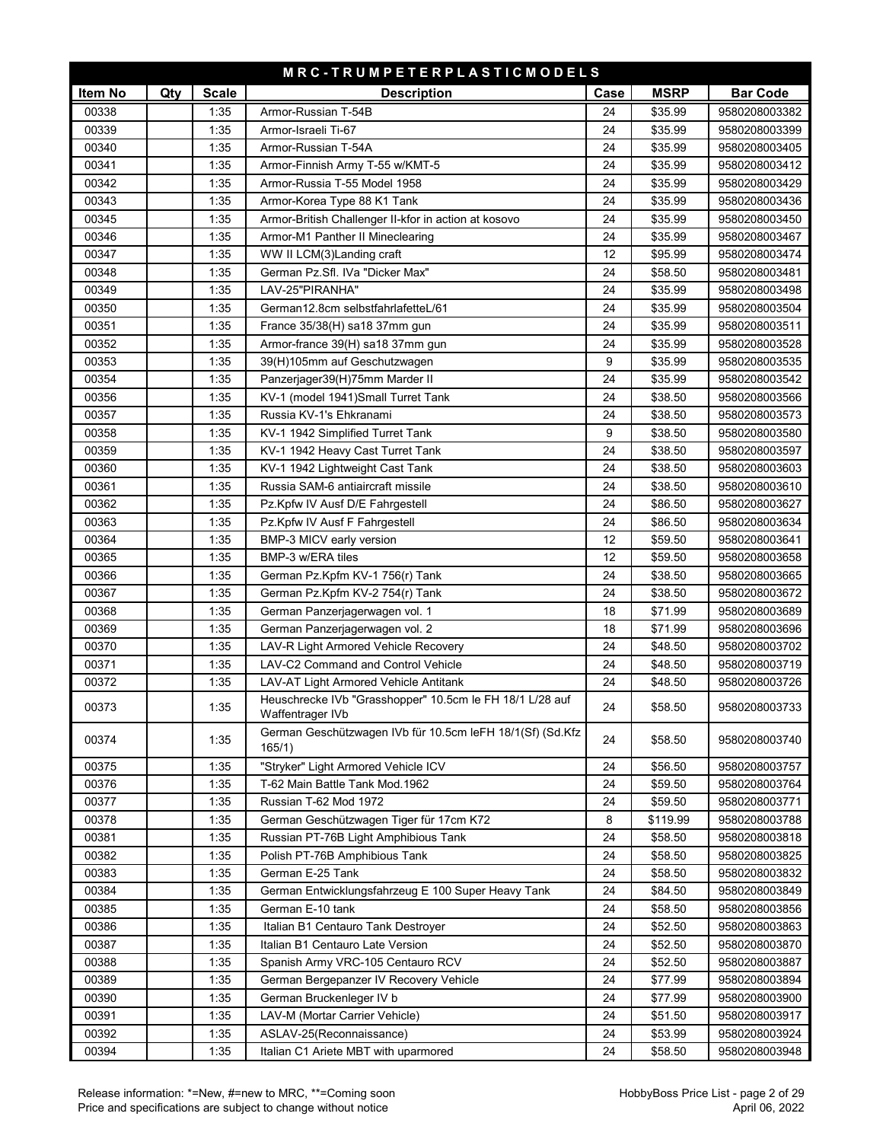| MRC-TRUMPETERPLASTICMODELS |     |              |                                                           |      |             |                 |
|----------------------------|-----|--------------|-----------------------------------------------------------|------|-------------|-----------------|
| Item No                    | Qty | <b>Scale</b> | <b>Description</b>                                        | Case | <b>MSRP</b> | <b>Bar Code</b> |
| 00338                      |     | 1:35         | Armor-Russian T-54B                                       | 24   | \$35.99     | 9580208003382   |
| 00339                      |     | 1:35         | Armor-Israeli Ti-67                                       | 24   | \$35.99     | 9580208003399   |
| 00340                      |     | 1:35         | Armor-Russian T-54A                                       | 24   | \$35.99     | 9580208003405   |
| 00341                      |     | 1:35         | Armor-Finnish Army T-55 w/KMT-5                           | 24   | \$35.99     | 9580208003412   |
| 00342                      |     | 1:35         | Armor-Russia T-55 Model 1958                              | 24   | \$35.99     | 9580208003429   |
| 00343                      |     | 1:35         | Armor-Korea Type 88 K1 Tank                               | 24   | \$35.99     | 9580208003436   |
| 00345                      |     | 1:35         | Armor-British Challenger II-kfor in action at kosovo      | 24   | \$35.99     | 9580208003450   |
| 00346                      |     | 1:35         | Armor-M1 Panther II Mineclearing                          | 24   | \$35.99     | 9580208003467   |
| 00347                      |     | 1:35         | WW II LCM(3)Landing craft                                 | 12   | \$95.99     | 9580208003474   |
| 00348                      |     | 1:35         | German Pz.Sfl. IVa "Dicker Max"                           | 24   | \$58.50     | 9580208003481   |
| 00349                      |     | 1:35         | LAV-25"PIRANHA"                                           | 24   | \$35.99     | 9580208003498   |
| 00350                      |     | 1:35         | German12.8cm selbstfahrlafetteL/61                        | 24   | \$35.99     | 9580208003504   |
| 00351                      |     | 1:35         | France 35/38(H) sa18 37mm gun                             | 24   | \$35.99     | 9580208003511   |
| 00352                      |     | 1:35         | Armor-france 39(H) sa18 37mm gun                          | 24   | \$35.99     | 9580208003528   |
| 00353                      |     | 1:35         | 39(H)105mm auf Geschutzwagen                              | 9    | \$35.99     | 9580208003535   |
| 00354                      |     | 1:35         | Panzerjager39(H)75mm Marder II                            | 24   | \$35.99     | 9580208003542   |
| 00356                      |     | 1:35         | KV-1 (model 1941) Small Turret Tank                       | 24   | \$38.50     | 9580208003566   |
| 00357                      |     | 1:35         | Russia KV-1's Ehkranami                                   | 24   | \$38.50     | 9580208003573   |
| 00358                      |     | 1:35         | KV-1 1942 Simplified Turret Tank                          | 9    | \$38.50     | 9580208003580   |
| 00359                      |     | 1:35         | KV-1 1942 Heavy Cast Turret Tank                          | 24   | \$38.50     | 9580208003597   |
| 00360                      |     | 1:35         | KV-1 1942 Lightweight Cast Tank                           | 24   | \$38.50     | 9580208003603   |
| 00361                      |     | 1:35         | Russia SAM-6 antiaircraft missile                         | 24   | \$38.50     | 9580208003610   |
| 00362                      |     | 1:35         | Pz.Kpfw IV Ausf D/E Fahrgestell                           | 24   | \$86.50     | 9580208003627   |
| 00363                      |     | 1:35         | Pz.Kpfw IV Ausf F Fahrgestell                             | 24   | \$86.50     | 9580208003634   |
| 00364                      |     | 1:35         | BMP-3 MICV early version                                  | 12   | \$59.50     | 9580208003641   |
| 00365                      |     | 1:35         | BMP-3 w/ERA tiles                                         | 12   | \$59.50     | 9580208003658   |
| 00366                      |     | 1:35         | German Pz.Kpfm KV-1 756(r) Tank                           | 24   | \$38.50     | 9580208003665   |
| 00367                      |     | 1:35         | German Pz.Kpfm KV-2 754(r) Tank                           | 24   | \$38.50     | 9580208003672   |
| 00368                      |     | 1:35         | German Panzerjagerwagen vol. 1                            | 18   | \$71.99     | 9580208003689   |
| 00369                      |     | 1:35         | German Panzerjagerwagen vol. 2                            | 18   | \$71.99     | 9580208003696   |
| 00370                      |     | 1:35         | LAV-R Light Armored Vehicle Recovery                      | 24   | \$48.50     | 9580208003702   |
| 00371                      |     | 1:35         | LAV-C2 Command and Control Vehicle                        | 24   | \$48.50     | 9580208003719   |
| 00372                      |     | 1:35         | <b>LAV-AT Light Armored Vehicle Antitank</b>              | 24   | \$48.50     | 9580208003726   |
| 00373                      |     | 1:35         | Heuschrecke IVb "Grasshopper" 10.5cm le FH 18/1 L/28 auf  | 24   | \$58.50     | 9580208003733   |
|                            |     |              | Waffentrager IVb                                          |      |             |                 |
| 00374                      |     | 1:35         | German Geschützwagen IVb für 10.5cm leFH 18/1(Sf) (Sd.Kfz | 24   | \$58.50     | 9580208003740   |
|                            |     |              | 165/1)                                                    |      |             |                 |
| 00375                      |     | 1:35         | "Stryker" Light Armored Vehicle ICV                       | 24   | \$56.50     | 9580208003757   |
| 00376                      |     | 1:35         | T-62 Main Battle Tank Mod.1962                            | 24   | \$59.50     | 9580208003764   |
| 00377                      |     | 1:35         | Russian T-62 Mod 1972                                     | 24   | \$59.50     | 9580208003771   |
| 00378                      |     | 1:35         | German Geschützwagen Tiger für 17cm K72                   | 8    | \$119.99    | 9580208003788   |
| 00381                      |     | 1:35         | Russian PT-76B Light Amphibious Tank                      | 24   | \$58.50     | 9580208003818   |
| 00382                      |     | 1:35         | Polish PT-76B Amphibious Tank                             | 24   | \$58.50     | 9580208003825   |
| 00383                      |     | 1:35         | German E-25 Tank                                          | 24   | \$58.50     | 9580208003832   |
| 00384                      |     | 1:35         | German Entwicklungsfahrzeug E 100 Super Heavy Tank        | 24   | \$84.50     | 9580208003849   |
| 00385                      |     | 1:35         | German E-10 tank                                          | 24   | \$58.50     | 9580208003856   |
| 00386                      |     | 1:35         | Italian B1 Centauro Tank Destroyer                        | 24   | \$52.50     | 9580208003863   |
| 00387                      |     | 1:35         | Italian B1 Centauro Late Version                          | 24   | \$52.50     | 9580208003870   |
| 00388                      |     | 1:35         | Spanish Army VRC-105 Centauro RCV                         | 24   | \$52.50     | 9580208003887   |
| 00389                      |     | 1:35         | German Bergepanzer IV Recovery Vehicle                    | 24   | \$77.99     | 9580208003894   |
| 00390                      |     | 1:35         | German Bruckenleger IV b                                  | 24   | \$77.99     | 9580208003900   |
| 00391                      |     | 1:35         | LAV-M (Mortar Carrier Vehicle)                            | 24   | \$51.50     | 9580208003917   |
| 00392                      |     | 1:35         | ASLAV-25(Reconnaissance)                                  | 24   | \$53.99     | 9580208003924   |
| 00394                      |     | 1:35         | Italian C1 Ariete MBT with uparmored                      | 24   | \$58.50     | 9580208003948   |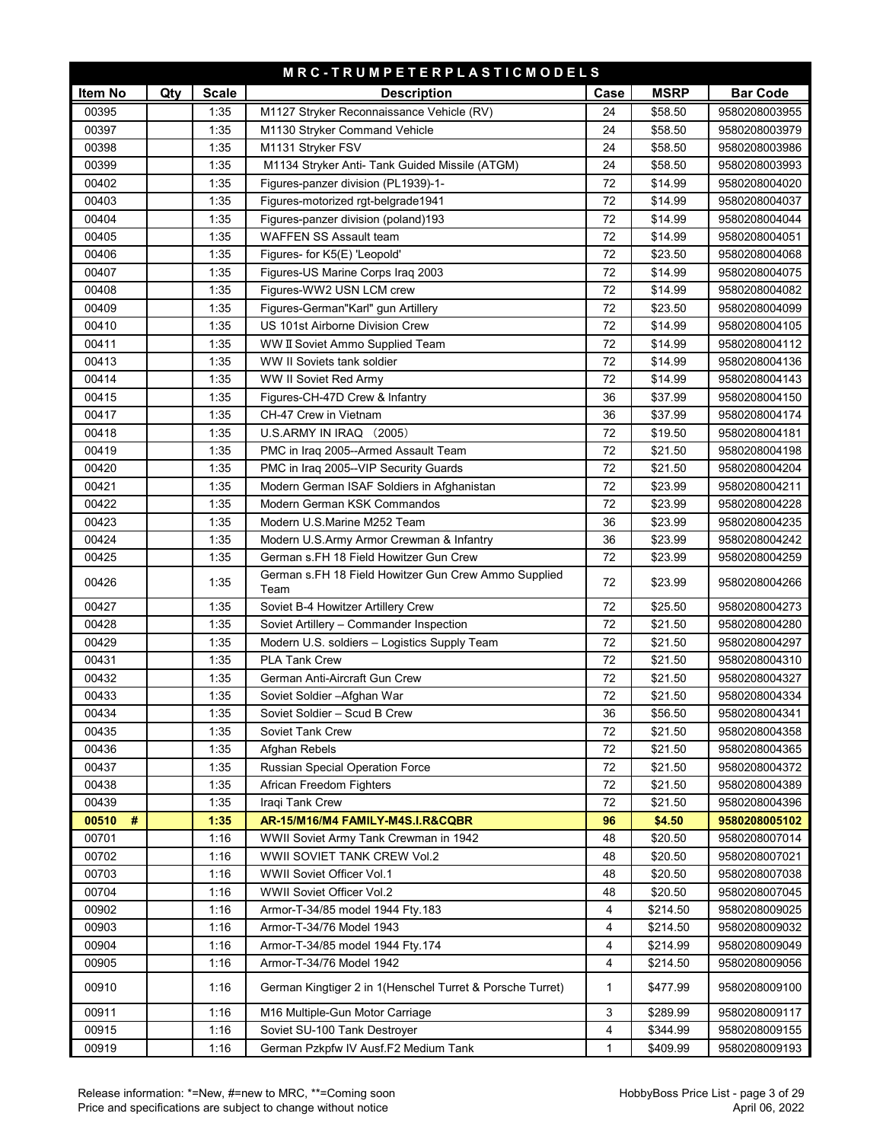| MRC-TRUMPETERPLASTICMODELS |     |              |                                                              |              |                    |                                |
|----------------------------|-----|--------------|--------------------------------------------------------------|--------------|--------------------|--------------------------------|
| Item No                    | Qty | <b>Scale</b> | <b>Description</b>                                           | Case         | <b>MSRP</b>        | <b>Bar Code</b>                |
| 00395                      |     | 1:35         | M1127 Stryker Reconnaissance Vehicle (RV)                    | 24           | \$58.50            | 9580208003955                  |
| 00397                      |     | 1:35         | M1130 Stryker Command Vehicle                                | 24           | \$58.50            | 9580208003979                  |
| 00398                      |     | 1:35         | M1131 Stryker FSV                                            | 24           | \$58.50            | 9580208003986                  |
| 00399                      |     | 1:35         | M1134 Stryker Anti- Tank Guided Missile (ATGM)               | 24           | \$58.50            | 9580208003993                  |
| 00402                      |     | 1:35         | Figures-panzer division (PL1939)-1-                          | 72           | \$14.99            | 9580208004020                  |
| 00403                      |     | 1:35         | Figures-motorized rgt-belgrade1941                           | 72           | \$14.99            | 9580208004037                  |
| 00404                      |     | 1:35         | Figures-panzer division (poland)193                          | 72           | \$14.99            | 9580208004044                  |
| 00405                      |     | 1:35         | WAFFEN SS Assault team                                       | 72           | \$14.99            | 9580208004051                  |
| 00406                      |     | 1:35         | Figures- for K5(E) 'Leopold'                                 | 72           | \$23.50            | 9580208004068                  |
| 00407                      |     | 1:35         | Figures-US Marine Corps Iraq 2003                            | 72           | \$14.99            | 9580208004075                  |
| 00408                      |     | 1:35         | Figures-WW2 USN LCM crew                                     | 72           | \$14.99            | 9580208004082                  |
| 00409                      |     | 1:35         | Figures-German"Karl" gun Artillery                           | 72           | \$23.50            | 9580208004099                  |
| 00410                      |     | 1:35         | US 101st Airborne Division Crew                              | 72           | \$14.99            | 9580208004105                  |
| 00411                      |     | 1:35         | WW II Soviet Ammo Supplied Team                              | 72           | \$14.99            | 9580208004112                  |
| 00413                      |     | 1:35         | WW II Soviets tank soldier                                   | 72           | \$14.99            | 9580208004136                  |
| 00414                      |     | 1:35         | <b>WW II Soviet Red Army</b>                                 | 72           | \$14.99            | 9580208004143                  |
| 00415                      |     | 1:35         | Figures-CH-47D Crew & Infantry                               | 36           | \$37.99            | 9580208004150                  |
| 00417                      |     | 1:35         | CH-47 Crew in Vietnam                                        | 36           | \$37.99            | 9580208004174                  |
| 00418                      |     | 1:35         | U.S.ARMY IN IRAQ (2005)                                      | 72           | \$19.50            | 9580208004181                  |
| 00419                      |     | 1:35         | PMC in Iraq 2005--Armed Assault Team                         | 72           | \$21.50            | 9580208004198                  |
| 00420                      |     | 1:35         | PMC in Iraq 2005--VIP Security Guards                        | 72           | \$21.50            | 9580208004204                  |
| 00421                      |     | 1:35         | Modern German ISAF Soldiers in Afghanistan                   | 72           | \$23.99            | 9580208004211                  |
| 00422                      |     | 1:35         | Modern German KSK Commandos                                  | 72           | \$23.99            | 9580208004228                  |
| 00423                      |     | 1:35         | Modern U.S.Marine M252 Team                                  | 36           | \$23.99            | 9580208004235                  |
| 00424                      |     | 1:35         | Modern U.S.Army Armor Crewman & Infantry                     | 36           | \$23.99            | 9580208004242                  |
| 00425                      |     | 1:35         | German s.FH 18 Field Howitzer Gun Crew                       | 72           | \$23.99            | 9580208004259                  |
| 00426                      |     | 1:35         | German s.FH 18 Field Howitzer Gun Crew Ammo Supplied<br>Team | 72           | \$23.99            | 9580208004266                  |
| 00427                      |     | 1:35         | Soviet B-4 Howitzer Artillery Crew                           | 72           | \$25.50            | 9580208004273                  |
| 00428                      |     | 1:35         | Soviet Artillery - Commander Inspection                      | 72           | \$21.50            | 9580208004280                  |
| 00429                      |     | 1:35         | Modern U.S. soldiers - Logistics Supply Team                 | 72           | \$21.50            | 9580208004297                  |
| 00431                      |     | 1:35         | <b>PLA Tank Crew</b>                                         | 72           | \$21.50            | 9580208004310                  |
| 00432                      |     | 1:35         | German Anti-Aircraft Gun Crew                                | 72           | \$21.50            | 9580208004327                  |
| 00433                      |     | 1:35         | Soviet Soldier - Afghan War                                  | 72           | \$21.50            | 9580208004334                  |
| 00434                      |     | 1:35         | Soviet Soldier - Scud B Crew                                 | 36           | \$56.50            | 9580208004341                  |
| 00435                      |     | 1:35         | Soviet Tank Crew                                             | 72           | \$21.50            | 9580208004358                  |
| 00436                      |     | 1:35         | Afghan Rebels                                                | 72           | \$21.50            | 9580208004365                  |
| 00437                      |     | 1:35         | Russian Special Operation Force                              | 72<br>$72\,$ | \$21.50            | 9580208004372                  |
| 00438<br>00439             |     | 1:35<br>1:35 | African Freedom Fighters<br>Iraqi Tank Crew                  | 72           | \$21.50<br>\$21.50 | 9580208004389<br>9580208004396 |
| $\#$<br>00510              |     | 1:35         | AR-15/M16/M4 FAMILY-M4S.I.R&CQBR                             | 96           | \$4.50             | 9580208005102                  |
| 00701                      |     | 1:16         | WWII Soviet Army Tank Crewman in 1942                        | 48           | \$20.50            | 9580208007014                  |
| 00702                      |     | 1:16         | WWII SOVIET TANK CREW Vol.2                                  | 48           | \$20.50            | 9580208007021                  |
| 00703                      |     | 1:16         | WWII Soviet Officer Vol.1                                    | 48           | \$20.50            | 9580208007038                  |
| 00704                      |     | 1:16         | WWII Soviet Officer Vol.2                                    | 48           | \$20.50            | 9580208007045                  |
| 00902                      |     | 1:16         | Armor-T-34/85 model 1944 Fty.183                             | 4            | \$214.50           | 9580208009025                  |
| 00903                      |     | 1:16         | Armor-T-34/76 Model 1943                                     | 4            | \$214.50           | 9580208009032                  |
| 00904                      |     | 1:16         | Armor-T-34/85 model 1944 Fty.174                             | 4            | \$214.99           | 9580208009049                  |
| 00905                      |     | 1:16         | Armor-T-34/76 Model 1942                                     | 4            | \$214.50           | 9580208009056                  |
| 00910                      |     | 1:16         | German Kingtiger 2 in 1 (Henschel Turret & Porsche Turret)   | 1            | \$477.99           | 9580208009100                  |
| 00911                      |     | 1:16         | M16 Multiple-Gun Motor Carriage                              | 3            | \$289.99           | 9580208009117                  |
| 00915                      |     | 1:16         | Soviet SU-100 Tank Destroyer                                 | 4            | \$344.99           | 9580208009155                  |
| 00919                      |     | 1:16         | German Pzkpfw IV Ausf.F2 Medium Tank                         | 1            | \$409.99           | 9580208009193                  |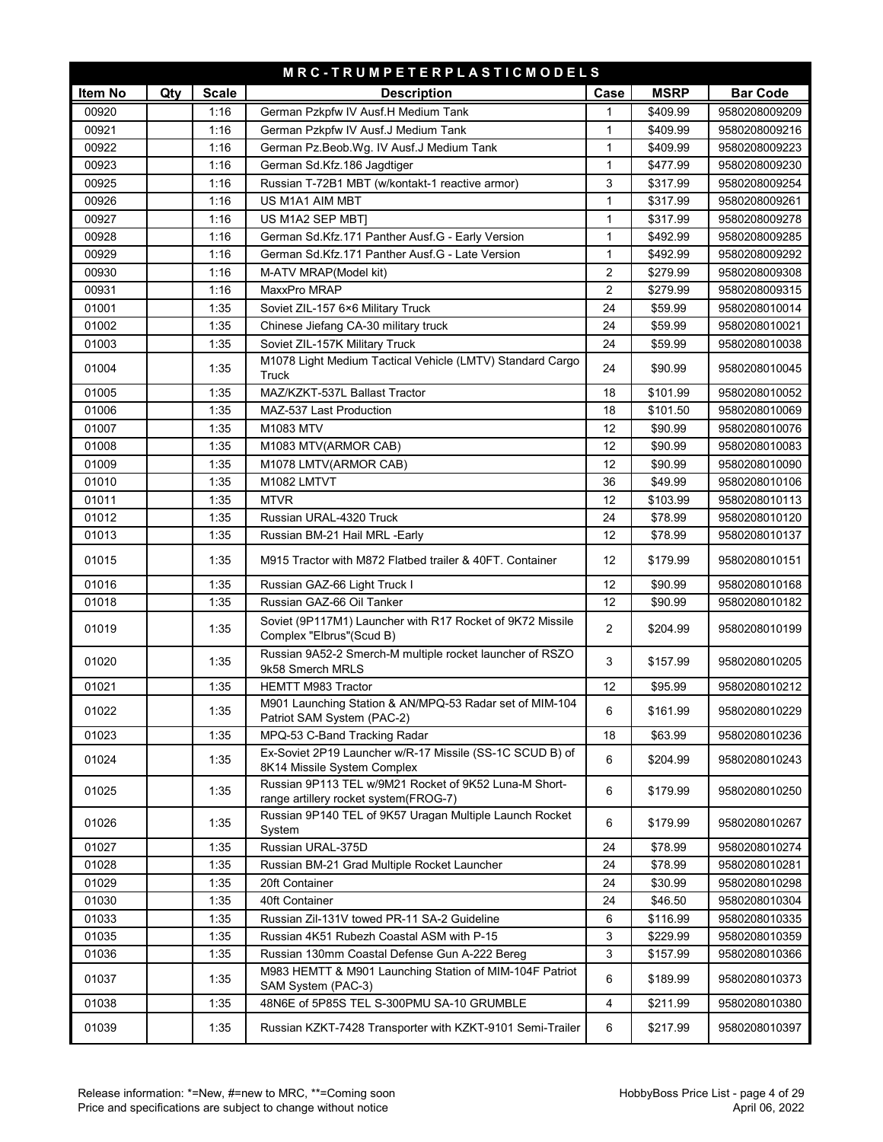|         | MRC-TRUMPETERPLASTICMODELS |              |                                                                                                |                |             |                 |  |  |
|---------|----------------------------|--------------|------------------------------------------------------------------------------------------------|----------------|-------------|-----------------|--|--|
| Item No | Qty                        | <b>Scale</b> | <b>Description</b>                                                                             | Case           | <b>MSRP</b> | <b>Bar Code</b> |  |  |
| 00920   |                            | 1:16         | German Pzkpfw IV Ausf.H Medium Tank                                                            | 1              | \$409.99    | 9580208009209   |  |  |
| 00921   |                            | 1:16         | German Pzkpfw IV Ausf.J Medium Tank                                                            | $\mathbf{1}$   | \$409.99    | 9580208009216   |  |  |
| 00922   |                            | 1:16         | German Pz.Beob.Wg. IV Ausf.J Medium Tank                                                       | $\mathbf{1}$   | \$409.99    | 9580208009223   |  |  |
| 00923   |                            | 1:16         | German Sd.Kfz.186 Jagdtiger                                                                    | $\mathbf{1}$   | \$477.99    | 9580208009230   |  |  |
| 00925   |                            | 1:16         | Russian T-72B1 MBT (w/kontakt-1 reactive armor)                                                | 3              | \$317.99    | 9580208009254   |  |  |
| 00926   |                            | 1:16         | US M1A1 AIM MBT                                                                                | $\mathbf{1}$   | \$317.99    | 9580208009261   |  |  |
| 00927   |                            | 1:16         | US M1A2 SEP MBT]                                                                               | $\mathbf{1}$   | \$317.99    | 9580208009278   |  |  |
| 00928   |                            | 1:16         | German Sd.Kfz.171 Panther Ausf.G - Early Version                                               | $\mathbf{1}$   | \$492.99    | 9580208009285   |  |  |
| 00929   |                            | 1:16         | German Sd.Kfz.171 Panther Ausf.G - Late Version                                                | $\mathbf{1}$   | \$492.99    | 9580208009292   |  |  |
| 00930   |                            | 1:16         | M-ATV MRAP(Model kit)                                                                          | $\overline{2}$ | \$279.99    | 9580208009308   |  |  |
| 00931   |                            | 1:16         | MaxxPro MRAP                                                                                   | $\overline{2}$ | \$279.99    | 9580208009315   |  |  |
| 01001   |                            | 1:35         | Soviet ZIL-157 6×6 Military Truck                                                              | 24             | \$59.99     | 9580208010014   |  |  |
| 01002   |                            | 1:35         | Chinese Jiefang CA-30 military truck                                                           | 24             | \$59.99     | 9580208010021   |  |  |
| 01003   |                            | 1:35         | Soviet ZIL-157K Military Truck                                                                 | 24             | \$59.99     | 9580208010038   |  |  |
| 01004   |                            | 1:35         | M1078 Light Medium Tactical Vehicle (LMTV) Standard Cargo<br>Truck                             | 24             | \$90.99     | 9580208010045   |  |  |
| 01005   |                            | 1:35         | MAZ/KZKT-537L Ballast Tractor                                                                  | 18             | \$101.99    | 9580208010052   |  |  |
| 01006   |                            | 1:35         | MAZ-537 Last Production                                                                        | 18             | \$101.50    | 9580208010069   |  |  |
| 01007   |                            | 1:35         | M1083 MTV                                                                                      | 12             | \$90.99     | 9580208010076   |  |  |
| 01008   |                            | 1:35         | M1083 MTV(ARMOR CAB)                                                                           | 12             | \$90.99     | 9580208010083   |  |  |
| 01009   |                            | 1:35         | M1078 LMTV(ARMOR CAB)                                                                          | 12             | \$90.99     | 9580208010090   |  |  |
| 01010   |                            | 1:35         | M1082 LMTVT                                                                                    | 36             | \$49.99     | 9580208010106   |  |  |
| 01011   |                            | 1:35         | <b>MTVR</b>                                                                                    | 12             | \$103.99    | 9580208010113   |  |  |
| 01012   |                            | 1:35         | Russian URAL-4320 Truck                                                                        | 24             | \$78.99     | 9580208010120   |  |  |
| 01013   |                            | 1:35         | Russian BM-21 Hail MRL -Early                                                                  | 12             | \$78.99     | 9580208010137   |  |  |
| 01015   |                            | 1:35         | M915 Tractor with M872 Flatbed trailer & 40FT. Container                                       | 12             | \$179.99    | 9580208010151   |  |  |
| 01016   |                            | 1:35         | Russian GAZ-66 Light Truck I                                                                   | 12             | \$90.99     | 9580208010168   |  |  |
| 01018   |                            | 1:35         | Russian GAZ-66 Oil Tanker                                                                      | 12             | \$90.99     | 9580208010182   |  |  |
| 01019   |                            | 1:35         | Soviet (9P117M1) Launcher with R17 Rocket of 9K72 Missile<br>Complex "Elbrus"(Scud B)          | $\overline{2}$ | \$204.99    | 9580208010199   |  |  |
| 01020   |                            | 1:35         | Russian 9A52-2 Smerch-M multiple rocket launcher of RSZO<br>9k58 Smerch MRLS                   | 3              | \$157.99    | 9580208010205   |  |  |
| 01021   |                            | 1:35         | <b>HEMTT M983 Tractor</b>                                                                      | 12             | \$95.99     | 9580208010212   |  |  |
| 01022   |                            | 1:35         | M901 Launching Station & AN/MPQ-53 Radar set of MIM-104<br>Patriot SAM System (PAC-2)          | 6              | \$161.99    | 9580208010229   |  |  |
| 01023   |                            | 1:35         | MPQ-53 C-Band Tracking Radar                                                                   | 18             | \$63.99     | 9580208010236   |  |  |
| 01024   |                            | 1:35         | Ex-Soviet 2P19 Launcher w/R-17 Missile (SS-1C SCUD B) of<br>8K14 Missile System Complex        | 6              | \$204.99    | 9580208010243   |  |  |
| 01025   |                            | 1:35         | Russian 9P113 TEL w/9M21 Rocket of 9K52 Luna-M Short-<br>range artillery rocket system(FROG-7) | 6              | \$179.99    | 9580208010250   |  |  |
| 01026   |                            | 1:35         | Russian 9P140 TEL of 9K57 Uragan Multiple Launch Rocket<br>System                              | 6              | \$179.99    | 9580208010267   |  |  |
| 01027   |                            | 1:35         | Russian URAL-375D                                                                              | 24             | \$78.99     | 9580208010274   |  |  |
| 01028   |                            | 1:35         | Russian BM-21 Grad Multiple Rocket Launcher                                                    | 24             | \$78.99     | 9580208010281   |  |  |
| 01029   |                            | 1:35         | 20ft Container                                                                                 | 24             | \$30.99     | 9580208010298   |  |  |
| 01030   |                            | 1:35         | 40ft Container                                                                                 | 24             | \$46.50     | 9580208010304   |  |  |
| 01033   |                            | 1:35         | Russian Zil-131V towed PR-11 SA-2 Guideline                                                    | 6              | \$116.99    | 9580208010335   |  |  |
| 01035   |                            | 1:35         | Russian 4K51 Rubezh Coastal ASM with P-15                                                      | 3              | \$229.99    | 9580208010359   |  |  |
| 01036   |                            | 1:35         | Russian 130mm Coastal Defense Gun A-222 Bereg                                                  | 3              | \$157.99    | 9580208010366   |  |  |
| 01037   |                            | 1:35         | M983 HEMTT & M901 Launching Station of MIM-104F Patriot<br>SAM System (PAC-3)                  | 6              | \$189.99    | 9580208010373   |  |  |
| 01038   |                            | 1:35         | 48N6E of 5P85S TEL S-300PMU SA-10 GRUMBLE                                                      | 4              | \$211.99    | 9580208010380   |  |  |
| 01039   |                            | 1:35         | Russian KZKT-7428 Transporter with KZKT-9101 Semi-Trailer                                      | 6              | \$217.99    | 9580208010397   |  |  |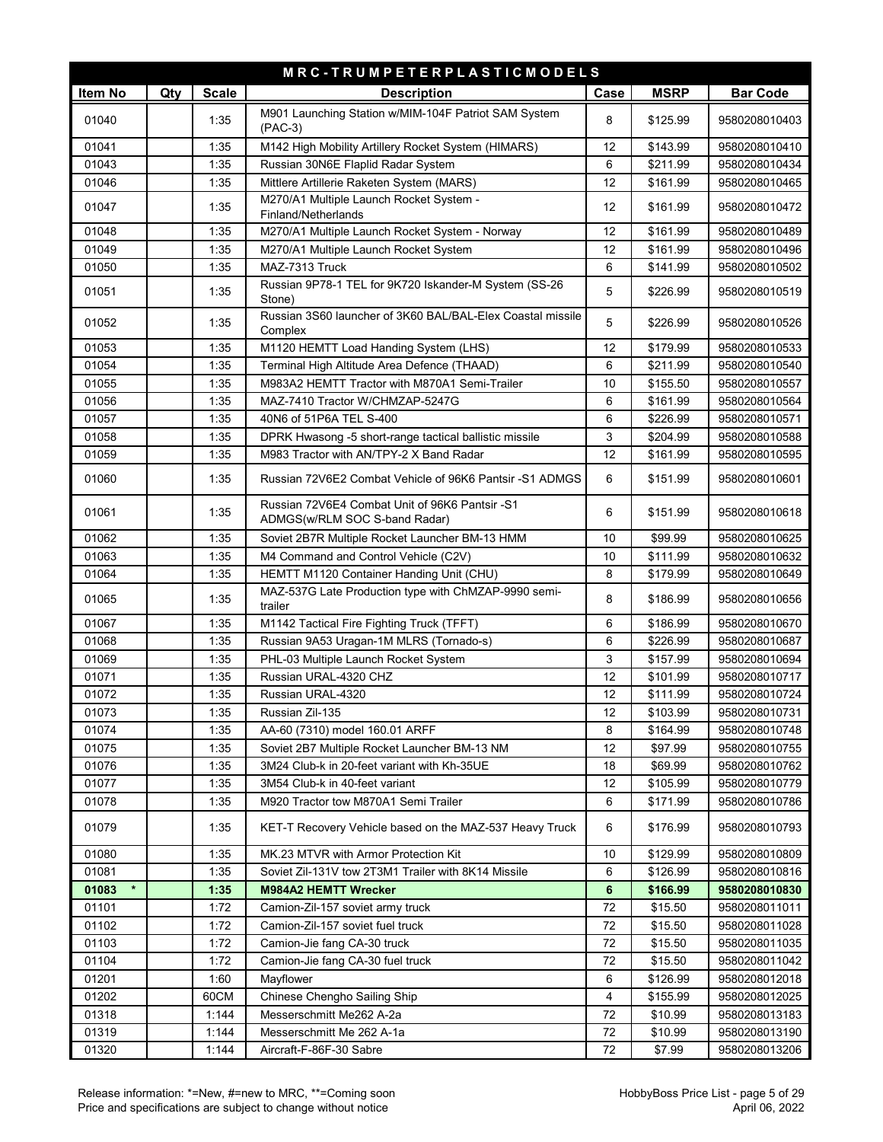| <b>Scale</b><br><b>MSRP</b><br>Item No<br>Case<br><b>Bar Code</b><br>Qty<br><b>Description</b><br>M901 Launching Station w/MIM-104F Patriot SAM System<br>8<br>01040<br>1:35<br>\$125.99<br>9580208010403<br>$(PAC-3)$<br>01041<br>M142 High Mobility Artillery Rocket System (HIMARS)<br>12<br>1:35<br>\$143.99<br>9580208010410<br>01043<br>1:35<br>Russian 30N6E Flaplid Radar System<br>6<br>\$211.99<br>9580208010434<br>12<br>01046<br>1:35<br>Mittlere Artillerie Raketen System (MARS)<br>\$161.99<br>9580208010465<br>M270/A1 Multiple Launch Rocket System -<br>01047<br>12<br>1:35<br>\$161.99<br>9580208010472<br>Finland/Netherlands<br>M270/A1 Multiple Launch Rocket System - Norway<br>01048<br>1:35<br>12<br>\$161.99<br>9580208010489<br>01049<br>1:35<br>M270/A1 Multiple Launch Rocket System<br>12<br>\$161.99<br>9580208010496<br>MAZ-7313 Truck<br>6<br>01050<br>1:35<br>\$141.99<br>9580208010502<br>Russian 9P78-1 TEL for 9K720 Iskander-M System (SS-26<br>01051<br>1:35<br>5<br>\$226.99<br>9580208010519<br>Stone)<br>Russian 3S60 launcher of 3K60 BAL/BAL-Elex Coastal missile<br>5<br>01052<br>1:35<br>\$226.99<br>9580208010526<br>Complex<br>01053<br>1:35<br>M1120 HEMTT Load Handing System (LHS)<br>12<br>\$179.99<br>9580208010533<br>01054<br>1:35<br>Terminal High Altitude Area Defence (THAAD)<br>6<br>\$211.99<br>9580208010540<br>1:35<br>01055<br>M983A2 HEMTT Tractor with M870A1 Semi-Trailer<br>10<br>\$155.50<br>9580208010557<br>01056<br>1:35<br>MAZ-7410 Tractor W/CHMZAP-5247G<br>6<br>\$161.99<br>9580208010564<br>01057<br>1:35<br>40N6 of 51P6A TEL S-400<br>6<br>\$226.99<br>9580208010571<br>3<br>01058<br>1:35<br>DPRK Hwasong -5 short-range tactical ballistic missile<br>\$204.99<br>9580208010588<br>12<br>01059<br>1:35<br>M983 Tractor with AN/TPY-2 X Band Radar<br>\$161.99<br>9580208010595<br>6<br>01060<br>1:35<br>Russian 72V6E2 Combat Vehicle of 96K6 Pantsir -S1 ADMGS<br>\$151.99<br>9580208010601<br>Russian 72V6E4 Combat Unit of 96K6 Pantsir -S1<br>01061<br>1:35<br>6<br>\$151.99<br>9580208010618<br>ADMGS(w/RLM SOC S-band Radar)<br>01062<br>1:35<br>\$99.99<br>Soviet 2B7R Multiple Rocket Launcher BM-13 HMM<br>10<br>9580208010625<br>01063<br>1:35<br>M4 Command and Control Vehicle (C2V)<br>10<br>\$111.99<br>9580208010632<br>01064<br>1:35<br>HEMTT M1120 Container Handing Unit (CHU)<br>8<br>\$179.99<br>9580208010649<br>MAZ-537G Late Production type with ChMZAP-9990 semi-<br>01065<br>1:35<br>8<br>\$186.99<br>9580208010656<br>trailer<br>01067<br>1:35<br>M1142 Tactical Fire Fighting Truck (TFFT)<br>6<br>\$186.99<br>9580208010670<br>6<br>01068<br>1:35<br>Russian 9A53 Uragan-1M MLRS (Tornado-s)<br>\$226.99<br>9580208010687<br>3<br>1:35<br>PHL-03 Multiple Launch Rocket System<br>\$157.99<br>01069<br>9580208010694<br>01071<br>1:35<br>Russian URAL-4320 CHZ<br>12<br>\$101.99<br>9580208010717<br>1:35<br>12<br>01072<br>Russian URAL-4320<br>\$111.99<br>9580208010724<br>01073<br>1:35<br>Russian Zil-135<br>\$103.99<br>9580208010731<br>12<br>01074<br>1:35<br>AA-60 (7310) model 160.01 ARFF<br>8<br>\$164.99<br>9580208010748<br>01075<br>1:35<br>Soviet 2B7 Multiple Rocket Launcher BM-13 NM<br>12<br>\$97.99<br>9580208010755<br>01076<br>1:35<br>3M24 Club-k in 20-feet variant with Kh-35UE<br>18<br>\$69.99<br>9580208010762<br>01077<br>1:35<br>12<br>\$105.99<br>9580208010779<br>3M54 Club-k in 40-feet variant<br>6<br>01078<br>1:35<br>M920 Tractor tow M870A1 Semi Trailer<br>\$171.99<br>9580208010786<br>01079<br>1:35<br>KET-T Recovery Vehicle based on the MAZ-537 Heavy Truck<br>6<br>\$176.99<br>9580208010793<br>MK.23 MTVR with Armor Protection Kit<br>01080<br>1:35<br>10<br>\$129.99<br>9580208010809<br>1:35<br>01081<br>Soviet Zil-131V tow 2T3M1 Trailer with 8K14 Missile<br>6<br>\$126.99<br>9580208010816<br>$\star$<br>$6\phantom{1}$<br>01083<br>1:35<br><b>M984A2 HEMTT Wrecker</b><br>\$166.99<br>9580208010830<br>72<br>01101<br>1:72<br>\$15.50<br>Camion-Zil-157 soviet army truck<br>9580208011011<br>01102<br>1:72<br>Camion-Zil-157 soviet fuel truck<br>72<br>\$15.50<br>9580208011028<br>01103<br>1:72<br>Camion-Jie fang CA-30 truck<br>72<br>\$15.50<br>9580208011035<br>01104<br>1:72<br>Camion-Jie fang CA-30 fuel truck<br>72<br>\$15.50<br>9580208011042<br>01201<br>1:60<br>Mayflower<br>6<br>\$126.99<br>9580208012018<br>Chinese Chengho Sailing Ship<br>01202<br>60CM<br>4<br>\$155.99<br>9580208012025<br>01318<br>1:144<br>Messerschmitt Me262 A-2a<br>72<br>\$10.99<br>9580208013183<br>01319<br>1:144<br>72<br>Messerschmitt Me 262 A-1a<br>\$10.99<br>9580208013190<br>01320<br>1:144<br>72<br>\$7.99<br>Aircraft-F-86F-30 Sabre<br>9580208013206 |  | MRC-TRUMPETERPLASTICMODELS |  |  |
|-----------------------------------------------------------------------------------------------------------------------------------------------------------------------------------------------------------------------------------------------------------------------------------------------------------------------------------------------------------------------------------------------------------------------------------------------------------------------------------------------------------------------------------------------------------------------------------------------------------------------------------------------------------------------------------------------------------------------------------------------------------------------------------------------------------------------------------------------------------------------------------------------------------------------------------------------------------------------------------------------------------------------------------------------------------------------------------------------------------------------------------------------------------------------------------------------------------------------------------------------------------------------------------------------------------------------------------------------------------------------------------------------------------------------------------------------------------------------------------------------------------------------------------------------------------------------------------------------------------------------------------------------------------------------------------------------------------------------------------------------------------------------------------------------------------------------------------------------------------------------------------------------------------------------------------------------------------------------------------------------------------------------------------------------------------------------------------------------------------------------------------------------------------------------------------------------------------------------------------------------------------------------------------------------------------------------------------------------------------------------------------------------------------------------------------------------------------------------------------------------------------------------------------------------------------------------------------------------------------------------------------------------------------------------------------------------------------------------------------------------------------------------------------------------------------------------------------------------------------------------------------------------------------------------------------------------------------------------------------------------------------------------------------------------------------------------------------------------------------------------------------------------------------------------------------------------------------------------------------------------------------------------------------------------------------------------------------------------------------------------------------------------------------------------------------------------------------------------------------------------------------------------------------------------------------------------------------------------------------------------------------------------------------------------------------------------------------------------------------------------------------------------------------------------------------------------------------------------------------------------------------------------------------------------------------------------------------------------------------------------------------------------------------------------------------------------------------------------------------------------------------------------------------------------------------------------------------------------------------------------------------------------------------------------------------------------------------------------------------------------------------------------------------------------------------------------------------------------------------------------------------------------------------------------------------------------------------------------------------------------------------------------------------------------------------------------------------------------------------|--|----------------------------|--|--|
|                                                                                                                                                                                                                                                                                                                                                                                                                                                                                                                                                                                                                                                                                                                                                                                                                                                                                                                                                                                                                                                                                                                                                                                                                                                                                                                                                                                                                                                                                                                                                                                                                                                                                                                                                                                                                                                                                                                                                                                                                                                                                                                                                                                                                                                                                                                                                                                                                                                                                                                                                                                                                                                                                                                                                                                                                                                                                                                                                                                                                                                                                                                                                                                                                                                                                                                                                                                                                                                                                                                                                                                                                                                                                                                                                                                                                                                                                                                                                                                                                                                                                                                                                                                                                                                                                                                                                                                                                                                                                                                                                                                                                                                                                                                                   |  |                            |  |  |
|                                                                                                                                                                                                                                                                                                                                                                                                                                                                                                                                                                                                                                                                                                                                                                                                                                                                                                                                                                                                                                                                                                                                                                                                                                                                                                                                                                                                                                                                                                                                                                                                                                                                                                                                                                                                                                                                                                                                                                                                                                                                                                                                                                                                                                                                                                                                                                                                                                                                                                                                                                                                                                                                                                                                                                                                                                                                                                                                                                                                                                                                                                                                                                                                                                                                                                                                                                                                                                                                                                                                                                                                                                                                                                                                                                                                                                                                                                                                                                                                                                                                                                                                                                                                                                                                                                                                                                                                                                                                                                                                                                                                                                                                                                                                   |  |                            |  |  |
|                                                                                                                                                                                                                                                                                                                                                                                                                                                                                                                                                                                                                                                                                                                                                                                                                                                                                                                                                                                                                                                                                                                                                                                                                                                                                                                                                                                                                                                                                                                                                                                                                                                                                                                                                                                                                                                                                                                                                                                                                                                                                                                                                                                                                                                                                                                                                                                                                                                                                                                                                                                                                                                                                                                                                                                                                                                                                                                                                                                                                                                                                                                                                                                                                                                                                                                                                                                                                                                                                                                                                                                                                                                                                                                                                                                                                                                                                                                                                                                                                                                                                                                                                                                                                                                                                                                                                                                                                                                                                                                                                                                                                                                                                                                                   |  |                            |  |  |
|                                                                                                                                                                                                                                                                                                                                                                                                                                                                                                                                                                                                                                                                                                                                                                                                                                                                                                                                                                                                                                                                                                                                                                                                                                                                                                                                                                                                                                                                                                                                                                                                                                                                                                                                                                                                                                                                                                                                                                                                                                                                                                                                                                                                                                                                                                                                                                                                                                                                                                                                                                                                                                                                                                                                                                                                                                                                                                                                                                                                                                                                                                                                                                                                                                                                                                                                                                                                                                                                                                                                                                                                                                                                                                                                                                                                                                                                                                                                                                                                                                                                                                                                                                                                                                                                                                                                                                                                                                                                                                                                                                                                                                                                                                                                   |  |                            |  |  |
|                                                                                                                                                                                                                                                                                                                                                                                                                                                                                                                                                                                                                                                                                                                                                                                                                                                                                                                                                                                                                                                                                                                                                                                                                                                                                                                                                                                                                                                                                                                                                                                                                                                                                                                                                                                                                                                                                                                                                                                                                                                                                                                                                                                                                                                                                                                                                                                                                                                                                                                                                                                                                                                                                                                                                                                                                                                                                                                                                                                                                                                                                                                                                                                                                                                                                                                                                                                                                                                                                                                                                                                                                                                                                                                                                                                                                                                                                                                                                                                                                                                                                                                                                                                                                                                                                                                                                                                                                                                                                                                                                                                                                                                                                                                                   |  |                            |  |  |
|                                                                                                                                                                                                                                                                                                                                                                                                                                                                                                                                                                                                                                                                                                                                                                                                                                                                                                                                                                                                                                                                                                                                                                                                                                                                                                                                                                                                                                                                                                                                                                                                                                                                                                                                                                                                                                                                                                                                                                                                                                                                                                                                                                                                                                                                                                                                                                                                                                                                                                                                                                                                                                                                                                                                                                                                                                                                                                                                                                                                                                                                                                                                                                                                                                                                                                                                                                                                                                                                                                                                                                                                                                                                                                                                                                                                                                                                                                                                                                                                                                                                                                                                                                                                                                                                                                                                                                                                                                                                                                                                                                                                                                                                                                                                   |  |                            |  |  |
|                                                                                                                                                                                                                                                                                                                                                                                                                                                                                                                                                                                                                                                                                                                                                                                                                                                                                                                                                                                                                                                                                                                                                                                                                                                                                                                                                                                                                                                                                                                                                                                                                                                                                                                                                                                                                                                                                                                                                                                                                                                                                                                                                                                                                                                                                                                                                                                                                                                                                                                                                                                                                                                                                                                                                                                                                                                                                                                                                                                                                                                                                                                                                                                                                                                                                                                                                                                                                                                                                                                                                                                                                                                                                                                                                                                                                                                                                                                                                                                                                                                                                                                                                                                                                                                                                                                                                                                                                                                                                                                                                                                                                                                                                                                                   |  |                            |  |  |
|                                                                                                                                                                                                                                                                                                                                                                                                                                                                                                                                                                                                                                                                                                                                                                                                                                                                                                                                                                                                                                                                                                                                                                                                                                                                                                                                                                                                                                                                                                                                                                                                                                                                                                                                                                                                                                                                                                                                                                                                                                                                                                                                                                                                                                                                                                                                                                                                                                                                                                                                                                                                                                                                                                                                                                                                                                                                                                                                                                                                                                                                                                                                                                                                                                                                                                                                                                                                                                                                                                                                                                                                                                                                                                                                                                                                                                                                                                                                                                                                                                                                                                                                                                                                                                                                                                                                                                                                                                                                                                                                                                                                                                                                                                                                   |  |                            |  |  |
|                                                                                                                                                                                                                                                                                                                                                                                                                                                                                                                                                                                                                                                                                                                                                                                                                                                                                                                                                                                                                                                                                                                                                                                                                                                                                                                                                                                                                                                                                                                                                                                                                                                                                                                                                                                                                                                                                                                                                                                                                                                                                                                                                                                                                                                                                                                                                                                                                                                                                                                                                                                                                                                                                                                                                                                                                                                                                                                                                                                                                                                                                                                                                                                                                                                                                                                                                                                                                                                                                                                                                                                                                                                                                                                                                                                                                                                                                                                                                                                                                                                                                                                                                                                                                                                                                                                                                                                                                                                                                                                                                                                                                                                                                                                                   |  |                            |  |  |
|                                                                                                                                                                                                                                                                                                                                                                                                                                                                                                                                                                                                                                                                                                                                                                                                                                                                                                                                                                                                                                                                                                                                                                                                                                                                                                                                                                                                                                                                                                                                                                                                                                                                                                                                                                                                                                                                                                                                                                                                                                                                                                                                                                                                                                                                                                                                                                                                                                                                                                                                                                                                                                                                                                                                                                                                                                                                                                                                                                                                                                                                                                                                                                                                                                                                                                                                                                                                                                                                                                                                                                                                                                                                                                                                                                                                                                                                                                                                                                                                                                                                                                                                                                                                                                                                                                                                                                                                                                                                                                                                                                                                                                                                                                                                   |  |                            |  |  |
|                                                                                                                                                                                                                                                                                                                                                                                                                                                                                                                                                                                                                                                                                                                                                                                                                                                                                                                                                                                                                                                                                                                                                                                                                                                                                                                                                                                                                                                                                                                                                                                                                                                                                                                                                                                                                                                                                                                                                                                                                                                                                                                                                                                                                                                                                                                                                                                                                                                                                                                                                                                                                                                                                                                                                                                                                                                                                                                                                                                                                                                                                                                                                                                                                                                                                                                                                                                                                                                                                                                                                                                                                                                                                                                                                                                                                                                                                                                                                                                                                                                                                                                                                                                                                                                                                                                                                                                                                                                                                                                                                                                                                                                                                                                                   |  |                            |  |  |
|                                                                                                                                                                                                                                                                                                                                                                                                                                                                                                                                                                                                                                                                                                                                                                                                                                                                                                                                                                                                                                                                                                                                                                                                                                                                                                                                                                                                                                                                                                                                                                                                                                                                                                                                                                                                                                                                                                                                                                                                                                                                                                                                                                                                                                                                                                                                                                                                                                                                                                                                                                                                                                                                                                                                                                                                                                                                                                                                                                                                                                                                                                                                                                                                                                                                                                                                                                                                                                                                                                                                                                                                                                                                                                                                                                                                                                                                                                                                                                                                                                                                                                                                                                                                                                                                                                                                                                                                                                                                                                                                                                                                                                                                                                                                   |  |                            |  |  |
|                                                                                                                                                                                                                                                                                                                                                                                                                                                                                                                                                                                                                                                                                                                                                                                                                                                                                                                                                                                                                                                                                                                                                                                                                                                                                                                                                                                                                                                                                                                                                                                                                                                                                                                                                                                                                                                                                                                                                                                                                                                                                                                                                                                                                                                                                                                                                                                                                                                                                                                                                                                                                                                                                                                                                                                                                                                                                                                                                                                                                                                                                                                                                                                                                                                                                                                                                                                                                                                                                                                                                                                                                                                                                                                                                                                                                                                                                                                                                                                                                                                                                                                                                                                                                                                                                                                                                                                                                                                                                                                                                                                                                                                                                                                                   |  |                            |  |  |
|                                                                                                                                                                                                                                                                                                                                                                                                                                                                                                                                                                                                                                                                                                                                                                                                                                                                                                                                                                                                                                                                                                                                                                                                                                                                                                                                                                                                                                                                                                                                                                                                                                                                                                                                                                                                                                                                                                                                                                                                                                                                                                                                                                                                                                                                                                                                                                                                                                                                                                                                                                                                                                                                                                                                                                                                                                                                                                                                                                                                                                                                                                                                                                                                                                                                                                                                                                                                                                                                                                                                                                                                                                                                                                                                                                                                                                                                                                                                                                                                                                                                                                                                                                                                                                                                                                                                                                                                                                                                                                                                                                                                                                                                                                                                   |  |                            |  |  |
|                                                                                                                                                                                                                                                                                                                                                                                                                                                                                                                                                                                                                                                                                                                                                                                                                                                                                                                                                                                                                                                                                                                                                                                                                                                                                                                                                                                                                                                                                                                                                                                                                                                                                                                                                                                                                                                                                                                                                                                                                                                                                                                                                                                                                                                                                                                                                                                                                                                                                                                                                                                                                                                                                                                                                                                                                                                                                                                                                                                                                                                                                                                                                                                                                                                                                                                                                                                                                                                                                                                                                                                                                                                                                                                                                                                                                                                                                                                                                                                                                                                                                                                                                                                                                                                                                                                                                                                                                                                                                                                                                                                                                                                                                                                                   |  |                            |  |  |
|                                                                                                                                                                                                                                                                                                                                                                                                                                                                                                                                                                                                                                                                                                                                                                                                                                                                                                                                                                                                                                                                                                                                                                                                                                                                                                                                                                                                                                                                                                                                                                                                                                                                                                                                                                                                                                                                                                                                                                                                                                                                                                                                                                                                                                                                                                                                                                                                                                                                                                                                                                                                                                                                                                                                                                                                                                                                                                                                                                                                                                                                                                                                                                                                                                                                                                                                                                                                                                                                                                                                                                                                                                                                                                                                                                                                                                                                                                                                                                                                                                                                                                                                                                                                                                                                                                                                                                                                                                                                                                                                                                                                                                                                                                                                   |  |                            |  |  |
|                                                                                                                                                                                                                                                                                                                                                                                                                                                                                                                                                                                                                                                                                                                                                                                                                                                                                                                                                                                                                                                                                                                                                                                                                                                                                                                                                                                                                                                                                                                                                                                                                                                                                                                                                                                                                                                                                                                                                                                                                                                                                                                                                                                                                                                                                                                                                                                                                                                                                                                                                                                                                                                                                                                                                                                                                                                                                                                                                                                                                                                                                                                                                                                                                                                                                                                                                                                                                                                                                                                                                                                                                                                                                                                                                                                                                                                                                                                                                                                                                                                                                                                                                                                                                                                                                                                                                                                                                                                                                                                                                                                                                                                                                                                                   |  |                            |  |  |
|                                                                                                                                                                                                                                                                                                                                                                                                                                                                                                                                                                                                                                                                                                                                                                                                                                                                                                                                                                                                                                                                                                                                                                                                                                                                                                                                                                                                                                                                                                                                                                                                                                                                                                                                                                                                                                                                                                                                                                                                                                                                                                                                                                                                                                                                                                                                                                                                                                                                                                                                                                                                                                                                                                                                                                                                                                                                                                                                                                                                                                                                                                                                                                                                                                                                                                                                                                                                                                                                                                                                                                                                                                                                                                                                                                                                                                                                                                                                                                                                                                                                                                                                                                                                                                                                                                                                                                                                                                                                                                                                                                                                                                                                                                                                   |  |                            |  |  |
|                                                                                                                                                                                                                                                                                                                                                                                                                                                                                                                                                                                                                                                                                                                                                                                                                                                                                                                                                                                                                                                                                                                                                                                                                                                                                                                                                                                                                                                                                                                                                                                                                                                                                                                                                                                                                                                                                                                                                                                                                                                                                                                                                                                                                                                                                                                                                                                                                                                                                                                                                                                                                                                                                                                                                                                                                                                                                                                                                                                                                                                                                                                                                                                                                                                                                                                                                                                                                                                                                                                                                                                                                                                                                                                                                                                                                                                                                                                                                                                                                                                                                                                                                                                                                                                                                                                                                                                                                                                                                                                                                                                                                                                                                                                                   |  |                            |  |  |
|                                                                                                                                                                                                                                                                                                                                                                                                                                                                                                                                                                                                                                                                                                                                                                                                                                                                                                                                                                                                                                                                                                                                                                                                                                                                                                                                                                                                                                                                                                                                                                                                                                                                                                                                                                                                                                                                                                                                                                                                                                                                                                                                                                                                                                                                                                                                                                                                                                                                                                                                                                                                                                                                                                                                                                                                                                                                                                                                                                                                                                                                                                                                                                                                                                                                                                                                                                                                                                                                                                                                                                                                                                                                                                                                                                                                                                                                                                                                                                                                                                                                                                                                                                                                                                                                                                                                                                                                                                                                                                                                                                                                                                                                                                                                   |  |                            |  |  |
|                                                                                                                                                                                                                                                                                                                                                                                                                                                                                                                                                                                                                                                                                                                                                                                                                                                                                                                                                                                                                                                                                                                                                                                                                                                                                                                                                                                                                                                                                                                                                                                                                                                                                                                                                                                                                                                                                                                                                                                                                                                                                                                                                                                                                                                                                                                                                                                                                                                                                                                                                                                                                                                                                                                                                                                                                                                                                                                                                                                                                                                                                                                                                                                                                                                                                                                                                                                                                                                                                                                                                                                                                                                                                                                                                                                                                                                                                                                                                                                                                                                                                                                                                                                                                                                                                                                                                                                                                                                                                                                                                                                                                                                                                                                                   |  |                            |  |  |
|                                                                                                                                                                                                                                                                                                                                                                                                                                                                                                                                                                                                                                                                                                                                                                                                                                                                                                                                                                                                                                                                                                                                                                                                                                                                                                                                                                                                                                                                                                                                                                                                                                                                                                                                                                                                                                                                                                                                                                                                                                                                                                                                                                                                                                                                                                                                                                                                                                                                                                                                                                                                                                                                                                                                                                                                                                                                                                                                                                                                                                                                                                                                                                                                                                                                                                                                                                                                                                                                                                                                                                                                                                                                                                                                                                                                                                                                                                                                                                                                                                                                                                                                                                                                                                                                                                                                                                                                                                                                                                                                                                                                                                                                                                                                   |  |                            |  |  |
|                                                                                                                                                                                                                                                                                                                                                                                                                                                                                                                                                                                                                                                                                                                                                                                                                                                                                                                                                                                                                                                                                                                                                                                                                                                                                                                                                                                                                                                                                                                                                                                                                                                                                                                                                                                                                                                                                                                                                                                                                                                                                                                                                                                                                                                                                                                                                                                                                                                                                                                                                                                                                                                                                                                                                                                                                                                                                                                                                                                                                                                                                                                                                                                                                                                                                                                                                                                                                                                                                                                                                                                                                                                                                                                                                                                                                                                                                                                                                                                                                                                                                                                                                                                                                                                                                                                                                                                                                                                                                                                                                                                                                                                                                                                                   |  |                            |  |  |
|                                                                                                                                                                                                                                                                                                                                                                                                                                                                                                                                                                                                                                                                                                                                                                                                                                                                                                                                                                                                                                                                                                                                                                                                                                                                                                                                                                                                                                                                                                                                                                                                                                                                                                                                                                                                                                                                                                                                                                                                                                                                                                                                                                                                                                                                                                                                                                                                                                                                                                                                                                                                                                                                                                                                                                                                                                                                                                                                                                                                                                                                                                                                                                                                                                                                                                                                                                                                                                                                                                                                                                                                                                                                                                                                                                                                                                                                                                                                                                                                                                                                                                                                                                                                                                                                                                                                                                                                                                                                                                                                                                                                                                                                                                                                   |  |                            |  |  |
|                                                                                                                                                                                                                                                                                                                                                                                                                                                                                                                                                                                                                                                                                                                                                                                                                                                                                                                                                                                                                                                                                                                                                                                                                                                                                                                                                                                                                                                                                                                                                                                                                                                                                                                                                                                                                                                                                                                                                                                                                                                                                                                                                                                                                                                                                                                                                                                                                                                                                                                                                                                                                                                                                                                                                                                                                                                                                                                                                                                                                                                                                                                                                                                                                                                                                                                                                                                                                                                                                                                                                                                                                                                                                                                                                                                                                                                                                                                                                                                                                                                                                                                                                                                                                                                                                                                                                                                                                                                                                                                                                                                                                                                                                                                                   |  |                            |  |  |
|                                                                                                                                                                                                                                                                                                                                                                                                                                                                                                                                                                                                                                                                                                                                                                                                                                                                                                                                                                                                                                                                                                                                                                                                                                                                                                                                                                                                                                                                                                                                                                                                                                                                                                                                                                                                                                                                                                                                                                                                                                                                                                                                                                                                                                                                                                                                                                                                                                                                                                                                                                                                                                                                                                                                                                                                                                                                                                                                                                                                                                                                                                                                                                                                                                                                                                                                                                                                                                                                                                                                                                                                                                                                                                                                                                                                                                                                                                                                                                                                                                                                                                                                                                                                                                                                                                                                                                                                                                                                                                                                                                                                                                                                                                                                   |  |                            |  |  |
|                                                                                                                                                                                                                                                                                                                                                                                                                                                                                                                                                                                                                                                                                                                                                                                                                                                                                                                                                                                                                                                                                                                                                                                                                                                                                                                                                                                                                                                                                                                                                                                                                                                                                                                                                                                                                                                                                                                                                                                                                                                                                                                                                                                                                                                                                                                                                                                                                                                                                                                                                                                                                                                                                                                                                                                                                                                                                                                                                                                                                                                                                                                                                                                                                                                                                                                                                                                                                                                                                                                                                                                                                                                                                                                                                                                                                                                                                                                                                                                                                                                                                                                                                                                                                                                                                                                                                                                                                                                                                                                                                                                                                                                                                                                                   |  |                            |  |  |
|                                                                                                                                                                                                                                                                                                                                                                                                                                                                                                                                                                                                                                                                                                                                                                                                                                                                                                                                                                                                                                                                                                                                                                                                                                                                                                                                                                                                                                                                                                                                                                                                                                                                                                                                                                                                                                                                                                                                                                                                                                                                                                                                                                                                                                                                                                                                                                                                                                                                                                                                                                                                                                                                                                                                                                                                                                                                                                                                                                                                                                                                                                                                                                                                                                                                                                                                                                                                                                                                                                                                                                                                                                                                                                                                                                                                                                                                                                                                                                                                                                                                                                                                                                                                                                                                                                                                                                                                                                                                                                                                                                                                                                                                                                                                   |  |                            |  |  |
|                                                                                                                                                                                                                                                                                                                                                                                                                                                                                                                                                                                                                                                                                                                                                                                                                                                                                                                                                                                                                                                                                                                                                                                                                                                                                                                                                                                                                                                                                                                                                                                                                                                                                                                                                                                                                                                                                                                                                                                                                                                                                                                                                                                                                                                                                                                                                                                                                                                                                                                                                                                                                                                                                                                                                                                                                                                                                                                                                                                                                                                                                                                                                                                                                                                                                                                                                                                                                                                                                                                                                                                                                                                                                                                                                                                                                                                                                                                                                                                                                                                                                                                                                                                                                                                                                                                                                                                                                                                                                                                                                                                                                                                                                                                                   |  |                            |  |  |
|                                                                                                                                                                                                                                                                                                                                                                                                                                                                                                                                                                                                                                                                                                                                                                                                                                                                                                                                                                                                                                                                                                                                                                                                                                                                                                                                                                                                                                                                                                                                                                                                                                                                                                                                                                                                                                                                                                                                                                                                                                                                                                                                                                                                                                                                                                                                                                                                                                                                                                                                                                                                                                                                                                                                                                                                                                                                                                                                                                                                                                                                                                                                                                                                                                                                                                                                                                                                                                                                                                                                                                                                                                                                                                                                                                                                                                                                                                                                                                                                                                                                                                                                                                                                                                                                                                                                                                                                                                                                                                                                                                                                                                                                                                                                   |  |                            |  |  |
|                                                                                                                                                                                                                                                                                                                                                                                                                                                                                                                                                                                                                                                                                                                                                                                                                                                                                                                                                                                                                                                                                                                                                                                                                                                                                                                                                                                                                                                                                                                                                                                                                                                                                                                                                                                                                                                                                                                                                                                                                                                                                                                                                                                                                                                                                                                                                                                                                                                                                                                                                                                                                                                                                                                                                                                                                                                                                                                                                                                                                                                                                                                                                                                                                                                                                                                                                                                                                                                                                                                                                                                                                                                                                                                                                                                                                                                                                                                                                                                                                                                                                                                                                                                                                                                                                                                                                                                                                                                                                                                                                                                                                                                                                                                                   |  |                            |  |  |
|                                                                                                                                                                                                                                                                                                                                                                                                                                                                                                                                                                                                                                                                                                                                                                                                                                                                                                                                                                                                                                                                                                                                                                                                                                                                                                                                                                                                                                                                                                                                                                                                                                                                                                                                                                                                                                                                                                                                                                                                                                                                                                                                                                                                                                                                                                                                                                                                                                                                                                                                                                                                                                                                                                                                                                                                                                                                                                                                                                                                                                                                                                                                                                                                                                                                                                                                                                                                                                                                                                                                                                                                                                                                                                                                                                                                                                                                                                                                                                                                                                                                                                                                                                                                                                                                                                                                                                                                                                                                                                                                                                                                                                                                                                                                   |  |                            |  |  |
|                                                                                                                                                                                                                                                                                                                                                                                                                                                                                                                                                                                                                                                                                                                                                                                                                                                                                                                                                                                                                                                                                                                                                                                                                                                                                                                                                                                                                                                                                                                                                                                                                                                                                                                                                                                                                                                                                                                                                                                                                                                                                                                                                                                                                                                                                                                                                                                                                                                                                                                                                                                                                                                                                                                                                                                                                                                                                                                                                                                                                                                                                                                                                                                                                                                                                                                                                                                                                                                                                                                                                                                                                                                                                                                                                                                                                                                                                                                                                                                                                                                                                                                                                                                                                                                                                                                                                                                                                                                                                                                                                                                                                                                                                                                                   |  |                            |  |  |
|                                                                                                                                                                                                                                                                                                                                                                                                                                                                                                                                                                                                                                                                                                                                                                                                                                                                                                                                                                                                                                                                                                                                                                                                                                                                                                                                                                                                                                                                                                                                                                                                                                                                                                                                                                                                                                                                                                                                                                                                                                                                                                                                                                                                                                                                                                                                                                                                                                                                                                                                                                                                                                                                                                                                                                                                                                                                                                                                                                                                                                                                                                                                                                                                                                                                                                                                                                                                                                                                                                                                                                                                                                                                                                                                                                                                                                                                                                                                                                                                                                                                                                                                                                                                                                                                                                                                                                                                                                                                                                                                                                                                                                                                                                                                   |  |                            |  |  |
|                                                                                                                                                                                                                                                                                                                                                                                                                                                                                                                                                                                                                                                                                                                                                                                                                                                                                                                                                                                                                                                                                                                                                                                                                                                                                                                                                                                                                                                                                                                                                                                                                                                                                                                                                                                                                                                                                                                                                                                                                                                                                                                                                                                                                                                                                                                                                                                                                                                                                                                                                                                                                                                                                                                                                                                                                                                                                                                                                                                                                                                                                                                                                                                                                                                                                                                                                                                                                                                                                                                                                                                                                                                                                                                                                                                                                                                                                                                                                                                                                                                                                                                                                                                                                                                                                                                                                                                                                                                                                                                                                                                                                                                                                                                                   |  |                            |  |  |
|                                                                                                                                                                                                                                                                                                                                                                                                                                                                                                                                                                                                                                                                                                                                                                                                                                                                                                                                                                                                                                                                                                                                                                                                                                                                                                                                                                                                                                                                                                                                                                                                                                                                                                                                                                                                                                                                                                                                                                                                                                                                                                                                                                                                                                                                                                                                                                                                                                                                                                                                                                                                                                                                                                                                                                                                                                                                                                                                                                                                                                                                                                                                                                                                                                                                                                                                                                                                                                                                                                                                                                                                                                                                                                                                                                                                                                                                                                                                                                                                                                                                                                                                                                                                                                                                                                                                                                                                                                                                                                                                                                                                                                                                                                                                   |  |                            |  |  |
|                                                                                                                                                                                                                                                                                                                                                                                                                                                                                                                                                                                                                                                                                                                                                                                                                                                                                                                                                                                                                                                                                                                                                                                                                                                                                                                                                                                                                                                                                                                                                                                                                                                                                                                                                                                                                                                                                                                                                                                                                                                                                                                                                                                                                                                                                                                                                                                                                                                                                                                                                                                                                                                                                                                                                                                                                                                                                                                                                                                                                                                                                                                                                                                                                                                                                                                                                                                                                                                                                                                                                                                                                                                                                                                                                                                                                                                                                                                                                                                                                                                                                                                                                                                                                                                                                                                                                                                                                                                                                                                                                                                                                                                                                                                                   |  |                            |  |  |
|                                                                                                                                                                                                                                                                                                                                                                                                                                                                                                                                                                                                                                                                                                                                                                                                                                                                                                                                                                                                                                                                                                                                                                                                                                                                                                                                                                                                                                                                                                                                                                                                                                                                                                                                                                                                                                                                                                                                                                                                                                                                                                                                                                                                                                                                                                                                                                                                                                                                                                                                                                                                                                                                                                                                                                                                                                                                                                                                                                                                                                                                                                                                                                                                                                                                                                                                                                                                                                                                                                                                                                                                                                                                                                                                                                                                                                                                                                                                                                                                                                                                                                                                                                                                                                                                                                                                                                                                                                                                                                                                                                                                                                                                                                                                   |  |                            |  |  |
|                                                                                                                                                                                                                                                                                                                                                                                                                                                                                                                                                                                                                                                                                                                                                                                                                                                                                                                                                                                                                                                                                                                                                                                                                                                                                                                                                                                                                                                                                                                                                                                                                                                                                                                                                                                                                                                                                                                                                                                                                                                                                                                                                                                                                                                                                                                                                                                                                                                                                                                                                                                                                                                                                                                                                                                                                                                                                                                                                                                                                                                                                                                                                                                                                                                                                                                                                                                                                                                                                                                                                                                                                                                                                                                                                                                                                                                                                                                                                                                                                                                                                                                                                                                                                                                                                                                                                                                                                                                                                                                                                                                                                                                                                                                                   |  |                            |  |  |
|                                                                                                                                                                                                                                                                                                                                                                                                                                                                                                                                                                                                                                                                                                                                                                                                                                                                                                                                                                                                                                                                                                                                                                                                                                                                                                                                                                                                                                                                                                                                                                                                                                                                                                                                                                                                                                                                                                                                                                                                                                                                                                                                                                                                                                                                                                                                                                                                                                                                                                                                                                                                                                                                                                                                                                                                                                                                                                                                                                                                                                                                                                                                                                                                                                                                                                                                                                                                                                                                                                                                                                                                                                                                                                                                                                                                                                                                                                                                                                                                                                                                                                                                                                                                                                                                                                                                                                                                                                                                                                                                                                                                                                                                                                                                   |  |                            |  |  |
|                                                                                                                                                                                                                                                                                                                                                                                                                                                                                                                                                                                                                                                                                                                                                                                                                                                                                                                                                                                                                                                                                                                                                                                                                                                                                                                                                                                                                                                                                                                                                                                                                                                                                                                                                                                                                                                                                                                                                                                                                                                                                                                                                                                                                                                                                                                                                                                                                                                                                                                                                                                                                                                                                                                                                                                                                                                                                                                                                                                                                                                                                                                                                                                                                                                                                                                                                                                                                                                                                                                                                                                                                                                                                                                                                                                                                                                                                                                                                                                                                                                                                                                                                                                                                                                                                                                                                                                                                                                                                                                                                                                                                                                                                                                                   |  |                            |  |  |
|                                                                                                                                                                                                                                                                                                                                                                                                                                                                                                                                                                                                                                                                                                                                                                                                                                                                                                                                                                                                                                                                                                                                                                                                                                                                                                                                                                                                                                                                                                                                                                                                                                                                                                                                                                                                                                                                                                                                                                                                                                                                                                                                                                                                                                                                                                                                                                                                                                                                                                                                                                                                                                                                                                                                                                                                                                                                                                                                                                                                                                                                                                                                                                                                                                                                                                                                                                                                                                                                                                                                                                                                                                                                                                                                                                                                                                                                                                                                                                                                                                                                                                                                                                                                                                                                                                                                                                                                                                                                                                                                                                                                                                                                                                                                   |  |                            |  |  |
|                                                                                                                                                                                                                                                                                                                                                                                                                                                                                                                                                                                                                                                                                                                                                                                                                                                                                                                                                                                                                                                                                                                                                                                                                                                                                                                                                                                                                                                                                                                                                                                                                                                                                                                                                                                                                                                                                                                                                                                                                                                                                                                                                                                                                                                                                                                                                                                                                                                                                                                                                                                                                                                                                                                                                                                                                                                                                                                                                                                                                                                                                                                                                                                                                                                                                                                                                                                                                                                                                                                                                                                                                                                                                                                                                                                                                                                                                                                                                                                                                                                                                                                                                                                                                                                                                                                                                                                                                                                                                                                                                                                                                                                                                                                                   |  |                            |  |  |
|                                                                                                                                                                                                                                                                                                                                                                                                                                                                                                                                                                                                                                                                                                                                                                                                                                                                                                                                                                                                                                                                                                                                                                                                                                                                                                                                                                                                                                                                                                                                                                                                                                                                                                                                                                                                                                                                                                                                                                                                                                                                                                                                                                                                                                                                                                                                                                                                                                                                                                                                                                                                                                                                                                                                                                                                                                                                                                                                                                                                                                                                                                                                                                                                                                                                                                                                                                                                                                                                                                                                                                                                                                                                                                                                                                                                                                                                                                                                                                                                                                                                                                                                                                                                                                                                                                                                                                                                                                                                                                                                                                                                                                                                                                                                   |  |                            |  |  |
|                                                                                                                                                                                                                                                                                                                                                                                                                                                                                                                                                                                                                                                                                                                                                                                                                                                                                                                                                                                                                                                                                                                                                                                                                                                                                                                                                                                                                                                                                                                                                                                                                                                                                                                                                                                                                                                                                                                                                                                                                                                                                                                                                                                                                                                                                                                                                                                                                                                                                                                                                                                                                                                                                                                                                                                                                                                                                                                                                                                                                                                                                                                                                                                                                                                                                                                                                                                                                                                                                                                                                                                                                                                                                                                                                                                                                                                                                                                                                                                                                                                                                                                                                                                                                                                                                                                                                                                                                                                                                                                                                                                                                                                                                                                                   |  |                            |  |  |
|                                                                                                                                                                                                                                                                                                                                                                                                                                                                                                                                                                                                                                                                                                                                                                                                                                                                                                                                                                                                                                                                                                                                                                                                                                                                                                                                                                                                                                                                                                                                                                                                                                                                                                                                                                                                                                                                                                                                                                                                                                                                                                                                                                                                                                                                                                                                                                                                                                                                                                                                                                                                                                                                                                                                                                                                                                                                                                                                                                                                                                                                                                                                                                                                                                                                                                                                                                                                                                                                                                                                                                                                                                                                                                                                                                                                                                                                                                                                                                                                                                                                                                                                                                                                                                                                                                                                                                                                                                                                                                                                                                                                                                                                                                                                   |  |                            |  |  |
|                                                                                                                                                                                                                                                                                                                                                                                                                                                                                                                                                                                                                                                                                                                                                                                                                                                                                                                                                                                                                                                                                                                                                                                                                                                                                                                                                                                                                                                                                                                                                                                                                                                                                                                                                                                                                                                                                                                                                                                                                                                                                                                                                                                                                                                                                                                                                                                                                                                                                                                                                                                                                                                                                                                                                                                                                                                                                                                                                                                                                                                                                                                                                                                                                                                                                                                                                                                                                                                                                                                                                                                                                                                                                                                                                                                                                                                                                                                                                                                                                                                                                                                                                                                                                                                                                                                                                                                                                                                                                                                                                                                                                                                                                                                                   |  |                            |  |  |
|                                                                                                                                                                                                                                                                                                                                                                                                                                                                                                                                                                                                                                                                                                                                                                                                                                                                                                                                                                                                                                                                                                                                                                                                                                                                                                                                                                                                                                                                                                                                                                                                                                                                                                                                                                                                                                                                                                                                                                                                                                                                                                                                                                                                                                                                                                                                                                                                                                                                                                                                                                                                                                                                                                                                                                                                                                                                                                                                                                                                                                                                                                                                                                                                                                                                                                                                                                                                                                                                                                                                                                                                                                                                                                                                                                                                                                                                                                                                                                                                                                                                                                                                                                                                                                                                                                                                                                                                                                                                                                                                                                                                                                                                                                                                   |  |                            |  |  |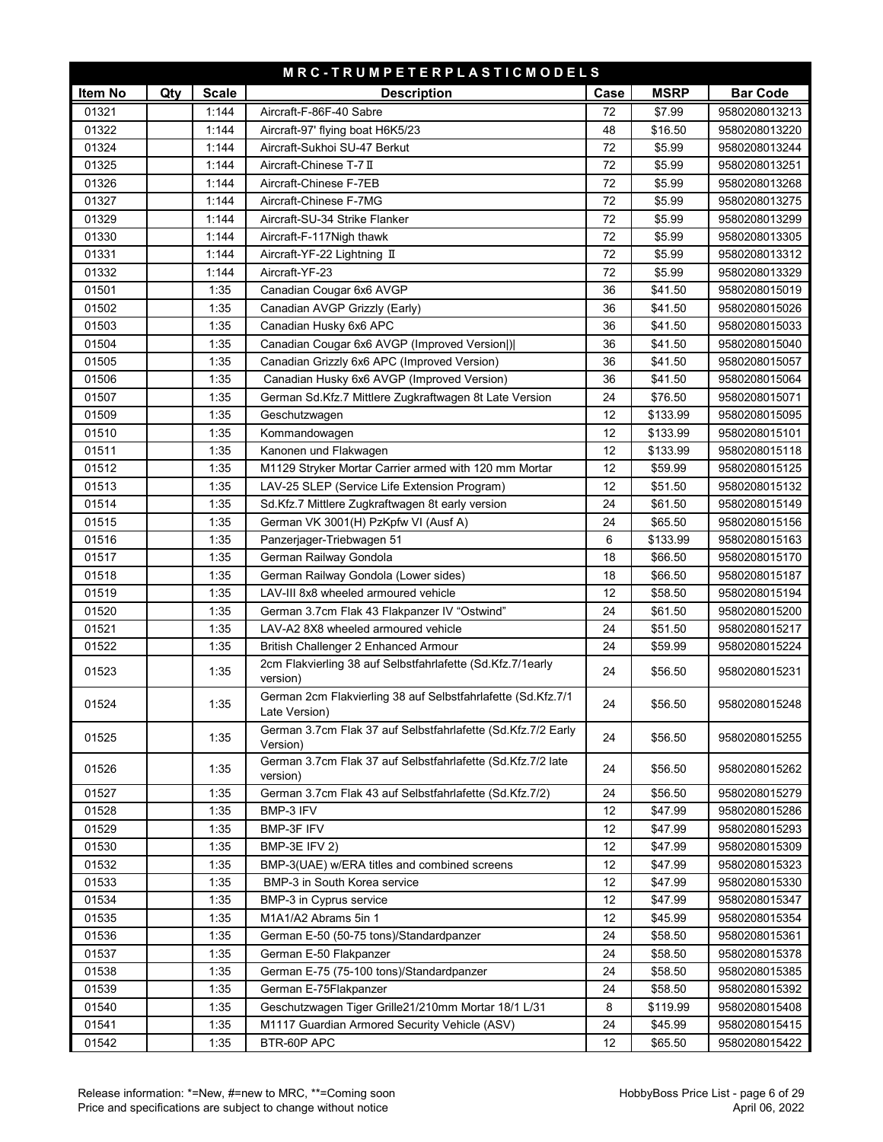|         |     |              | MRC-TRUMPETERPLASTICMODELS                                                    |      |             |                 |
|---------|-----|--------------|-------------------------------------------------------------------------------|------|-------------|-----------------|
| Item No | Qty | <b>Scale</b> | <b>Description</b>                                                            | Case | <b>MSRP</b> | <b>Bar Code</b> |
| 01321   |     | 1:144        | Aircraft-F-86F-40 Sabre                                                       | 72   | \$7.99      | 9580208013213   |
| 01322   |     | 1:144        | Aircraft-97' flying boat H6K5/23                                              | 48   | \$16.50     | 9580208013220   |
| 01324   |     | 1:144        | Aircraft-Sukhoi SU-47 Berkut                                                  | 72   | \$5.99      | 9580208013244   |
| 01325   |     | 1:144        | Aircraft-Chinese T-7 II                                                       | 72   | \$5.99      | 9580208013251   |
| 01326   |     | 1:144        | Aircraft-Chinese F-7EB                                                        | 72   | \$5.99      | 9580208013268   |
| 01327   |     | 1:144        | Aircraft-Chinese F-7MG                                                        | 72   | \$5.99      | 9580208013275   |
| 01329   |     | 1:144        | Aircraft-SU-34 Strike Flanker                                                 | 72   | \$5.99      | 9580208013299   |
| 01330   |     | 1:144        | Aircraft-F-117Nigh thawk                                                      | 72   | \$5.99      | 9580208013305   |
| 01331   |     | 1:144        | Aircraft-YF-22 Lightning II                                                   | 72   | \$5.99      | 9580208013312   |
| 01332   |     | 1:144        | Aircraft-YF-23                                                                | 72   | \$5.99      | 9580208013329   |
| 01501   |     | 1:35         | Canadian Cougar 6x6 AVGP                                                      | 36   | \$41.50     | 9580208015019   |
| 01502   |     | 1:35         | Canadian AVGP Grizzly (Early)                                                 | 36   | \$41.50     | 9580208015026   |
| 01503   |     | 1:35         | Canadian Husky 6x6 APC                                                        | 36   | \$41.50     | 9580208015033   |
| 01504   |     | 1:35         | Canadian Cougar 6x6 AVGP (Improved Version))                                  | 36   | \$41.50     | 9580208015040   |
| 01505   |     | 1:35         | Canadian Grizzly 6x6 APC (Improved Version)                                   | 36   | \$41.50     | 9580208015057   |
| 01506   |     | 1:35         | Canadian Husky 6x6 AVGP (Improved Version)                                    | 36   | \$41.50     | 9580208015064   |
| 01507   |     | 1:35         | German Sd.Kfz.7 Mittlere Zugkraftwagen 8t Late Version                        | 24   | \$76.50     | 9580208015071   |
| 01509   |     | 1:35         | Geschutzwagen                                                                 | 12   | \$133.99    | 9580208015095   |
| 01510   |     | 1:35         | Kommandowagen                                                                 | 12   | \$133.99    | 9580208015101   |
| 01511   |     | 1:35         | Kanonen und Flakwagen                                                         | 12   | \$133.99    | 9580208015118   |
| 01512   |     | 1:35         | M1129 Stryker Mortar Carrier armed with 120 mm Mortar                         | 12   | \$59.99     | 9580208015125   |
| 01513   |     | 1:35         | LAV-25 SLEP (Service Life Extension Program)                                  | 12   | \$51.50     | 9580208015132   |
| 01514   |     | 1:35         | Sd.Kfz.7 Mittlere Zugkraftwagen 8t early version                              | 24   | \$61.50     | 9580208015149   |
| 01515   |     | 1:35         | German VK 3001(H) PzKpfw VI (Ausf A)                                          | 24   | \$65.50     | 9580208015156   |
| 01516   |     | 1:35         | Panzerjager-Triebwagen 51                                                     | 6    | \$133.99    | 9580208015163   |
| 01517   |     | 1:35         | German Railway Gondola                                                        | 18   | \$66.50     | 9580208015170   |
| 01518   |     | 1:35         | German Railway Gondola (Lower sides)                                          | 18   | \$66.50     | 9580208015187   |
| 01519   |     | 1:35         | LAV-III 8x8 wheeled armoured vehicle                                          | 12   | \$58.50     | 9580208015194   |
| 01520   |     | 1:35         | German 3.7cm Flak 43 Flakpanzer IV "Ostwind"                                  | 24   | \$61.50     | 9580208015200   |
| 01521   |     | 1:35         | LAV-A2 8X8 wheeled armoured vehicle                                           | 24   | \$51.50     | 9580208015217   |
| 01522   |     | 1:35         | British Challenger 2 Enhanced Armour                                          | 24   | \$59.99     | 9580208015224   |
| 01523   |     | 1:35         | 2cm Flakvierling 38 auf Selbstfahrlafette (Sd.Kfz.7/1early<br>version)        | 24   | \$56.50     | 9580208015231   |
| 01524   |     | 1:35         | German 2cm Flakvierling 38 auf Selbstfahrlafette (Sd.Kfz.7/1<br>Late Version) | 24   | \$56.50     | 9580208015248   |
| 01525   |     | 1:35         | German 3.7cm Flak 37 auf Selbstfahrlafette (Sd.Kfz.7/2 Early<br>Version)      | 24   | \$56.50     | 9580208015255   |
| 01526   |     | 1:35         | German 3.7cm Flak 37 auf Selbstfahrlafette (Sd.Kfz.7/2 late<br>version)       | 24   | \$56.50     | 9580208015262   |
| 01527   |     | 1:35         | German 3.7cm Flak 43 auf Selbstfahrlafette (Sd.Kfz.7/2)                       | 24   | \$56.50     | 9580208015279   |
| 01528   |     | 1:35         | BMP-3 IFV                                                                     | 12   | \$47.99     | 9580208015286   |
| 01529   |     | 1:35         | BMP-3F IFV                                                                    | 12   | \$47.99     | 9580208015293   |
| 01530   |     | 1:35         | BMP-3E IFV 2)                                                                 | 12   | \$47.99     | 9580208015309   |
| 01532   |     | 1:35         | BMP-3(UAE) w/ERA titles and combined screens                                  | 12   | \$47.99     | 9580208015323   |
| 01533   |     | 1:35         | BMP-3 in South Korea service                                                  | 12   | \$47.99     | 9580208015330   |
| 01534   |     | 1:35         | BMP-3 in Cyprus service                                                       | 12   | \$47.99     | 9580208015347   |
| 01535   |     | 1:35         | M1A1/A2 Abrams 5in 1                                                          | 12   | \$45.99     | 9580208015354   |
| 01536   |     | 1:35         | German E-50 (50-75 tons)/Standardpanzer                                       | 24   | \$58.50     | 9580208015361   |
| 01537   |     | 1:35         | German E-50 Flakpanzer                                                        | 24   | \$58.50     | 9580208015378   |
| 01538   |     | 1:35         | German E-75 (75-100 tons)/Standardpanzer                                      | 24   | \$58.50     | 9580208015385   |
| 01539   |     | 1:35         | German E-75Flakpanzer                                                         | 24   | \$58.50     | 9580208015392   |
| 01540   |     | 1:35         | Geschutzwagen Tiger Grille21/210mm Mortar 18/1 L/31                           | 8    | \$119.99    | 9580208015408   |
| 01541   |     | 1:35         | M1117 Guardian Armored Security Vehicle (ASV)                                 | 24   | \$45.99     | 9580208015415   |
| 01542   |     | 1:35         | BTR-60P APC                                                                   | 12   | \$65.50     | 9580208015422   |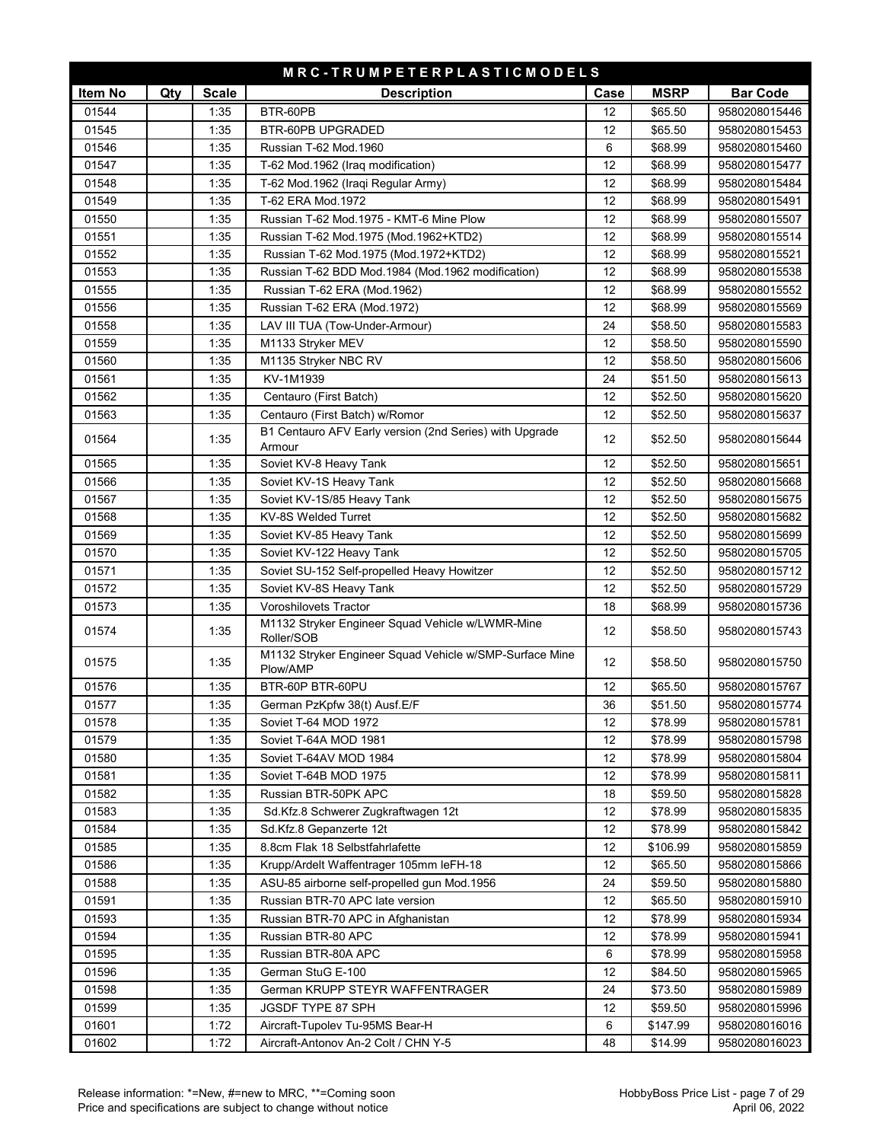|         |            |              | MRC-TRUMPETERPLASTICMODELS                                          |      |             |                 |
|---------|------------|--------------|---------------------------------------------------------------------|------|-------------|-----------------|
| Item No | <b>Qty</b> | <b>Scale</b> | <b>Description</b>                                                  | Case | <b>MSRP</b> | <b>Bar Code</b> |
| 01544   |            | 1:35         | BTR-60PB                                                            | 12   | \$65.50     | 9580208015446   |
| 01545   |            | 1:35         | <b>BTR-60PB UPGRADED</b>                                            | 12   | \$65.50     | 9580208015453   |
| 01546   |            | 1:35         | Russian T-62 Mod.1960                                               | 6    | \$68.99     | 9580208015460   |
| 01547   |            | 1:35         | T-62 Mod.1962 (Iraq modification)                                   | 12   | \$68.99     | 9580208015477   |
| 01548   |            | 1:35         | T-62 Mod.1962 (Iraqi Regular Army)                                  | 12   | \$68.99     | 9580208015484   |
| 01549   |            | 1:35         | T-62 ERA Mod.1972                                                   | 12   | \$68.99     | 9580208015491   |
| 01550   |            | 1:35         | Russian T-62 Mod.1975 - KMT-6 Mine Plow                             | 12   | \$68.99     | 9580208015507   |
| 01551   |            | 1:35         | Russian T-62 Mod.1975 (Mod.1962+KTD2)                               | 12   | \$68.99     | 9580208015514   |
| 01552   |            | 1:35         | Russian T-62 Mod.1975 (Mod.1972+KTD2)                               | 12   | \$68.99     | 9580208015521   |
| 01553   |            | 1:35         | Russian T-62 BDD Mod.1984 (Mod.1962 modification)                   | 12   | \$68.99     | 9580208015538   |
| 01555   |            | 1:35         | Russian T-62 ERA (Mod.1962)                                         | 12   | \$68.99     | 9580208015552   |
| 01556   |            | 1:35         | Russian T-62 ERA (Mod.1972)                                         | 12   | \$68.99     | 9580208015569   |
| 01558   |            | 1:35         | LAV III TUA (Tow-Under-Armour)                                      | 24   | \$58.50     | 9580208015583   |
| 01559   |            | 1:35         | M1133 Stryker MEV                                                   | 12   | \$58.50     | 9580208015590   |
| 01560   |            | 1:35         | M1135 Stryker NBC RV                                                | 12   | \$58.50     | 9580208015606   |
| 01561   |            | 1:35         | KV-1M1939                                                           | 24   | \$51.50     | 9580208015613   |
| 01562   |            | 1:35         | Centauro (First Batch)                                              | 12   | \$52.50     | 9580208015620   |
| 01563   |            | 1:35         | Centauro (First Batch) w/Romor                                      | 12   | \$52.50     | 9580208015637   |
| 01564   |            | 1:35         | B1 Centauro AFV Early version (2nd Series) with Upgrade<br>Armour   | 12   | \$52.50     | 9580208015644   |
| 01565   |            | 1:35         | Soviet KV-8 Heavy Tank                                              | 12   | \$52.50     | 9580208015651   |
| 01566   |            | 1:35         | Soviet KV-1S Heavy Tank                                             | 12   | \$52.50     | 9580208015668   |
| 01567   |            | 1:35         | Soviet KV-1S/85 Heavy Tank                                          | 12   | \$52.50     | 9580208015675   |
| 01568   |            | 1:35         | KV-8S Welded Turret                                                 | 12   | \$52.50     | 9580208015682   |
| 01569   |            | 1:35         | Soviet KV-85 Heavy Tank                                             | 12   | \$52.50     | 9580208015699   |
| 01570   |            | 1:35         | Soviet KV-122 Heavy Tank                                            | 12   | \$52.50     | 9580208015705   |
| 01571   |            | 1:35         | Soviet SU-152 Self-propelled Heavy Howitzer                         | 12   | \$52.50     | 9580208015712   |
| 01572   |            | 1:35         | Soviet KV-8S Heavy Tank                                             | 12   | \$52.50     | 9580208015729   |
| 01573   |            | 1:35         | Voroshilovets Tractor                                               | 18   | \$68.99     | 9580208015736   |
| 01574   |            | 1:35         | M1132 Stryker Engineer Squad Vehicle w/LWMR-Mine<br>Roller/SOB      | 12   | \$58.50     | 9580208015743   |
| 01575   |            | 1:35         | M1132 Stryker Engineer Squad Vehicle w/SMP-Surface Mine<br>Plow/AMP | 12   | \$58.50     | 9580208015750   |
| 01576   |            | 1:35         | BTR-60P BTR-60PU                                                    | 12   | \$65.50     | 9580208015767   |
| 01577   |            | 1:35         | German PzKpfw 38(t) Ausf.E/F                                        | 36   | \$51.50     | 9580208015774   |
| 01578   |            | 1:35         | Soviet T-64 MOD 1972                                                | 12   | \$78.99     | 9580208015781   |
| 01579   |            | 1:35         | Soviet T-64A MOD 1981                                               | 12   | \$78.99     | 9580208015798   |
| 01580   |            | 1:35         | Soviet T-64AV MOD 1984                                              | 12   | \$78.99     | 9580208015804   |
| 01581   |            | 1:35         | Soviet T-64B MOD 1975                                               | 12   | \$78.99     | 9580208015811   |
| 01582   |            | 1:35         | Russian BTR-50PK APC                                                | 18   | \$59.50     | 9580208015828   |
| 01583   |            | 1:35         | Sd.Kfz.8 Schwerer Zugkraftwagen 12t                                 | 12   | \$78.99     | 9580208015835   |
| 01584   |            | 1:35         | Sd.Kfz.8 Gepanzerte 12t                                             | 12   | \$78.99     | 9580208015842   |
| 01585   |            | 1:35         | 8.8cm Flak 18 Selbstfahrlafette                                     | 12   | \$106.99    | 9580208015859   |
| 01586   |            | 1:35         | Krupp/Ardelt Waffentrager 105mm leFH-18                             | 12   | \$65.50     | 9580208015866   |
| 01588   |            | 1:35         | ASU-85 airborne self-propelled gun Mod.1956                         | 24   | \$59.50     | 9580208015880   |
| 01591   |            | 1:35         | Russian BTR-70 APC late version                                     | 12   | \$65.50     | 9580208015910   |
| 01593   |            | 1:35         | Russian BTR-70 APC in Afghanistan                                   | 12   | \$78.99     | 9580208015934   |
| 01594   |            | 1:35         | Russian BTR-80 APC                                                  | 12   | \$78.99     | 9580208015941   |
| 01595   |            | 1:35         | Russian BTR-80A APC                                                 | 6    | \$78.99     | 9580208015958   |
| 01596   |            | 1:35         | German StuG E-100                                                   | 12   | \$84.50     | 9580208015965   |
| 01598   |            | 1:35         | German KRUPP STEYR WAFFENTRAGER                                     | 24   | \$73.50     | 9580208015989   |
| 01599   |            | 1:35         | JGSDF TYPE 87 SPH                                                   | 12   | \$59.50     | 9580208015996   |
| 01601   |            | 1:72         | Aircraft-Tupolev Tu-95MS Bear-H                                     | 6    | \$147.99    | 9580208016016   |
| 01602   |            | 1:72         | Aircraft-Antonov An-2 Colt / CHN Y-5                                | 48   | \$14.99     | 9580208016023   |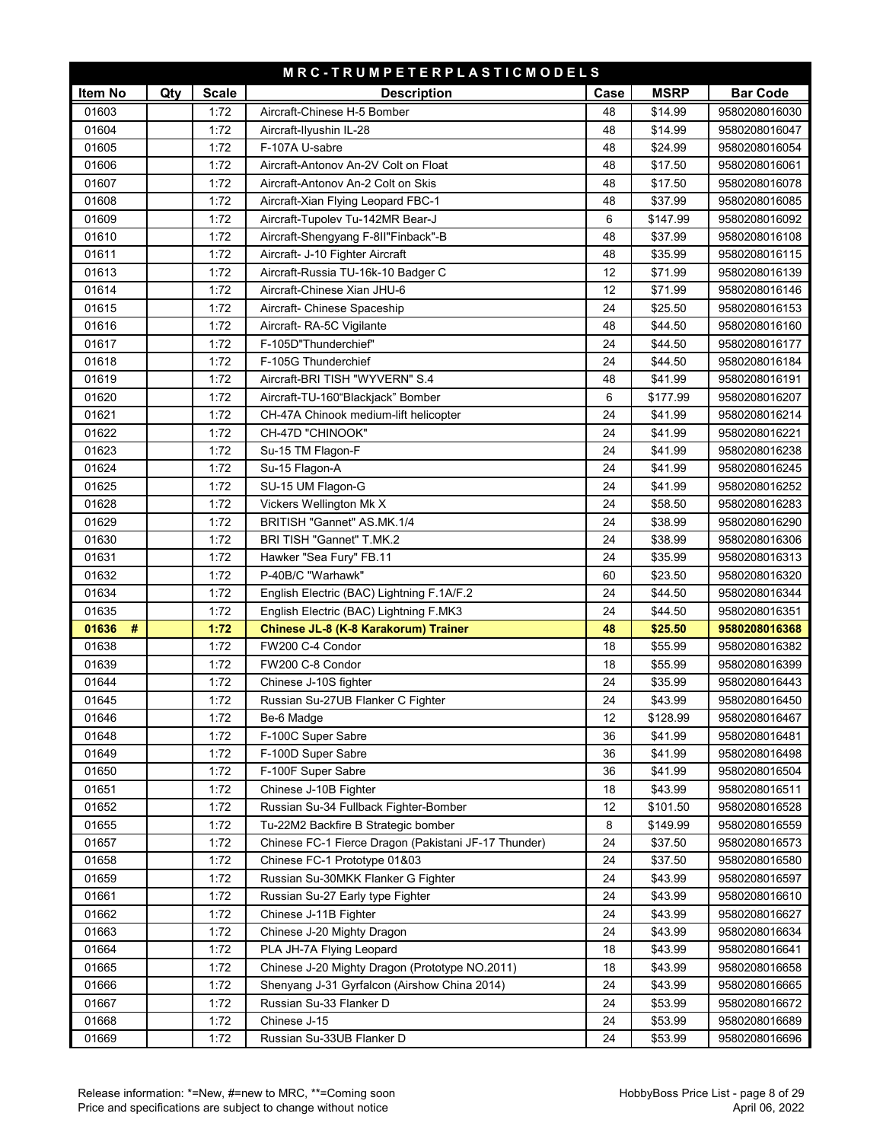|            |     |              | MRC-TRUMPETERPLASTICMODELS                           |          |                    |                 |
|------------|-----|--------------|------------------------------------------------------|----------|--------------------|-----------------|
| Item No    | Qty | <b>Scale</b> | <b>Description</b>                                   | Case     | <b>MSRP</b>        | <b>Bar Code</b> |
| 01603      |     | 1:72         | Aircraft-Chinese H-5 Bomber                          | 48       | \$14.99            | 9580208016030   |
| 01604      |     | 1:72         | Aircraft-Ilyushin IL-28                              | 48       | \$14.99            | 9580208016047   |
| 01605      |     | 1:72         | F-107A U-sabre                                       | 48       | \$24.99            | 9580208016054   |
| 01606      |     | 1:72         | Aircraft-Antonov An-2V Colt on Float                 | 48       | \$17.50            | 9580208016061   |
| 01607      |     | 1:72         | Aircraft-Antonov An-2 Colt on Skis                   | 48       | \$17.50            | 9580208016078   |
| 01608      |     | 1:72         | Aircraft-Xian Flying Leopard FBC-1                   | 48       | \$37.99            | 9580208016085   |
| 01609      |     | 1:72         | Aircraft-Tupolev Tu-142MR Bear-J                     | 6        | \$147.99           | 9580208016092   |
| 01610      |     | 1:72         | Aircraft-Shengyang F-8II"Finback"-B                  | 48       | \$37.99            | 9580208016108   |
| 01611      |     | 1:72         | Aircraft- J-10 Fighter Aircraft                      | 48       | \$35.99            | 9580208016115   |
| 01613      |     | 1:72         | Aircraft-Russia TU-16k-10 Badger C                   | 12       | \$71.99            | 9580208016139   |
| 01614      |     | 1:72         | Aircraft-Chinese Xian JHU-6                          | 12       | \$71.99            | 9580208016146   |
| 01615      |     | 1:72         | Aircraft- Chinese Spaceship                          | 24       | \$25.50            | 9580208016153   |
| 01616      |     | 1:72         | Aircraft- RA-5C Vigilante                            | 48       | \$44.50            | 9580208016160   |
| 01617      |     | 1:72         | F-105D"Thunderchief"                                 | 24       | \$44.50            | 9580208016177   |
| 01618      |     | 1:72         | F-105G Thunderchief                                  | 24       | \$44.50            | 9580208016184   |
| 01619      |     | 1:72         | Aircraft-BRI TISH "WYVERN" S.4                       | 48       | \$41.99            | 9580208016191   |
| 01620      |     | 1:72         | Aircraft-TU-160"Blackjack" Bomber                    | 6        | \$177.99           | 9580208016207   |
| 01621      |     | 1:72         | CH-47A Chinook medium-lift helicopter                | 24       | \$41.99            | 9580208016214   |
| 01622      |     | 1:72         | CH-47D "CHINOOK"                                     | 24       | \$41.99            | 9580208016221   |
| 01623      |     | 1:72         | Su-15 TM Flagon-F                                    | 24       | \$41.99            | 9580208016238   |
| 01624      |     | 1:72         | Su-15 Flagon-A                                       | 24       | \$41.99            | 9580208016245   |
| 01625      |     | 1:72         | SU-15 UM Flagon-G                                    | 24       | \$41.99            | 9580208016252   |
| 01628      |     | 1:72         | Vickers Wellington Mk X                              | 24       | \$58.50            | 9580208016283   |
| 01629      |     | 1:72         | BRITISH "Gannet" AS.MK.1/4                           | 24       | \$38.99            | 9580208016290   |
| 01630      |     | 1:72         | BRI TISH "Gannet" T.MK.2                             | 24       | \$38.99            | 9580208016306   |
| 01631      |     | 1:72         | Hawker "Sea Fury" FB.11                              | 24       | \$35.99            | 9580208016313   |
| 01632      |     | 1:72         | P-40B/C "Warhawk"                                    | 60       | \$23.50            | 9580208016320   |
| 01634      |     | 1:72         | English Electric (BAC) Lightning F.1A/F.2            | 24       | \$44.50            | 9580208016344   |
| 01635      |     | 1:72         | English Electric (BAC) Lightning F.MK3               | 24       | \$44.50            | 9580208016351   |
| 01636<br># |     | 1:72         | Chinese JL-8 (K-8 Karakorum) Trainer                 | 48       | \$25.50            | 9580208016368   |
| 01638      |     | 1:72         | FW200 C-4 Condor                                     | 18       | \$55.99            | 9580208016382   |
| 01639      |     | 1:72         | FW200 C-8 Condor                                     | 18       | \$55.99            | 9580208016399   |
| 01644      |     | 1:72         | Chinese J-10S fighter                                | 24       | \$35.99            | 9580208016443   |
| 01645      |     | 1:72         | Russian Su-27UB Flanker C Fighter                    | 24       | \$43.99            | 9580208016450   |
| 01646      |     | 1:72         | Be-6 Madge                                           | 12       | \$128.99           | 9580208016467   |
| 01648      |     | 1:72         | F-100C Super Sabre                                   | 36       | \$41.99            | 9580208016481   |
| 01649      |     | 1:72         | F-100D Super Sabre                                   | 36       | \$41.99            | 9580208016498   |
| 01650      |     | 1:72         | F-100F Super Sabre                                   | 36       | \$41.99            | 9580208016504   |
| 01651      |     | 1:72         | Chinese J-10B Fighter                                | 18       | \$43.99            | 9580208016511   |
| 01652      |     | 1:72         | Russian Su-34 Fullback Fighter-Bomber                | 12       | \$101.50           | 9580208016528   |
| 01655      |     | 1:72         | Tu-22M2 Backfire B Strategic bomber                  | 8        | \$149.99           | 9580208016559   |
| 01657      |     | 1:72         | Chinese FC-1 Fierce Dragon (Pakistani JF-17 Thunder) | 24       | \$37.50            | 9580208016573   |
| 01658      |     | 1:72         | Chinese FC-1 Prototype 01&03                         | 24       | \$37.50            | 9580208016580   |
| 01659      |     | 1:72         | Russian Su-30MKK Flanker G Fighter                   | 24       | \$43.99            | 9580208016597   |
| 01661      |     | 1:72         | Russian Su-27 Early type Fighter                     | 24       | \$43.99            | 9580208016610   |
| 01662      |     | 1:72         | Chinese J-11B Fighter                                | 24       | \$43.99            | 9580208016627   |
| 01663      |     | 1:72         | Chinese J-20 Mighty Dragon                           | 24       | \$43.99            | 9580208016634   |
| 01664      |     | 1:72         | PLA JH-7A Flying Leopard                             | 18       | \$43.99            | 9580208016641   |
| 01665      |     | 1:72         | Chinese J-20 Mighty Dragon (Prototype NO.2011)       | 18       | \$43.99            | 9580208016658   |
| 01666      |     | 1:72         | Shenyang J-31 Gyrfalcon (Airshow China 2014)         | 24<br>24 | \$43.99            | 9580208016665   |
| 01667      |     | 1:72         | Russian Su-33 Flanker D                              | 24       | \$53.99<br>\$53.99 | 9580208016672   |
| 01668      |     | 1:72         | Chinese J-15                                         |          |                    | 9580208016689   |
| 01669      |     | 1:72         | Russian Su-33UB Flanker D                            | 24       | \$53.99            | 9580208016696   |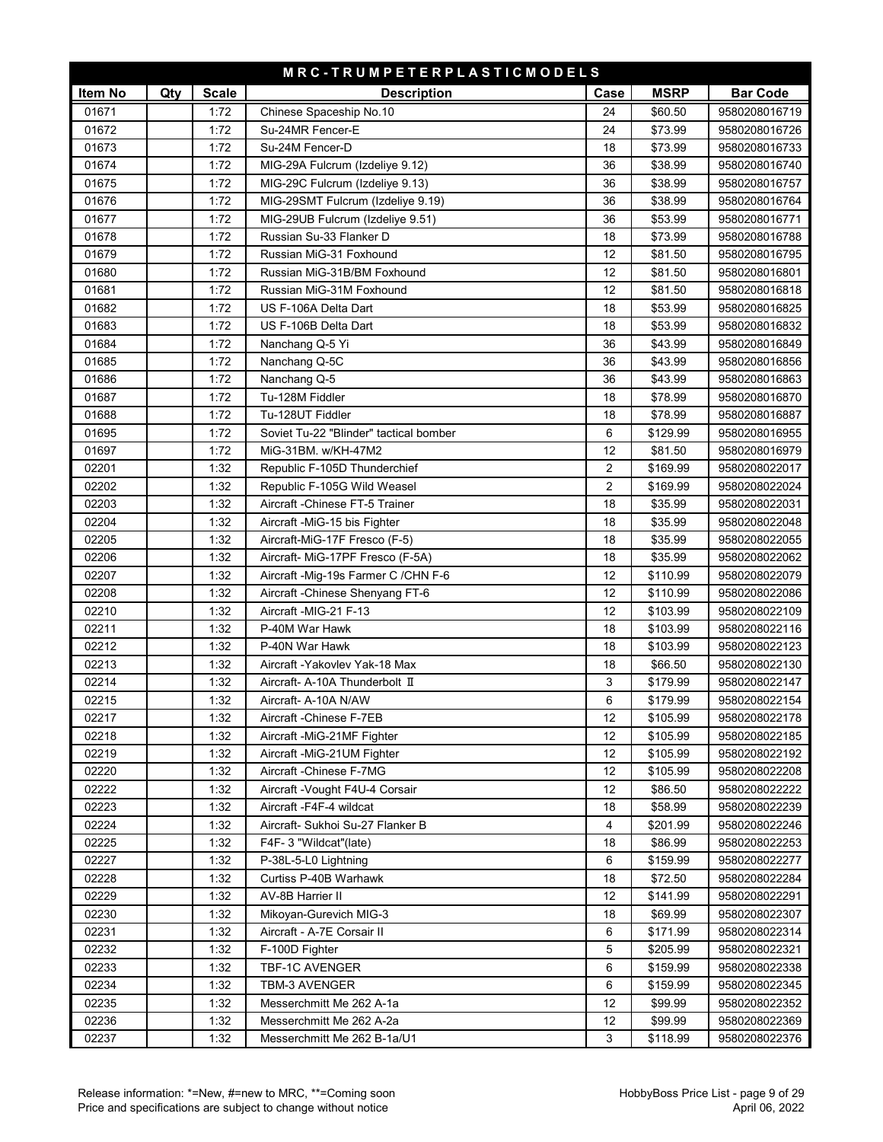|         |     |              | MRC-TRUMPETERPLASTICMODELS             |                         |             |                 |
|---------|-----|--------------|----------------------------------------|-------------------------|-------------|-----------------|
| Item No | Qty | <b>Scale</b> | <b>Description</b>                     | Case                    | <b>MSRP</b> | <b>Bar Code</b> |
| 01671   |     | 1:72         | Chinese Spaceship No.10                | 24                      | \$60.50     | 9580208016719   |
| 01672   |     | 1:72         | Su-24MR Fencer-E                       | 24                      | \$73.99     | 9580208016726   |
| 01673   |     | 1:72         | Su-24M Fencer-D                        | 18                      | \$73.99     | 9580208016733   |
| 01674   |     | 1:72         | MIG-29A Fulcrum (Izdeliye 9.12)        | 36                      | \$38.99     | 9580208016740   |
| 01675   |     | 1:72         | MIG-29C Fulcrum (Izdeliye 9.13)        | 36                      | \$38.99     | 9580208016757   |
| 01676   |     | 1:72         | MIG-29SMT Fulcrum (Izdeliye 9.19)      | 36                      | \$38.99     | 9580208016764   |
| 01677   |     | 1:72         | MIG-29UB Fulcrum (Izdeliye 9.51)       | 36                      | \$53.99     | 9580208016771   |
| 01678   |     | 1:72         | Russian Su-33 Flanker D                | 18                      | \$73.99     | 9580208016788   |
| 01679   |     | 1:72         | Russian MiG-31 Foxhound                | 12                      | \$81.50     | 9580208016795   |
| 01680   |     | 1:72         | Russian MiG-31B/BM Foxhound            | 12                      | \$81.50     | 9580208016801   |
| 01681   |     | 1:72         | Russian MiG-31M Foxhound               | 12                      | \$81.50     | 9580208016818   |
| 01682   |     | 1:72         | US F-106A Delta Dart                   | 18                      | \$53.99     | 9580208016825   |
| 01683   |     | 1:72         | US F-106B Delta Dart                   | 18                      | \$53.99     | 9580208016832   |
| 01684   |     | 1:72         | Nanchang Q-5 Yi                        | 36                      | \$43.99     | 9580208016849   |
| 01685   |     | 1:72         | Nanchang Q-5C                          | 36                      | \$43.99     | 9580208016856   |
| 01686   |     | 1:72         | Nanchang Q-5                           | 36                      | \$43.99     | 9580208016863   |
| 01687   |     | 1:72         | Tu-128M Fiddler                        | 18                      | \$78.99     | 9580208016870   |
| 01688   |     | 1:72         | Tu-128UT Fiddler                       | 18                      | \$78.99     | 9580208016887   |
| 01695   |     | 1:72         | Soviet Tu-22 "Blinder" tactical bomber | 6                       | \$129.99    | 9580208016955   |
| 01697   |     | 1:72         | MiG-31BM. w/KH-47M2                    | 12                      | \$81.50     | 9580208016979   |
| 02201   |     | 1:32         | Republic F-105D Thunderchief           | $\overline{2}$          | \$169.99    | 9580208022017   |
| 02202   |     | 1:32         | Republic F-105G Wild Weasel            | $\overline{\mathbf{c}}$ | \$169.99    | 9580208022024   |
| 02203   |     | 1:32         | Aircraft - Chinese FT-5 Trainer        | 18                      | \$35.99     | 9580208022031   |
| 02204   |     | 1:32         | Aircraft -MiG-15 bis Fighter           | 18                      | \$35.99     | 9580208022048   |
| 02205   |     | 1:32         | Aircraft-MiG-17F Fresco (F-5)          | 18                      | \$35.99     | 9580208022055   |
| 02206   |     | 1:32         | Aircraft- MiG-17PF Fresco (F-5A)       | 18                      | \$35.99     | 9580208022062   |
| 02207   |     | 1:32         | Aircraft - Mig-19s Farmer C / CHN F-6  | 12                      | \$110.99    | 9580208022079   |
| 02208   |     | 1:32         | Aircraft - Chinese Shenyang FT-6       | 12                      | \$110.99    | 9580208022086   |
| 02210   |     | 1:32         | Aircraft -MIG-21 F-13                  | 12                      | \$103.99    | 9580208022109   |
| 02211   |     | 1:32         | P-40M War Hawk                         | 18                      | \$103.99    | 9580208022116   |
| 02212   |     | 1:32         | P-40N War Hawk                         | 18                      | \$103.99    | 9580208022123   |
| 02213   |     | 1:32         | Aircraft - Yakovlev Yak-18 Max         | 18                      | \$66.50     | 9580208022130   |
| 02214   |     | 1:32         | Aircraft- A-10A Thunderbolt II         | 3                       | \$179.99    | 9580208022147   |
| 02215   |     | 1:32         | Aircraft- A-10A N/AW                   | 6                       | \$179.99    | 9580208022154   |
| 02217   |     | 1:32         | Aircraft - Chinese F-7EB               | 12                      | \$105.99    | 9580208022178   |
| 02218   |     | 1:32         | Aircraft -MiG-21MF Fighter             | 12                      | \$105.99    | 9580208022185   |
| 02219   |     | 1:32         | Aircraft -MiG-21UM Fighter             | 12                      | \$105.99    | 9580208022192   |
| 02220   |     | 1:32         | Aircraft - Chinese F-7MG               | 12                      | \$105.99    | 9580208022208   |
| 02222   |     | 1:32         | Aircraft - Vought F4U-4 Corsair        | 12                      | \$86.50     | 9580208022222   |
| 02223   |     | 1:32         | Aircraft -F4F-4 wildcat                | 18                      | \$58.99     | 9580208022239   |
| 02224   |     | 1:32         | Aircraft- Sukhoi Su-27 Flanker B       | 4                       | \$201.99    | 9580208022246   |
| 02225   |     | 1:32         | F4F-3 "Wildcat"(late)                  | 18                      | \$86.99     | 9580208022253   |
| 02227   |     | 1:32         | P-38L-5-L0 Lightning                   | 6                       | \$159.99    | 9580208022277   |
| 02228   |     | 1:32         | Curtiss P-40B Warhawk                  | 18                      | \$72.50     | 9580208022284   |
| 02229   |     | 1:32         | AV-8B Harrier II                       | 12                      | \$141.99    | 9580208022291   |
| 02230   |     | 1:32         | Mikoyan-Gurevich MIG-3                 | 18                      | \$69.99     | 9580208022307   |
| 02231   |     | 1:32         | Aircraft - A-7E Corsair II             | 6                       | \$171.99    | 9580208022314   |
| 02232   |     | 1:32         | F-100D Fighter                         | 5                       | \$205.99    | 9580208022321   |
| 02233   |     | 1:32         | TBF-1C AVENGER                         | 6                       | \$159.99    | 9580208022338   |
| 02234   |     | 1:32         | TBM-3 AVENGER                          | 6                       | \$159.99    | 9580208022345   |
| 02235   |     | 1:32         | Messerchmitt Me 262 A-1a               | 12                      | \$99.99     | 9580208022352   |
| 02236   |     | 1:32         | Messerchmitt Me 262 A-2a               | 12                      | \$99.99     | 9580208022369   |
| 02237   |     | 1:32         | Messerchmitt Me 262 B-1a/U1            | 3                       | \$118.99    | 9580208022376   |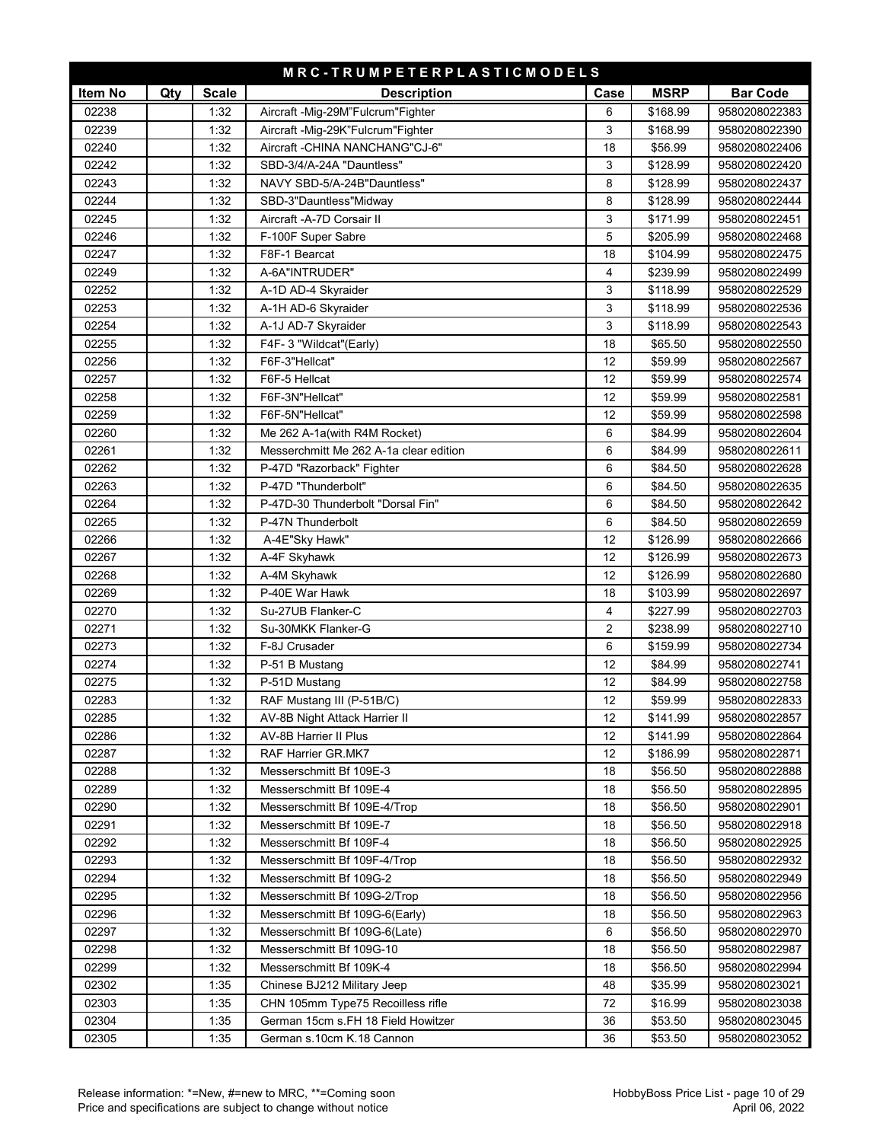|         |     |              | MRC-TRUMPETERPLASTICMODELS             |      |             |                 |
|---------|-----|--------------|----------------------------------------|------|-------------|-----------------|
| Item No | Qty | <b>Scale</b> | <b>Description</b>                     | Case | <b>MSRP</b> | <b>Bar Code</b> |
| 02238   |     | 1:32         | Aircraft -Mig-29M"Fulcrum"Fighter      | 6    | \$168.99    | 9580208022383   |
| 02239   |     | 1:32         | Aircraft - Mig-29K" Fulcrum "Fighter   | 3    | \$168.99    | 9580208022390   |
| 02240   |     | 1:32         | Aircraft - CHINA NANCHANG"CJ-6"        | 18   | \$56.99     | 9580208022406   |
| 02242   |     | 1:32         | SBD-3/4/A-24A "Dauntless"              | 3    | \$128.99    | 9580208022420   |
| 02243   |     | 1:32         | NAVY SBD-5/A-24B"Dauntless"            | 8    | \$128.99    | 9580208022437   |
| 02244   |     | 1:32         | SBD-3"Dauntless"Midway                 | 8    | \$128.99    | 9580208022444   |
| 02245   |     | 1:32         | Aircraft -A-7D Corsair II              | 3    | \$171.99    | 9580208022451   |
| 02246   |     | 1:32         | F-100F Super Sabre                     | 5    | \$205.99    | 9580208022468   |
| 02247   |     | 1:32         | F8F-1 Bearcat                          | 18   | \$104.99    | 9580208022475   |
| 02249   |     | 1:32         | A-6A"INTRUDER"                         | 4    | \$239.99    | 9580208022499   |
| 02252   |     | 1:32         | A-1D AD-4 Skyraider                    | 3    | \$118.99    | 9580208022529   |
| 02253   |     | 1:32         | A-1H AD-6 Skyraider                    | 3    | \$118.99    | 9580208022536   |
| 02254   |     | 1:32         | A-1J AD-7 Skyraider                    | 3    | \$118.99    | 9580208022543   |
| 02255   |     | 1:32         | F4F-3 "Wildcat"(Early)                 | 18   | \$65.50     | 9580208022550   |
| 02256   |     | 1:32         | F6F-3"Hellcat"                         | 12   | \$59.99     | 9580208022567   |
| 02257   |     | 1:32         | F6F-5 Hellcat                          | 12   | \$59.99     | 9580208022574   |
| 02258   |     | 1:32         | F6F-3N"Hellcat"                        | 12   | \$59.99     | 9580208022581   |
| 02259   |     | 1:32         | F6F-5N"Hellcat"                        | 12   | \$59.99     | 9580208022598   |
| 02260   |     | 1:32         | Me 262 A-1a(with R4M Rocket)           | 6    | \$84.99     | 9580208022604   |
| 02261   |     | 1:32         | Messerchmitt Me 262 A-1a clear edition | 6    | \$84.99     | 9580208022611   |
| 02262   |     | 1:32         | P-47D "Razorback" Fighter              | 6    | \$84.50     | 9580208022628   |
| 02263   |     | 1:32         | P-47D "Thunderbolt"                    | 6    | \$84.50     | 9580208022635   |
| 02264   |     | 1:32         | P-47D-30 Thunderbolt "Dorsal Fin"      | 6    | \$84.50     | 9580208022642   |
| 02265   |     | 1:32         | P-47N Thunderbolt                      | 6    | \$84.50     | 9580208022659   |
| 02266   |     | 1:32         | A-4E"Sky Hawk"                         | 12   | \$126.99    | 9580208022666   |
| 02267   |     | 1:32         | A-4F Skyhawk                           | 12   | \$126.99    | 9580208022673   |
| 02268   |     | 1:32         | A-4M Skyhawk                           | 12   | \$126.99    | 9580208022680   |
| 02269   |     | 1:32         | P-40E War Hawk                         | 18   | \$103.99    | 9580208022697   |
| 02270   |     | 1:32         | Su-27UB Flanker-C                      | 4    | \$227.99    | 9580208022703   |
| 02271   |     | 1:32         | Su-30MKK Flanker-G                     | 2    | \$238.99    | 9580208022710   |
| 02273   |     | 1:32         | F-8J Crusader                          | 6    | \$159.99    | 9580208022734   |
| 02274   |     | 1:32         | P-51 B Mustang                         | 12   | \$84.99     | 9580208022741   |
| 02275   |     | 1:32         | P-51D Mustang                          | 12   | \$84.99     | 9580208022758   |
| 02283   |     | 1:32         | RAF Mustang III (P-51B/C)              | 12   | \$59.99     | 9580208022833   |
| 02285   |     | 1:32         | AV-8B Night Attack Harrier II          | 12   | \$141.99    | 9580208022857   |
| 02286   |     | 1:32         | AV-8B Harrier II Plus                  | 12   | \$141.99    | 9580208022864   |
| 02287   |     | 1:32         | RAF Harrier GR.MK7                     | 12   | \$186.99    | 9580208022871   |
| 02288   |     | 1:32         | Messerschmitt Bf 109E-3                | 18   | \$56.50     | 9580208022888   |
| 02289   |     | 1:32         | Messerschmitt Bf 109E-4                | 18   | \$56.50     | 9580208022895   |
| 02290   |     | 1:32         | Messerschmitt Bf 109E-4/Trop           | 18   | \$56.50     | 9580208022901   |
| 02291   |     | 1:32         | Messerschmitt Bf 109E-7                | 18   | \$56.50     | 9580208022918   |
| 02292   |     | 1:32         | Messerschmitt Bf 109F-4                | 18   | \$56.50     | 9580208022925   |
| 02293   |     | 1:32         | Messerschmitt Bf 109F-4/Trop           | 18   | \$56.50     | 9580208022932   |
| 02294   |     | 1:32         | Messerschmitt Bf 109G-2                | 18   | \$56.50     | 9580208022949   |
| 02295   |     | 1:32         | Messerschmitt Bf 109G-2/Trop           | 18   | \$56.50     | 9580208022956   |
| 02296   |     | 1:32         | Messerschmitt Bf 109G-6(Early)         | 18   | \$56.50     | 9580208022963   |
| 02297   |     | 1:32         | Messerschmitt Bf 109G-6(Late)          | 6    | \$56.50     | 9580208022970   |
| 02298   |     | 1:32         | Messerschmitt Bf 109G-10               | 18   | \$56.50     | 9580208022987   |
| 02299   |     | 1:32         | Messerschmitt Bf 109K-4                | 18   | \$56.50     | 9580208022994   |
| 02302   |     | 1:35         | Chinese BJ212 Military Jeep            | 48   | \$35.99     | 9580208023021   |
| 02303   |     | 1:35         | CHN 105mm Type75 Recoilless rifle      | 72   | \$16.99     | 9580208023038   |
| 02304   |     | 1:35         | German 15cm s.FH 18 Field Howitzer     | 36   | \$53.50     | 9580208023045   |
| 02305   |     | 1:35         | German s.10cm K.18 Cannon              | 36   | \$53.50     | 9580208023052   |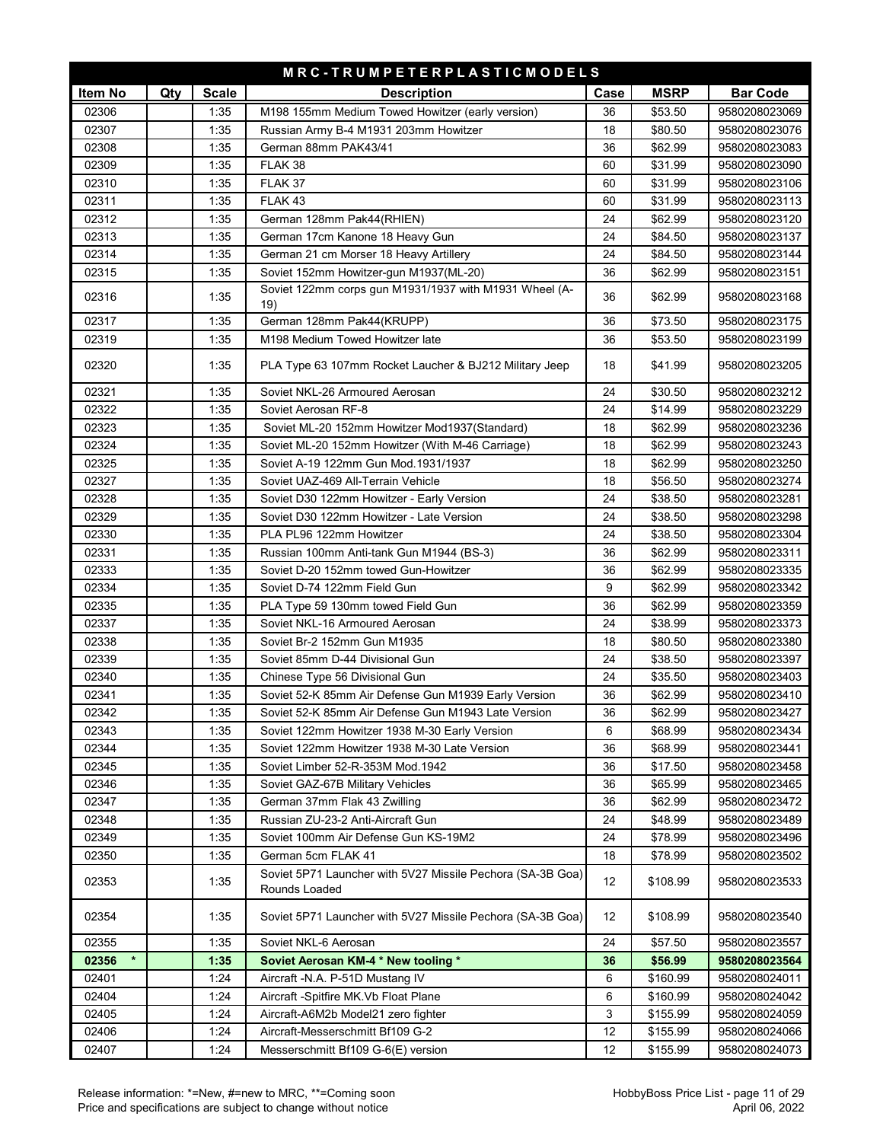| MRC-TRUMPETERPLASTICMODELS |     |              |                                                                             |      |             |                 |  |
|----------------------------|-----|--------------|-----------------------------------------------------------------------------|------|-------------|-----------------|--|
| Item No                    | Qty | <b>Scale</b> | <b>Description</b>                                                          | Case | <b>MSRP</b> | <b>Bar Code</b> |  |
| 02306                      |     | 1:35         | M198 155mm Medium Towed Howitzer (early version)                            | 36   | \$53.50     | 9580208023069   |  |
| 02307                      |     | 1:35         | Russian Army B-4 M1931 203mm Howitzer                                       | 18   | \$80.50     | 9580208023076   |  |
| 02308                      |     | 1:35         | German 88mm PAK43/41                                                        | 36   | \$62.99     | 9580208023083   |  |
| 02309                      |     | 1:35         | FLAK 38                                                                     | 60   | \$31.99     | 9580208023090   |  |
| 02310                      |     | 1:35         | FLAK 37                                                                     | 60   | \$31.99     | 9580208023106   |  |
| 02311                      |     | 1:35         | FLAK 43                                                                     | 60   | \$31.99     | 9580208023113   |  |
| 02312                      |     | 1:35         | German 128mm Pak44(RHIEN)                                                   | 24   | \$62.99     | 9580208023120   |  |
| 02313                      |     | 1:35         | German 17cm Kanone 18 Heavy Gun                                             | 24   | \$84.50     | 9580208023137   |  |
| 02314                      |     | 1:35         | German 21 cm Morser 18 Heavy Artillery                                      | 24   | \$84.50     | 9580208023144   |  |
| 02315                      |     | 1:35         | Soviet 152mm Howitzer-gun M1937(ML-20)                                      | 36   | \$62.99     | 9580208023151   |  |
| 02316                      |     | 1:35         | Soviet 122mm corps gun M1931/1937 with M1931 Wheel (A-<br>19)               | 36   | \$62.99     | 9580208023168   |  |
| 02317                      |     | 1:35         | German 128mm Pak44(KRUPP)                                                   | 36   | \$73.50     | 9580208023175   |  |
| 02319                      |     | 1:35         | M198 Medium Towed Howitzer late                                             | 36   | \$53.50     | 9580208023199   |  |
| 02320                      |     | 1:35         | PLA Type 63 107mm Rocket Laucher & BJ212 Military Jeep                      | 18   | \$41.99     | 9580208023205   |  |
| 02321                      |     | 1:35         | Soviet NKL-26 Armoured Aerosan                                              | 24   | \$30.50     | 9580208023212   |  |
| 02322                      |     | 1:35         | Soviet Aerosan RF-8                                                         | 24   | \$14.99     | 9580208023229   |  |
| 02323                      |     | 1:35         | Soviet ML-20 152mm Howitzer Mod1937(Standard)                               | 18   | \$62.99     | 9580208023236   |  |
| 02324                      |     | 1:35         | Soviet ML-20 152mm Howitzer (With M-46 Carriage)                            | 18   | \$62.99     | 9580208023243   |  |
| 02325                      |     | 1:35         | Soviet A-19 122mm Gun Mod.1931/1937                                         | 18   | \$62.99     | 9580208023250   |  |
| 02327                      |     | 1:35         | Soviet UAZ-469 All-Terrain Vehicle                                          | 18   | \$56.50     | 9580208023274   |  |
| 02328                      |     | 1:35         | Soviet D30 122mm Howitzer - Early Version                                   | 24   | \$38.50     | 9580208023281   |  |
| 02329                      |     | 1:35         | Soviet D30 122mm Howitzer - Late Version                                    | 24   | \$38.50     | 9580208023298   |  |
| 02330                      |     | 1:35         | PLA PL96 122mm Howitzer                                                     | 24   | \$38.50     | 9580208023304   |  |
| 02331                      |     | 1:35         | Russian 100mm Anti-tank Gun M1944 (BS-3)                                    | 36   | \$62.99     | 9580208023311   |  |
| 02333                      |     | 1:35         | Soviet D-20 152mm towed Gun-Howitzer                                        | 36   | \$62.99     | 9580208023335   |  |
| 02334                      |     | 1:35         | Soviet D-74 122mm Field Gun                                                 | 9    | \$62.99     | 9580208023342   |  |
| 02335                      |     | 1:35         | PLA Type 59 130mm towed Field Gun                                           | 36   | \$62.99     | 9580208023359   |  |
| 02337                      |     | 1:35         | Soviet NKL-16 Armoured Aerosan                                              | 24   | \$38.99     | 9580208023373   |  |
| 02338                      |     | 1:35         | Soviet Br-2 152mm Gun M1935                                                 | 18   | \$80.50     | 9580208023380   |  |
| 02339                      |     | 1:35         | Soviet 85mm D-44 Divisional Gun                                             | 24   | \$38.50     | 9580208023397   |  |
| 02340                      |     | 1:35         | Chinese Type 56 Divisional Gun                                              | 24   | \$35.50     | 9580208023403   |  |
| 02341                      |     | 1:35         | Soviet 52-K 85mm Air Defense Gun M1939 Early Version                        | 36   | \$62.99     | 9580208023410   |  |
| 02342                      |     | 1:35         | Soviet 52-K 85mm Air Defense Gun M1943 Late Version                         | 36   | \$62.99     | 9580208023427   |  |
| 02343                      |     | 1:35         | Soviet 122mm Howitzer 1938 M-30 Early Version                               | 6    | \$68.99     | 9580208023434   |  |
| 02344                      |     | 1:35         | Soviet 122mm Howitzer 1938 M-30 Late Version                                | 36   | \$68.99     | 9580208023441   |  |
| 02345                      |     | 1:35         | Soviet Limber 52-R-353M Mod.1942                                            | 36   | \$17.50     | 9580208023458   |  |
| 02346                      |     | 1:35         | Soviet GAZ-67B Military Vehicles                                            | 36   | \$65.99     | 9580208023465   |  |
| 02347                      |     | 1:35         | German 37mm Flak 43 Zwilling                                                | 36   | \$62.99     | 9580208023472   |  |
| 02348                      |     | 1:35         | Russian ZU-23-2 Anti-Aircraft Gun                                           | 24   | \$48.99     | 9580208023489   |  |
| 02349                      |     | 1:35         | Soviet 100mm Air Defense Gun KS-19M2                                        | 24   | \$78.99     | 9580208023496   |  |
| 02350                      |     | 1:35         | German 5cm FLAK 41                                                          | 18   | \$78.99     | 9580208023502   |  |
| 02353                      |     | 1:35         | Soviet 5P71 Launcher with 5V27 Missile Pechora (SA-3B Goa)<br>Rounds Loaded | 12   | \$108.99    | 9580208023533   |  |
| 02354                      |     | 1:35         | Soviet 5P71 Launcher with 5V27 Missile Pechora (SA-3B Goa)                  | 12   | \$108.99    | 9580208023540   |  |
| 02355                      |     | 1:35         | Soviet NKL-6 Aerosan                                                        | 24   | \$57.50     | 9580208023557   |  |
| 02356                      |     | 1:35         | Soviet Aerosan KM-4 * New tooling *                                         | 36   | \$56.99     | 9580208023564   |  |
| 02401                      |     | 1:24         | Aircraft -N.A. P-51D Mustang IV                                             | 6    | \$160.99    | 9580208024011   |  |
| 02404                      |     | 1:24         | Aircraft -Spitfire MK.Vb Float Plane                                        | 6    | \$160.99    | 9580208024042   |  |
| 02405                      |     | 1:24         | Aircraft-A6M2b Model21 zero fighter                                         | 3    | \$155.99    | 9580208024059   |  |
| 02406                      |     | 1:24         | Aircraft-Messerschmitt Bf109 G-2                                            | 12   | \$155.99    | 9580208024066   |  |
| 02407                      |     | 1:24         | Messerschmitt Bf109 G-6(E) version                                          | 12   | \$155.99    | 9580208024073   |  |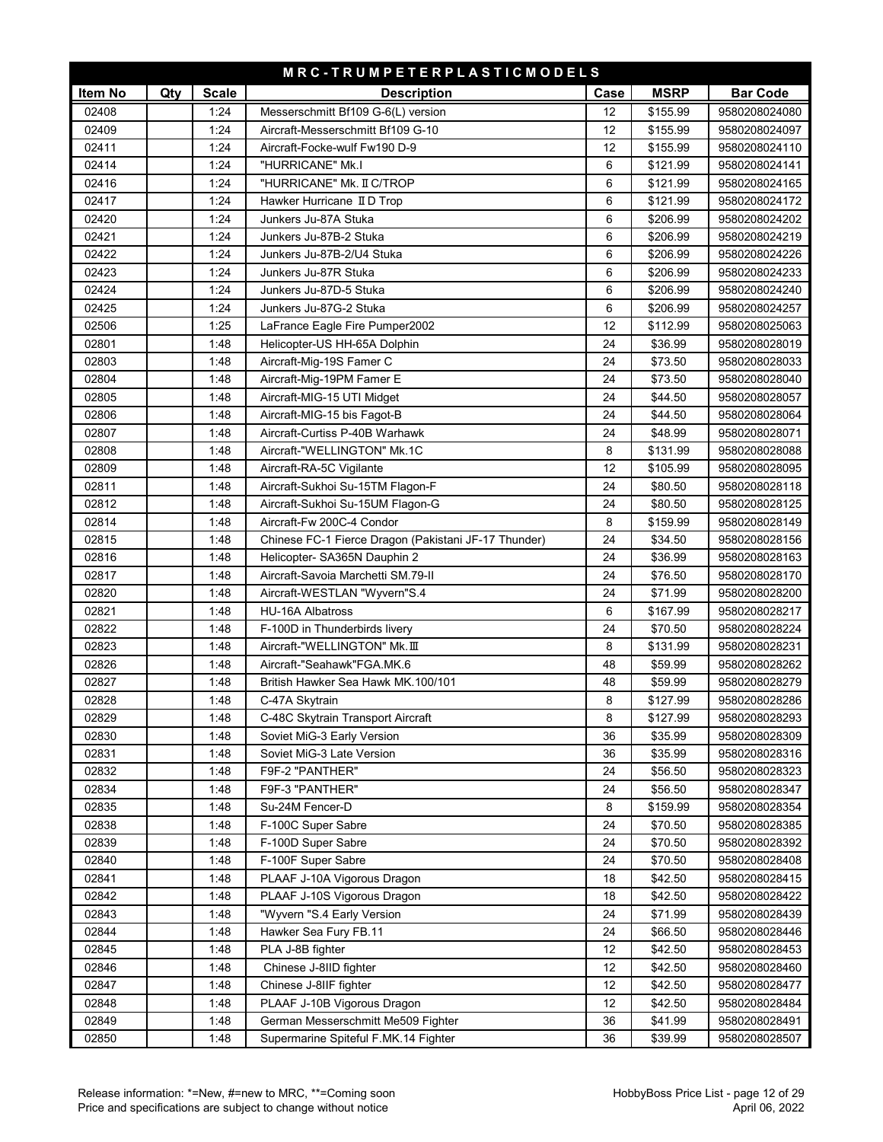| MRC-TRUMPETERPLASTICMODELS |     |              |                                                      |      |             |                 |  |  |
|----------------------------|-----|--------------|------------------------------------------------------|------|-------------|-----------------|--|--|
| Item No                    | Qty | <b>Scale</b> | <b>Description</b>                                   | Case | <b>MSRP</b> | <b>Bar Code</b> |  |  |
| 02408                      |     | 1:24         | Messerschmitt Bf109 G-6(L) version                   | 12   | \$155.99    | 9580208024080   |  |  |
| 02409                      |     | 1:24         | Aircraft-Messerschmitt Bf109 G-10                    | 12   | \$155.99    | 9580208024097   |  |  |
| 02411                      |     | 1:24         | Aircraft-Focke-wulf Fw190 D-9                        | 12   | \$155.99    | 9580208024110   |  |  |
| 02414                      |     | 1:24         | "HURRICANE" Mk.I                                     | 6    | \$121.99    | 9580208024141   |  |  |
| 02416                      |     | 1:24         | "HURRICANE" Mk. II C/TROP                            | 6    | \$121.99    | 9580208024165   |  |  |
| 02417                      |     | 1:24         | Hawker Hurricane II D Trop                           | 6    | \$121.99    | 9580208024172   |  |  |
| 02420                      |     | 1:24         | Junkers Ju-87A Stuka                                 | 6    | \$206.99    | 9580208024202   |  |  |
| 02421                      |     | 1:24         | Junkers Ju-87B-2 Stuka                               | 6    | \$206.99    | 9580208024219   |  |  |
| 02422                      |     | 1:24         | Junkers Ju-87B-2/U4 Stuka                            | 6    | \$206.99    | 9580208024226   |  |  |
| 02423                      |     | 1:24         | Junkers Ju-87R Stuka                                 | 6    | \$206.99    | 9580208024233   |  |  |
| 02424                      |     | 1:24         | Junkers Ju-87D-5 Stuka                               | 6    | \$206.99    | 9580208024240   |  |  |
| 02425                      |     | 1:24         | Junkers Ju-87G-2 Stuka                               | 6    | \$206.99    | 9580208024257   |  |  |
| 02506                      |     | 1:25         | LaFrance Eagle Fire Pumper2002                       | 12   | \$112.99    | 9580208025063   |  |  |
| 02801                      |     | 1:48         | Helicopter-US HH-65A Dolphin                         | 24   | \$36.99     | 9580208028019   |  |  |
| 02803                      |     | 1:48         | Aircraft-Mig-19S Famer C                             | 24   | \$73.50     | 9580208028033   |  |  |
| 02804                      |     | 1:48         | Aircraft-Mig-19PM Famer E                            | 24   | \$73.50     | 9580208028040   |  |  |
| 02805                      |     | 1:48         | Aircraft-MIG-15 UTI Midget                           | 24   | \$44.50     | 9580208028057   |  |  |
| 02806                      |     | 1:48         | Aircraft-MIG-15 bis Fagot-B                          | 24   | \$44.50     | 9580208028064   |  |  |
| 02807                      |     | 1:48         | Aircraft-Curtiss P-40B Warhawk                       | 24   | \$48.99     | 9580208028071   |  |  |
| 02808                      |     | 1:48         | Aircraft-"WELLINGTON" Mk.1C                          | 8    | \$131.99    | 9580208028088   |  |  |
| 02809                      |     | 1:48         | Aircraft-RA-5C Vigilante                             | 12   | \$105.99    | 9580208028095   |  |  |
| 02811                      |     | 1:48         | Aircraft-Sukhoi Su-15TM Flagon-F                     | 24   | \$80.50     | 9580208028118   |  |  |
| 02812                      |     | 1:48         | Aircraft-Sukhoi Su-15UM Flagon-G                     | 24   | \$80.50     | 9580208028125   |  |  |
| 02814                      |     | 1:48         | Aircraft-Fw 200C-4 Condor                            | 8    | \$159.99    | 9580208028149   |  |  |
| 02815                      |     | 1:48         | Chinese FC-1 Fierce Dragon (Pakistani JF-17 Thunder) | 24   | \$34.50     | 9580208028156   |  |  |
| 02816                      |     | 1:48         | Helicopter- SA365N Dauphin 2                         | 24   | \$36.99     | 9580208028163   |  |  |
| 02817                      |     | 1:48         | Aircraft-Savoia Marchetti SM.79-II                   | 24   | \$76.50     | 9580208028170   |  |  |
| 02820                      |     | 1:48         | Aircraft-WESTLAN "Wyvern"S.4                         | 24   | \$71.99     | 9580208028200   |  |  |
| 02821                      |     | 1:48         | <b>HU-16A Albatross</b>                              | 6    | \$167.99    | 9580208028217   |  |  |
| 02822                      |     | 1:48         | F-100D in Thunderbirds livery                        | 24   | \$70.50     | 9580208028224   |  |  |
| 02823                      |     | 1:48         | Aircraft-"WELLINGTON" Mk. III                        | 8    | \$131.99    | 9580208028231   |  |  |
| 02826                      |     | 1:48         | Aircraft-"Seahawk"FGA.MK.6                           | 48   | \$59.99     | 9580208028262   |  |  |
| 02827                      |     | 1:48         | British Hawker Sea Hawk MK.100/101                   | 48   | \$59.99     | 9580208028279   |  |  |
| 02828                      |     | 1:48         | C-47A Skytrain                                       | 8    | \$127.99    | 9580208028286   |  |  |
| 02829                      |     | 1:48         | C-48C Skytrain Transport Aircraft                    | 8    | \$127.99    | 9580208028293   |  |  |
| 02830                      |     | 1:48         | Soviet MiG-3 Early Version                           | 36   | \$35.99     | 9580208028309   |  |  |
| 02831                      |     | 1:48         | Soviet MiG-3 Late Version                            | 36   | \$35.99     | 9580208028316   |  |  |
| 02832                      |     | 1:48         | F9F-2 "PANTHER"                                      | 24   | \$56.50     | 9580208028323   |  |  |
| 02834                      |     | 1:48         | F9F-3 "PANTHER"                                      | 24   | \$56.50     | 9580208028347   |  |  |
| 02835                      |     | 1:48         | Su-24M Fencer-D                                      | 8    | \$159.99    | 9580208028354   |  |  |
| 02838                      |     | 1:48         | F-100C Super Sabre                                   | 24   | \$70.50     | 9580208028385   |  |  |
| 02839                      |     | 1:48         | F-100D Super Sabre                                   | 24   | \$70.50     | 9580208028392   |  |  |
| 02840                      |     | 1:48         | F-100F Super Sabre                                   | 24   | \$70.50     | 9580208028408   |  |  |
| 02841                      |     | 1:48         | PLAAF J-10A Vigorous Dragon                          | 18   | \$42.50     | 9580208028415   |  |  |
| 02842                      |     | 1:48         | PLAAF J-10S Vigorous Dragon                          | 18   | \$42.50     | 9580208028422   |  |  |
| 02843                      |     | 1:48         | "Wyvern "S.4 Early Version                           | 24   | \$71.99     | 9580208028439   |  |  |
| 02844                      |     | 1:48         | Hawker Sea Fury FB.11                                | 24   | \$66.50     | 9580208028446   |  |  |
| 02845                      |     | 1:48         | PLA J-8B fighter                                     | 12   | \$42.50     | 9580208028453   |  |  |
| 02846                      |     | 1:48         | Chinese J-8IID fighter                               | 12   | \$42.50     | 9580208028460   |  |  |
| 02847                      |     | 1:48         | Chinese J-8IIF fighter                               | 12   | \$42.50     | 9580208028477   |  |  |
| 02848                      |     | 1:48         | PLAAF J-10B Vigorous Dragon                          | 12   | \$42.50     | 9580208028484   |  |  |
| 02849                      |     | 1:48         | German Messerschmitt Me509 Fighter                   | 36   | \$41.99     | 9580208028491   |  |  |
| 02850                      |     | 1:48         | Supermarine Spiteful F.MK.14 Fighter                 | 36   | \$39.99     | 9580208028507   |  |  |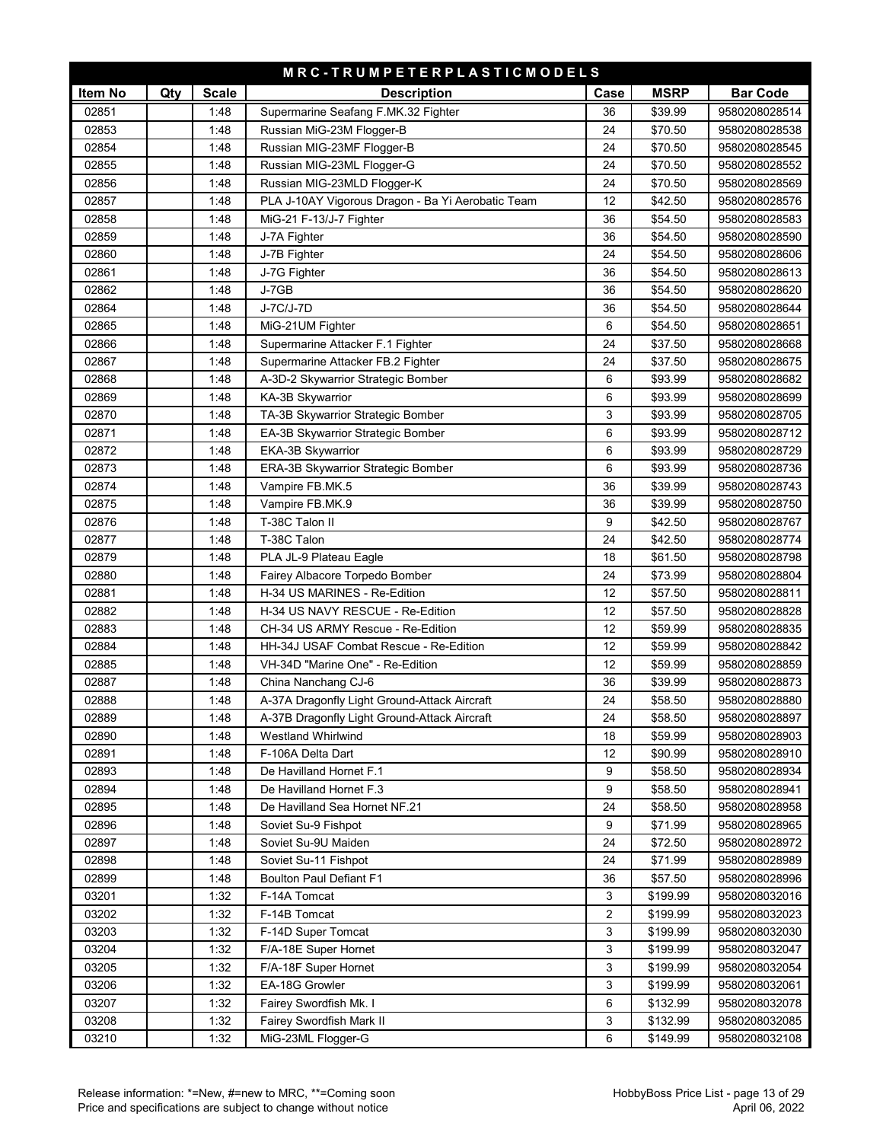| MRC-TRUMPETERPLASTICMODELS |     |              |                                                   |      |             |                 |  |  |
|----------------------------|-----|--------------|---------------------------------------------------|------|-------------|-----------------|--|--|
| Item No                    | Qty | <b>Scale</b> | <b>Description</b>                                | Case | <b>MSRP</b> | <b>Bar Code</b> |  |  |
| 02851                      |     | 1:48         | Supermarine Seafang F.MK.32 Fighter               | 36   | \$39.99     | 9580208028514   |  |  |
| 02853                      |     | 1:48         | Russian MiG-23M Flogger-B                         | 24   | \$70.50     | 9580208028538   |  |  |
| 02854                      |     | 1:48         | Russian MIG-23MF Flogger-B                        | 24   | \$70.50     | 9580208028545   |  |  |
| 02855                      |     | 1:48         | Russian MIG-23ML Flogger-G                        | 24   | \$70.50     | 9580208028552   |  |  |
| 02856                      |     | 1:48         | Russian MIG-23MLD Flogger-K                       | 24   | \$70.50     | 9580208028569   |  |  |
| 02857                      |     | 1:48         | PLA J-10AY Vigorous Dragon - Ba Yi Aerobatic Team | 12   | \$42.50     | 9580208028576   |  |  |
| 02858                      |     | 1:48         | MiG-21 F-13/J-7 Fighter                           | 36   | \$54.50     | 9580208028583   |  |  |
| 02859                      |     | 1:48         | J-7A Fighter                                      | 36   | \$54.50     | 9580208028590   |  |  |
| 02860                      |     | 1:48         | J-7B Fighter                                      | 24   | \$54.50     | 9580208028606   |  |  |
| 02861                      |     | 1:48         | J-7G Fighter                                      | 36   | \$54.50     | 9580208028613   |  |  |
| 02862                      |     | 1:48         | J-7GB                                             | 36   | \$54.50     | 9580208028620   |  |  |
| 02864                      |     | 1:48         | J-7C/J-7D                                         | 36   | \$54.50     | 9580208028644   |  |  |
| 02865                      |     | 1:48         | MiG-21UM Fighter                                  | 6    | \$54.50     | 9580208028651   |  |  |
| 02866                      |     | 1:48         | Supermarine Attacker F.1 Fighter                  | 24   | \$37.50     | 9580208028668   |  |  |
| 02867                      |     | 1:48         | Supermarine Attacker FB.2 Fighter                 | 24   | \$37.50     | 9580208028675   |  |  |
| 02868                      |     | 1:48         | A-3D-2 Skywarrior Strategic Bomber                | 6    | \$93.99     | 9580208028682   |  |  |
| 02869                      |     | 1:48         | KA-3B Skywarrior                                  | 6    | \$93.99     | 9580208028699   |  |  |
| 02870                      |     | 1:48         | TA-3B Skywarrior Strategic Bomber                 | 3    | \$93.99     | 9580208028705   |  |  |
| 02871                      |     | 1:48         | EA-3B Skywarrior Strategic Bomber                 | 6    | \$93.99     | 9580208028712   |  |  |
| 02872                      |     | 1:48         | EKA-3B Skywarrior                                 | 6    | \$93.99     | 9580208028729   |  |  |
| 02873                      |     | 1:48         | ERA-3B Skywarrior Strategic Bomber                | 6    | \$93.99     | 9580208028736   |  |  |
| 02874                      |     | 1:48         | Vampire FB.MK.5                                   | 36   | \$39.99     | 9580208028743   |  |  |
| 02875                      |     | 1:48         | Vampire FB.MK.9                                   | 36   | \$39.99     | 9580208028750   |  |  |
| 02876                      |     | 1:48         | T-38C Talon II                                    | 9    | \$42.50     | 9580208028767   |  |  |
| 02877                      |     | 1:48         | T-38C Talon                                       | 24   | \$42.50     | 9580208028774   |  |  |
| 02879                      |     | 1:48         | PLA JL-9 Plateau Eagle                            | 18   | \$61.50     | 9580208028798   |  |  |
| 02880                      |     | 1:48         | Fairey Albacore Torpedo Bomber                    | 24   | \$73.99     | 9580208028804   |  |  |
| 02881                      |     | 1:48         | H-34 US MARINES - Re-Edition                      | 12   | \$57.50     | 9580208028811   |  |  |
| 02882                      |     | 1:48         | H-34 US NAVY RESCUE - Re-Edition                  | 12   | \$57.50     | 9580208028828   |  |  |
| 02883                      |     | 1:48         | CH-34 US ARMY Rescue - Re-Edition                 | 12   | \$59.99     | 9580208028835   |  |  |
| 02884                      |     | 1:48         | HH-34J USAF Combat Rescue - Re-Edition            | 12   | \$59.99     | 9580208028842   |  |  |
| 02885                      |     | 1:48         | VH-34D "Marine One" - Re-Edition                  | 12   | \$59.99     | 9580208028859   |  |  |
| 02887                      |     | 1:48         | China Nanchang CJ-6                               | 36   | \$39.99     | 9580208028873   |  |  |
| 02888                      |     | 1:48         | A-37A Dragonfly Light Ground-Attack Aircraft      | 24   | \$58.50     | 9580208028880   |  |  |
| 02889                      |     | 1:48         | A-37B Dragonfly Light Ground-Attack Aircraft      | 24   | \$58.50     | 9580208028897   |  |  |
| 02890                      |     | 1:48         | Westland Whirlwind                                | 18   | \$59.99     | 9580208028903   |  |  |
| 02891                      |     | 1:48         | F-106A Delta Dart                                 | 12   | \$90.99     | 9580208028910   |  |  |
| 02893                      |     | 1:48         | De Havilland Hornet F.1                           | 9    | \$58.50     | 9580208028934   |  |  |
| 02894                      |     | 1:48         | De Havilland Hornet F.3                           | 9    | \$58.50     | 9580208028941   |  |  |
| 02895                      |     | 1:48         | De Havilland Sea Hornet NF.21                     | 24   | \$58.50     | 9580208028958   |  |  |
| 02896                      |     | 1:48         | Soviet Su-9 Fishpot                               | 9    | \$71.99     | 9580208028965   |  |  |
| 02897                      |     | 1:48         | Soviet Su-9U Maiden                               | 24   | \$72.50     | 9580208028972   |  |  |
| 02898                      |     | 1:48         | Soviet Su-11 Fishpot                              | 24   | \$71.99     | 9580208028989   |  |  |
| 02899                      |     | 1:48         | <b>Boulton Paul Defiant F1</b>                    | 36   | \$57.50     | 9580208028996   |  |  |
| 03201                      |     | 1:32         | F-14A Tomcat                                      | 3    | \$199.99    | 9580208032016   |  |  |
| 03202                      |     | 1:32         | F-14B Tomcat                                      | 2    | \$199.99    | 9580208032023   |  |  |
| 03203                      |     | 1:32         | F-14D Super Tomcat                                | 3    | \$199.99    | 9580208032030   |  |  |
| 03204                      |     | 1:32         | F/A-18E Super Hornet                              | 3    | \$199.99    | 9580208032047   |  |  |
| 03205                      |     | 1:32         | F/A-18F Super Hornet                              | 3    | \$199.99    | 9580208032054   |  |  |
| 03206                      |     | 1:32         | EA-18G Growler                                    | 3    | \$199.99    | 9580208032061   |  |  |
| 03207                      |     | 1:32         | Fairey Swordfish Mk. I                            | 6    | \$132.99    | 9580208032078   |  |  |
| 03208                      |     | 1:32         | Fairey Swordfish Mark II                          | 3    | \$132.99    | 9580208032085   |  |  |
| 03210                      |     | 1:32         | MiG-23ML Flogger-G                                | 6    | \$149.99    | 9580208032108   |  |  |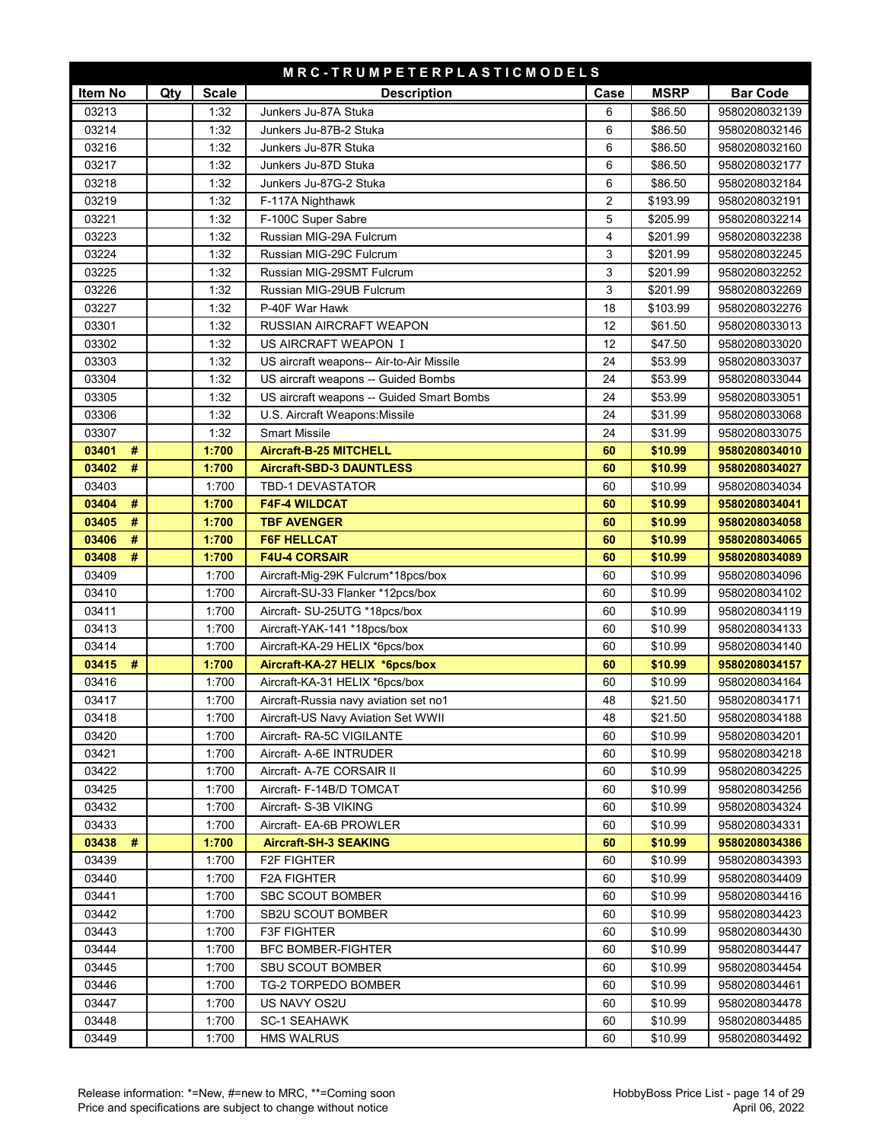| MRC-TRUMPETERPLASTICMODELS |     |                |                                                       |          |                    |                                |  |
|----------------------------|-----|----------------|-------------------------------------------------------|----------|--------------------|--------------------------------|--|
| Item No                    | Qty | <b>Scale</b>   | <b>Description</b>                                    | Case     | <b>MSRP</b>        | <b>Bar Code</b>                |  |
| 03213                      |     | 1:32           | Junkers Ju-87A Stuka                                  | 6        | \$86.50            | 9580208032139                  |  |
| 03214                      |     | 1:32           | Junkers Ju-87B-2 Stuka                                | 6        | \$86.50            | 9580208032146                  |  |
| 03216                      |     | 1:32           | Junkers Ju-87R Stuka                                  | 6        | \$86.50            | 9580208032160                  |  |
| 03217                      |     | 1:32           | Junkers Ju-87D Stuka                                  | 6        | \$86.50            | 9580208032177                  |  |
| 03218                      |     | 1:32           | Junkers Ju-87G-2 Stuka                                | 6        | \$86.50            | 9580208032184                  |  |
| 03219                      |     | 1:32           | F-117A Nighthawk                                      | 2        | \$193.99           | 9580208032191                  |  |
| 03221                      |     | 1:32           | F-100C Super Sabre                                    | 5        | \$205.99           | 9580208032214                  |  |
| 03223                      |     | 1:32           | Russian MIG-29A Fulcrum                               | 4        | \$201.99           | 9580208032238                  |  |
| 03224                      |     | 1:32           | Russian MIG-29C Fulcrum                               | 3        | \$201.99           | 9580208032245                  |  |
| 03225                      |     | 1:32           | Russian MIG-29SMT Fulcrum                             | 3        | \$201.99           | 9580208032252                  |  |
| 03226                      |     | 1:32           | Russian MIG-29UB Fulcrum                              | 3        | \$201.99           | 9580208032269                  |  |
| 03227                      |     | 1:32           | P-40F War Hawk                                        | 18       | \$103.99           | 9580208032276                  |  |
| 03301                      |     | 1:32           | RUSSIAN AIRCRAFT WEAPON                               | 12       | \$61.50            | 9580208033013                  |  |
| 03302                      |     | 1:32           | US AIRCRAFT WEAPON I                                  | 12       | \$47.50            | 9580208033020                  |  |
| 03303                      |     | 1:32           | US aircraft weapons-- Air-to-Air Missile              | 24       | \$53.99            | 9580208033037                  |  |
| 03304                      |     | 1:32           | US aircraft weapons -- Guided Bombs                   | 24       | \$53.99            | 9580208033044                  |  |
| 03305                      |     | 1:32           | US aircraft weapons -- Guided Smart Bombs             | 24       | \$53.99            | 9580208033051                  |  |
| 03306                      |     | 1:32           | U.S. Aircraft Weapons: Missile                        | 24       | \$31.99            | 9580208033068                  |  |
| 03307                      |     | 1:32           | <b>Smart Missile</b>                                  | 24       | \$31.99            | 9580208033075                  |  |
| 03401<br>#                 |     | 1:700          | <b>Aircraft-B-25 MITCHELL</b>                         | 60       | \$10.99            | 9580208034010                  |  |
| 03402<br>#                 |     | 1:700          | <b>Aircraft-SBD-3 DAUNTLESS</b>                       | 60       | \$10.99            | 9580208034027                  |  |
| 03403                      |     | 1:700          | <b>TBD-1 DEVASTATOR</b>                               | 60       | \$10.99            | 9580208034034                  |  |
| #<br>03404                 |     | 1:700          | <b>F4F-4 WILDCAT</b>                                  | 60       | \$10.99            | 9580208034041                  |  |
| 03405<br>#                 |     | 1:700          | <b>TBF AVENGER</b>                                    | 60       | \$10.99            | 9580208034058                  |  |
| 03406<br>#                 |     | 1:700          | <b>F6F HELLCAT</b>                                    | 60       | \$10.99            | 9580208034065                  |  |
| 03408<br>#                 |     | 1:700          | <b>F4U-4 CORSAIR</b>                                  | 60       | \$10.99            | 9580208034089                  |  |
| 03409                      |     | 1:700          | Aircraft-Mig-29K Fulcrum*18pcs/box                    | 60       | \$10.99            | 9580208034096                  |  |
| 03410                      |     | 1:700          | Aircraft-SU-33 Flanker *12pcs/box                     | 60       | \$10.99            | 9580208034102                  |  |
| 03411                      |     | 1:700          | Aircraft- SU-25UTG *18pcs/box                         | 60       | \$10.99            | 9580208034119                  |  |
| 03413                      |     | 1:700          | Aircraft-YAK-141 *18pcs/box                           | 60       | \$10.99            | 9580208034133                  |  |
| 03414                      |     | 1:700          | Aircraft-KA-29 HELIX *6pcs/box                        | 60       | \$10.99            | 9580208034140                  |  |
| 03415<br>#                 |     | 1:700          | Aircraft-KA-27 HELIX *6pcs/box                        | 60       | \$10.99            | 9580208034157                  |  |
| 03416                      |     | 1:700          | Aircraft-KA-31 HELIX *6pcs/box                        | 60       | \$10.99            | 9580208034164                  |  |
| 03417                      |     | 1:700          | Aircraft-Russia navy aviation set no1                 | 48       | \$21.50            | 9580208034171                  |  |
| 03418                      |     | 1:700          | Aircraft-US Navy Aviation Set WWII                    | 48       | \$21.50            | 9580208034188                  |  |
| 03420                      |     | 1:700          | Aircraft- RA-5C VIGILANTE                             | 60       | \$10.99            | 9580208034201                  |  |
| 03421                      |     | 1:700          | Aircraft- A-6E INTRUDER                               | 60       | \$10.99<br>\$10.99 | 9580208034218                  |  |
| 03422<br>03425             |     | 1:700<br>1:700 | Aircraft- A-7E CORSAIR II<br>Aircraft- F-14B/D TOMCAT | 60<br>60 | \$10.99            | 9580208034225<br>9580208034256 |  |
| 03432                      |     | 1:700          | Aircraft- S-3B VIKING                                 | 60       | \$10.99            |                                |  |
| 03433                      |     | 1:700          | Aircraft- EA-6B PROWLER                               | 60       | \$10.99            | 9580208034324<br>9580208034331 |  |
| 03438<br>#                 |     | 1:700          | <b>Aircraft-SH-3 SEAKING</b>                          | 60       | \$10.99            | 9580208034386                  |  |
| 03439                      |     | 1:700          | F2F FIGHTER                                           | 60       | \$10.99            | 9580208034393                  |  |
| 03440                      |     | 1:700          | F2A FIGHTER                                           | 60       | \$10.99            | 9580208034409                  |  |
| 03441                      |     | 1:700          | <b>SBC SCOUT BOMBER</b>                               | 60       | \$10.99            | 9580208034416                  |  |
| 03442                      |     | 1:700          | SB2U SCOUT BOMBER                                     | 60       | \$10.99            | 9580208034423                  |  |
| 03443                      |     | 1:700          | <b>F3F FIGHTER</b>                                    | 60       | \$10.99            | 9580208034430                  |  |
| 03444                      |     | 1:700          | <b>BFC BOMBER-FIGHTER</b>                             | 60       | \$10.99            | 9580208034447                  |  |
| 03445                      |     | 1:700          | <b>SBU SCOUT BOMBER</b>                               | 60       | \$10.99            | 9580208034454                  |  |
| 03446                      |     | 1:700          | TG-2 TORPEDO BOMBER                                   | 60       | \$10.99            | 9580208034461                  |  |
| 03447                      |     | 1:700          | US NAVY OS2U                                          | 60       | \$10.99            | 9580208034478                  |  |
| 03448                      |     | 1:700          | <b>SC-1 SEAHAWK</b>                                   | 60       | \$10.99            | 9580208034485                  |  |
| 03449                      |     | 1:700          | <b>HMS WALRUS</b>                                     | 60       | \$10.99            | 9580208034492                  |  |
|                            |     |                |                                                       |          |                    |                                |  |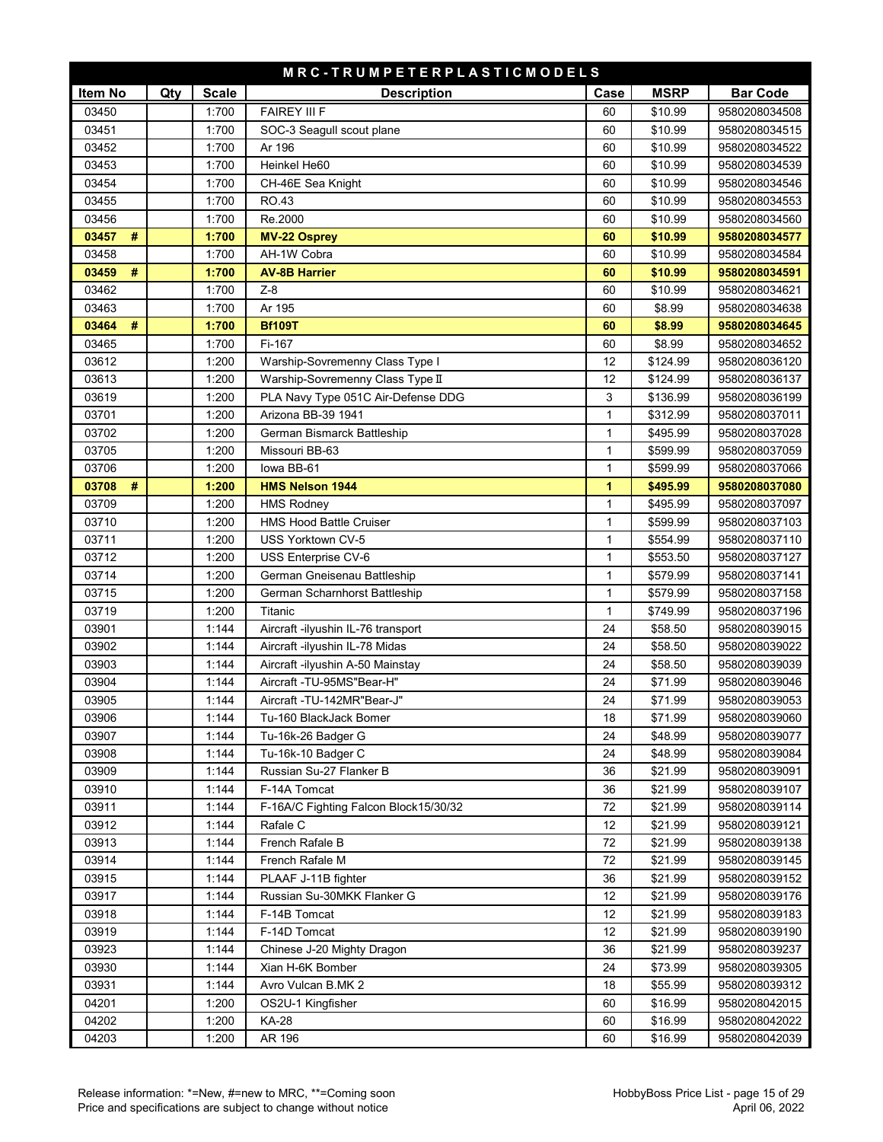| MRC-TRUMPETERPLASTICMODELS |     |                |                                                   |              |                    |                                |  |
|----------------------------|-----|----------------|---------------------------------------------------|--------------|--------------------|--------------------------------|--|
| Item No                    | Qty | <b>Scale</b>   | <b>Description</b>                                | Case         | <b>MSRP</b>        | <b>Bar Code</b>                |  |
| 03450                      |     | 1:700          | <b>FAIREY III F</b>                               | 60           | \$10.99            | 9580208034508                  |  |
| 03451                      |     | 1:700          | SOC-3 Seagull scout plane                         | 60           | \$10.99            | 9580208034515                  |  |
| 03452                      |     | 1:700          | Ar 196                                            | 60           | \$10.99            | 9580208034522                  |  |
| 03453                      |     | 1:700          | Heinkel He60                                      | 60           | \$10.99            | 9580208034539                  |  |
| 03454                      |     | 1:700          | CH-46E Sea Knight                                 | 60           | \$10.99            | 9580208034546                  |  |
| 03455                      |     | 1:700          | RO.43                                             | 60           | \$10.99            | 9580208034553                  |  |
| 03456                      |     | 1:700          | Re.2000                                           | 60           | \$10.99            | 9580208034560                  |  |
| 03457<br>#                 |     | 1:700          | <b>MV-22 Osprey</b>                               | 60           | \$10.99            | 9580208034577                  |  |
| 03458                      |     | 1:700          | AH-1W Cobra                                       | 60           | \$10.99            | 9580208034584                  |  |
| 03459<br>#                 |     | 1:700          | <b>AV-8B Harrier</b>                              | 60           | \$10.99            | 9580208034591                  |  |
| 03462                      |     | 1:700          | $Z-8$                                             | 60           | \$10.99            | 9580208034621                  |  |
| 03463                      |     | 1:700          | Ar 195                                            | 60           | \$8.99             | 9580208034638                  |  |
| #<br>03464                 |     | 1:700          | <b>Bf109T</b>                                     | 60           | \$8.99             | 9580208034645                  |  |
| 03465                      |     | 1:700          | Fi-167                                            | 60           | \$8.99             | 9580208034652                  |  |
| 03612                      |     | 1:200          | Warship-Sovremenny Class Type I                   | 12           | \$124.99           | 9580208036120                  |  |
| 03613                      |     | 1:200          | Warship-Sovremenny Class Type II                  | 12           | \$124.99           | 9580208036137                  |  |
| 03619                      |     | 1:200          | PLA Navy Type 051C Air-Defense DDG                | 3            | \$136.99           | 9580208036199                  |  |
| 03701                      |     | 1:200          | Arizona BB-39 1941                                | $\mathbf{1}$ | \$312.99           | 9580208037011                  |  |
| 03702                      |     | 1:200          | German Bismarck Battleship                        | $\mathbf{1}$ | \$495.99           | 9580208037028                  |  |
| 03705                      |     | 1:200          | Missouri BB-63                                    | $\mathbf{1}$ | \$599.99           | 9580208037059                  |  |
| 03706                      |     | 1:200          | lowa BB-61                                        | $\mathbf{1}$ | \$599.99           | 9580208037066                  |  |
| #<br>03708                 |     | 1:200          | <b>HMS Nelson 1944</b>                            | 1            | \$495.99           | 9580208037080                  |  |
| 03709                      |     | 1:200          | <b>HMS Rodney</b>                                 | 1            | \$495.99           | 9580208037097                  |  |
| 03710                      |     | 1:200          | <b>HMS Hood Battle Cruiser</b>                    | $\mathbf{1}$ | \$599.99           | 9580208037103                  |  |
| 03711                      |     | 1:200          | USS Yorktown CV-5                                 | 1            | \$554.99           | 9580208037110                  |  |
| 03712                      |     | 1:200          | USS Enterprise CV-6                               | 1            | \$553.50           | 9580208037127                  |  |
| 03714                      |     | 1:200          | German Gneisenau Battleship                       | 1            | \$579.99           | 9580208037141                  |  |
| 03715                      |     | 1:200          | German Scharnhorst Battleship                     | 1            | \$579.99           | 9580208037158                  |  |
| 03719                      |     | 1:200          | Titanic                                           | $\mathbf{1}$ | \$749.99           | 9580208037196                  |  |
| 03901                      |     | 1:144          | Aircraft -ilyushin IL-76 transport                | 24           | \$58.50            | 9580208039015                  |  |
| 03902                      |     | 1:144          | Aircraft -ilyushin IL-78 Midas                    | 24           | \$58.50            | 9580208039022                  |  |
| 03903                      |     | 1:144          | Aircraft -ilyushin A-50 Mainstay                  | 24           | \$58.50            | 9580208039039                  |  |
| 03904                      |     | 1:144          | Aircraft -TU-95MS"Bear-H"                         | 24           | \$71.99            | 9580208039046                  |  |
| 03905                      |     | 1:144          | Aircraft -TU-142MR"Bear-J"                        | 24           | \$71.99            | 9580208039053                  |  |
| 03906                      |     | 1:144          | Tu-160 BlackJack Bomer                            | 18           | \$71.99            | 9580208039060                  |  |
| 03907                      |     | 1:144          | Tu-16k-26 Badger G                                | 24           | \$48.99            | 9580208039077                  |  |
| 03908                      |     | 1:144          | Tu-16k-10 Badger C                                | 24           | \$48.99            | 9580208039084                  |  |
| 03909                      |     | 1:144          | Russian Su-27 Flanker B                           | 36           | \$21.99            | 9580208039091                  |  |
| 03910                      |     | 1:144          | F-14A Tomcat                                      | 36           | \$21.99            | 9580208039107                  |  |
| 03911                      |     | 1:144          | F-16A/C Fighting Falcon Block15/30/32             | 72           | \$21.99            | 9580208039114                  |  |
| 03912                      |     | 1:144          | Rafale C                                          | 12           | \$21.99            | 9580208039121                  |  |
| 03913                      |     | 1:144          | French Rafale B                                   | 72           | \$21.99            | 9580208039138                  |  |
| 03914                      |     | 1:144          | French Rafale M                                   | 72           | \$21.99            | 9580208039145                  |  |
| 03915<br>03917             |     | 1:144<br>1:144 | PLAAF J-11B fighter<br>Russian Su-30MKK Flanker G | 36<br>12     | \$21.99<br>\$21.99 | 9580208039152<br>9580208039176 |  |
| 03918                      |     | 1:144          | F-14B Tomcat                                      | 12           | \$21.99            | 9580208039183                  |  |
|                            |     |                |                                                   |              |                    | 9580208039190                  |  |
| 03919<br>03923             |     | 1:144<br>1:144 | F-14D Tomcat<br>Chinese J-20 Mighty Dragon        | 12<br>36     | \$21.99<br>\$21.99 | 9580208039237                  |  |
| 03930                      |     | 1:144          | Xian H-6K Bomber                                  | 24           | \$73.99            | 9580208039305                  |  |
| 03931                      |     | 1:144          | Avro Vulcan B.MK 2                                | 18           | \$55.99            | 9580208039312                  |  |
| 04201                      |     | 1:200          | OS2U-1 Kingfisher                                 | 60           | \$16.99            | 9580208042015                  |  |
| 04202                      |     | 1:200          | <b>KA-28</b>                                      | 60           | \$16.99            | 9580208042022                  |  |
| 04203                      |     | 1:200          | AR 196                                            | 60           | \$16.99            | 9580208042039                  |  |
|                            |     |                |                                                   |              |                    |                                |  |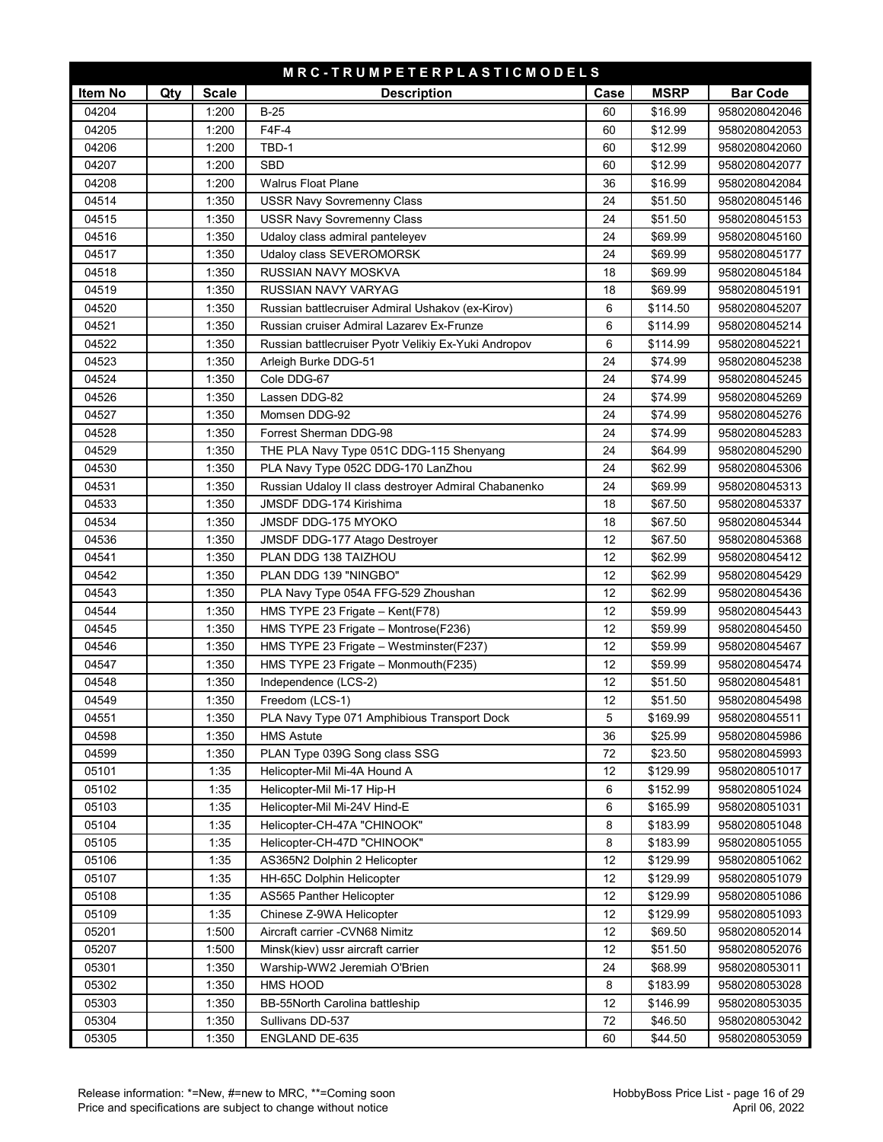| MRC-TRUMPETERPLASTICMODELS |     |              |                                                      |      |             |                 |  |
|----------------------------|-----|--------------|------------------------------------------------------|------|-------------|-----------------|--|
| Item No                    | Qty | <b>Scale</b> | <b>Description</b>                                   | Case | <b>MSRP</b> | <b>Bar Code</b> |  |
| 04204                      |     | 1:200        | $B-25$                                               | 60   | \$16.99     | 9580208042046   |  |
| 04205                      |     | 1:200        | F4F-4                                                | 60   | \$12.99     | 9580208042053   |  |
| 04206                      |     | 1:200        | TBD-1                                                | 60   | \$12.99     | 9580208042060   |  |
| 04207                      |     | 1:200        | <b>SBD</b>                                           | 60   | \$12.99     | 9580208042077   |  |
| 04208                      |     | 1:200        | <b>Walrus Float Plane</b>                            | 36   | \$16.99     | 9580208042084   |  |
| 04514                      |     | 1:350        | <b>USSR Navy Sovremenny Class</b>                    | 24   | \$51.50     | 9580208045146   |  |
| 04515                      |     | 1:350        | <b>USSR Navy Sovremenny Class</b>                    | 24   | \$51.50     | 9580208045153   |  |
| 04516                      |     | 1:350        | Udaloy class admiral panteleyev                      | 24   | \$69.99     | 9580208045160   |  |
| 04517                      |     | 1:350        | Udaloy class SEVEROMORSK                             | 24   | \$69.99     | 9580208045177   |  |
| 04518                      |     | 1:350        | RUSSIAN NAVY MOSKVA                                  | 18   | \$69.99     | 9580208045184   |  |
| 04519                      |     | 1:350        | RUSSIAN NAVY VARYAG                                  | 18   | \$69.99     | 9580208045191   |  |
| 04520                      |     | 1:350        | Russian battlecruiser Admiral Ushakov (ex-Kirov)     | 6    | \$114.50    | 9580208045207   |  |
| 04521                      |     | 1:350        | Russian cruiser Admiral Lazarev Ex-Frunze            | 6    | \$114.99    | 9580208045214   |  |
| 04522                      |     | 1:350        | Russian battlecruiser Pyotr Velikiy Ex-Yuki Andropov | 6    | \$114.99    | 9580208045221   |  |
| 04523                      |     | 1:350        | Arleigh Burke DDG-51                                 | 24   | \$74.99     | 9580208045238   |  |
| 04524                      |     | 1:350        | Cole DDG-67                                          | 24   | \$74.99     | 9580208045245   |  |
| 04526                      |     | 1:350        | Lassen DDG-82                                        | 24   | \$74.99     | 9580208045269   |  |
| 04527                      |     | 1:350        | Momsen DDG-92                                        | 24   | \$74.99     | 9580208045276   |  |
| 04528                      |     | 1:350        | Forrest Sherman DDG-98                               | 24   | \$74.99     | 9580208045283   |  |
| 04529                      |     | 1:350        | THE PLA Navy Type 051C DDG-115 Shenyang              | 24   | \$64.99     | 9580208045290   |  |
| 04530                      |     | 1:350        | PLA Navy Type 052C DDG-170 LanZhou                   | 24   | \$62.99     | 9580208045306   |  |
| 04531                      |     | 1:350        | Russian Udaloy II class destroyer Admiral Chabanenko | 24   | \$69.99     | 9580208045313   |  |
| 04533                      |     | 1:350        | JMSDF DDG-174 Kirishima                              | 18   | \$67.50     | 9580208045337   |  |
| 04534                      |     | 1:350        | JMSDF DDG-175 MYOKO                                  | 18   | \$67.50     | 9580208045344   |  |
| 04536                      |     | 1:350        | <b>JMSDF DDG-177 Atago Destroyer</b>                 | 12   | \$67.50     | 9580208045368   |  |
| 04541                      |     | 1:350        | PLAN DDG 138 TAIZHOU                                 | 12   | \$62.99     | 9580208045412   |  |
| 04542                      |     | 1:350        | PLAN DDG 139 "NINGBO"                                | 12   | \$62.99     | 9580208045429   |  |
| 04543                      |     | 1:350        | PLA Navy Type 054A FFG-529 Zhoushan                  | 12   | \$62.99     | 9580208045436   |  |
| 04544                      |     | 1:350        | HMS TYPE 23 Frigate - Kent(F78)                      | 12   | \$59.99     | 9580208045443   |  |
| 04545                      |     | 1:350        | HMS TYPE 23 Frigate - Montrose(F236)                 | 12   | \$59.99     | 9580208045450   |  |
| 04546                      |     | 1:350        | HMS TYPE 23 Frigate - Westminster(F237)              | 12   | \$59.99     | 9580208045467   |  |
| 04547                      |     | 1:350        | HMS TYPE 23 Frigate - Monmouth(F235)                 | 12   | \$59.99     | 9580208045474   |  |
| 04548                      |     | 1:350        | Independence (LCS-2)                                 | 12   | \$51.50     | 9580208045481   |  |
| 04549                      |     | 1:350        | Freedom (LCS-1)                                      | 12   | \$51.50     | 9580208045498   |  |
| 04551                      |     | 1:350        | PLA Navy Type 071 Amphibious Transport Dock          | 5    | \$169.99    | 9580208045511   |  |
| 04598                      |     | 1:350        | <b>HMS Astute</b>                                    | 36   | \$25.99     | 9580208045986   |  |
| 04599                      |     | 1:350        | PLAN Type 039G Song class SSG                        | 72   | \$23.50     | 9580208045993   |  |
| 05101                      |     | 1:35         | Helicopter-Mil Mi-4A Hound A                         | 12   | \$129.99    | 9580208051017   |  |
| 05102                      |     | 1:35         | Helicopter-Mil Mi-17 Hip-H                           | 6    | \$152.99    | 9580208051024   |  |
| 05103                      |     | 1:35         | Helicopter-Mil Mi-24V Hind-E                         | 6    | \$165.99    | 9580208051031   |  |
| 05104                      |     | 1:35         | Helicopter-CH-47A "CHINOOK"                          | 8    | \$183.99    | 9580208051048   |  |
| 05105                      |     | 1:35         | Helicopter-CH-47D "CHINOOK"                          | 8    | \$183.99    | 9580208051055   |  |
| 05106                      |     | 1:35         | AS365N2 Dolphin 2 Helicopter                         | 12   | \$129.99    | 9580208051062   |  |
| 05107                      |     | 1:35         | HH-65C Dolphin Helicopter                            | 12   | \$129.99    | 9580208051079   |  |
| 05108                      |     | 1:35         | AS565 Panther Helicopter                             | 12   | \$129.99    | 9580208051086   |  |
| 05109                      |     | 1:35         | Chinese Z-9WA Helicopter                             | 12   | \$129.99    | 9580208051093   |  |
| 05201                      |     | 1:500        | Aircraft carrier - CVN68 Nimitz                      | 12   | \$69.50     | 9580208052014   |  |
| 05207                      |     | 1:500        | Minsk(kiev) ussr aircraft carrier                    | 12   | \$51.50     | 9580208052076   |  |
| 05301                      |     | 1:350        | Warship-WW2 Jeremiah O'Brien                         | 24   | \$68.99     | 9580208053011   |  |
| 05302                      |     | 1:350        | HMS HOOD                                             | 8    | \$183.99    | 9580208053028   |  |
| 05303                      |     | 1:350        | BB-55North Carolina battleship                       | 12   | \$146.99    | 9580208053035   |  |
| 05304                      |     | 1:350        | Sullivans DD-537                                     | 72   | \$46.50     | 9580208053042   |  |
| 05305                      |     | 1:350        | ENGLAND DE-635                                       | 60   | \$44.50     | 9580208053059   |  |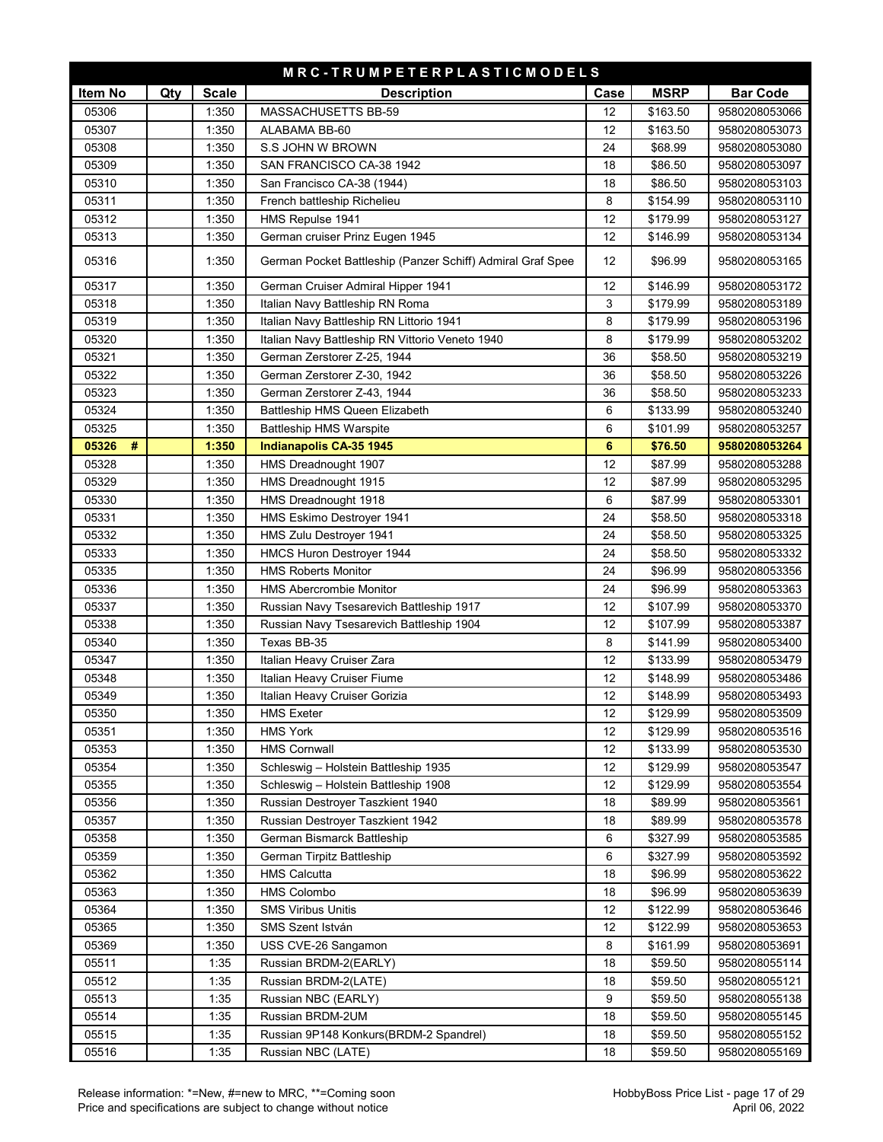| MRC-TRUMPETERPLASTICMODELS |     |              |                                                            |                |             |                 |  |  |
|----------------------------|-----|--------------|------------------------------------------------------------|----------------|-------------|-----------------|--|--|
| Item No                    | Qty | <b>Scale</b> | <b>Description</b>                                         | Case           | <b>MSRP</b> | <b>Bar Code</b> |  |  |
| 05306                      |     | 1:350        | MASSACHUSETTS BB-59                                        | 12             | \$163.50    | 9580208053066   |  |  |
| 05307                      |     | 1:350        | ALABAMA BB-60                                              | 12             | \$163.50    | 9580208053073   |  |  |
| 05308                      |     | 1:350        | S.S JOHN W BROWN                                           | 24             | \$68.99     | 9580208053080   |  |  |
| 05309                      |     | 1:350        | SAN FRANCISCO CA-38 1942                                   | 18             | \$86.50     | 9580208053097   |  |  |
| 05310                      |     | 1:350        | San Francisco CA-38 (1944)                                 | 18             | \$86.50     | 9580208053103   |  |  |
| 05311                      |     | 1:350        | French battleship Richelieu                                | 8              | \$154.99    | 9580208053110   |  |  |
| 05312                      |     | 1:350        | HMS Repulse 1941                                           | 12             | \$179.99    | 9580208053127   |  |  |
| 05313                      |     | 1:350        | German cruiser Prinz Eugen 1945                            | 12             | \$146.99    | 9580208053134   |  |  |
| 05316                      |     | 1:350        | German Pocket Battleship (Panzer Schiff) Admiral Graf Spee | 12             | \$96.99     | 9580208053165   |  |  |
| 05317                      |     | 1:350        | German Cruiser Admiral Hipper 1941                         | 12             | \$146.99    | 9580208053172   |  |  |
| 05318                      |     | 1:350        | Italian Navy Battleship RN Roma                            | 3              | \$179.99    | 9580208053189   |  |  |
| 05319                      |     | 1:350        | Italian Navy Battleship RN Littorio 1941                   | 8              | \$179.99    | 9580208053196   |  |  |
| 05320                      |     | 1:350        | Italian Navy Battleship RN Vittorio Veneto 1940            | 8              | \$179.99    | 9580208053202   |  |  |
| 05321                      |     | 1:350        | German Zerstorer Z-25, 1944                                | 36             | \$58.50     | 9580208053219   |  |  |
| 05322                      |     | 1:350        | German Zerstorer Z-30, 1942                                | 36             | \$58.50     | 9580208053226   |  |  |
| 05323                      |     | 1:350        | German Zerstorer Z-43, 1944                                | 36             | \$58.50     | 9580208053233   |  |  |
| 05324                      |     | 1:350        | Battleship HMS Queen Elizabeth                             | 6              | \$133.99    | 9580208053240   |  |  |
| 05325                      |     | 1:350        | <b>Battleship HMS Warspite</b>                             | 6              | \$101.99    | 9580208053257   |  |  |
| 05326<br>#                 |     | 1:350        | <b>Indianapolis CA-35 1945</b>                             | $6\phantom{1}$ | \$76.50     | 9580208053264   |  |  |
| 05328                      |     | 1:350        | HMS Dreadnought 1907                                       | 12             | \$87.99     | 9580208053288   |  |  |
| 05329                      |     | 1:350        | HMS Dreadnought 1915                                       | 12             | \$87.99     | 9580208053295   |  |  |
| 05330                      |     | 1:350        | HMS Dreadnought 1918                                       | 6              | \$87.99     | 9580208053301   |  |  |
| 05331                      |     | 1:350        | HMS Eskimo Destroyer 1941                                  | 24             | \$58.50     | 9580208053318   |  |  |
| 05332                      |     | 1:350        | HMS Zulu Destroyer 1941                                    | 24             | \$58.50     | 9580208053325   |  |  |
| 05333                      |     | 1:350        | HMCS Huron Destroyer 1944                                  | 24             | \$58.50     | 9580208053332   |  |  |
| 05335                      |     | 1:350        | <b>HMS Roberts Monitor</b>                                 | 24             | \$96.99     | 9580208053356   |  |  |
| 05336                      |     | 1:350        | <b>HMS Abercrombie Monitor</b>                             | 24             | \$96.99     | 9580208053363   |  |  |
| 05337                      |     | 1:350        | Russian Navy Tsesarevich Battleship 1917                   | 12             | \$107.99    | 9580208053370   |  |  |
| 05338                      |     | 1:350        | Russian Navy Tsesarevich Battleship 1904                   | 12             | \$107.99    | 9580208053387   |  |  |
| 05340                      |     | 1:350        | Texas BB-35                                                | 8              | \$141.99    | 9580208053400   |  |  |
| 05347                      |     | 1:350        | Italian Heavy Cruiser Zara                                 | 12             | \$133.99    | 9580208053479   |  |  |
| 05348                      |     | 1:350        | Italian Heavy Cruiser Fiume                                | 12             | \$148.99    | 9580208053486   |  |  |
| 05349                      |     | 1:350        | Italian Heavy Cruiser Gorizia                              | 12             | \$148.99    | 9580208053493   |  |  |
| 05350                      |     | 1:350        | <b>HMS Exeter</b>                                          | 12             | \$129.99    | 9580208053509   |  |  |
| 05351                      |     | 1:350        | <b>HMS York</b>                                            | 12             | \$129.99    | 9580208053516   |  |  |
| 05353                      |     | 1:350        | <b>HMS Cornwall</b>                                        | 12             | \$133.99    | 9580208053530   |  |  |
| 05354                      |     | 1:350        | Schleswig - Holstein Battleship 1935                       | 12             | \$129.99    | 9580208053547   |  |  |
| 05355                      |     | 1:350        | Schleswig - Holstein Battleship 1908                       | 12             | \$129.99    | 9580208053554   |  |  |
| 05356                      |     | 1:350        | Russian Destroyer Taszkient 1940                           | 18             | \$89.99     | 9580208053561   |  |  |
| 05357                      |     | 1:350        | Russian Destroyer Taszkient 1942                           | 18             | \$89.99     | 9580208053578   |  |  |
| 05358                      |     | 1:350        | German Bismarck Battleship                                 | 6              | \$327.99    | 9580208053585   |  |  |
| 05359                      |     | 1:350        | German Tirpitz Battleship                                  | 6              | \$327.99    | 9580208053592   |  |  |
| 05362                      |     | 1:350        | <b>HMS Calcutta</b>                                        | 18             | \$96.99     | 9580208053622   |  |  |
| 05363                      |     | 1:350        | <b>HMS Colombo</b>                                         | 18             | \$96.99     | 9580208053639   |  |  |
| 05364                      |     | 1:350        | <b>SMS Viribus Unitis</b>                                  | 12             | \$122.99    | 9580208053646   |  |  |
| 05365                      |     | 1:350        | SMS Szent István                                           | 12             | \$122.99    | 9580208053653   |  |  |
| 05369                      |     | 1:350        | USS CVE-26 Sangamon                                        | 8              | \$161.99    | 9580208053691   |  |  |
| 05511                      |     | 1:35         | Russian BRDM-2(EARLY)                                      | 18             | \$59.50     | 9580208055114   |  |  |
| 05512                      |     | 1:35         | Russian BRDM-2(LATE)                                       | 18             | \$59.50     | 9580208055121   |  |  |
| 05513                      |     | 1:35         | Russian NBC (EARLY)                                        | 9              | \$59.50     | 9580208055138   |  |  |
| 05514                      |     | 1:35         | Russian BRDM-2UM                                           | 18             | \$59.50     | 9580208055145   |  |  |
| 05515                      |     | 1:35         | Russian 9P148 Konkurs(BRDM-2 Spandrel)                     | 18             | \$59.50     | 9580208055152   |  |  |
| 05516                      |     | 1:35         | Russian NBC (LATE)                                         | 18             | \$59.50     | 9580208055169   |  |  |
|                            |     |              |                                                            |                |             |                 |  |  |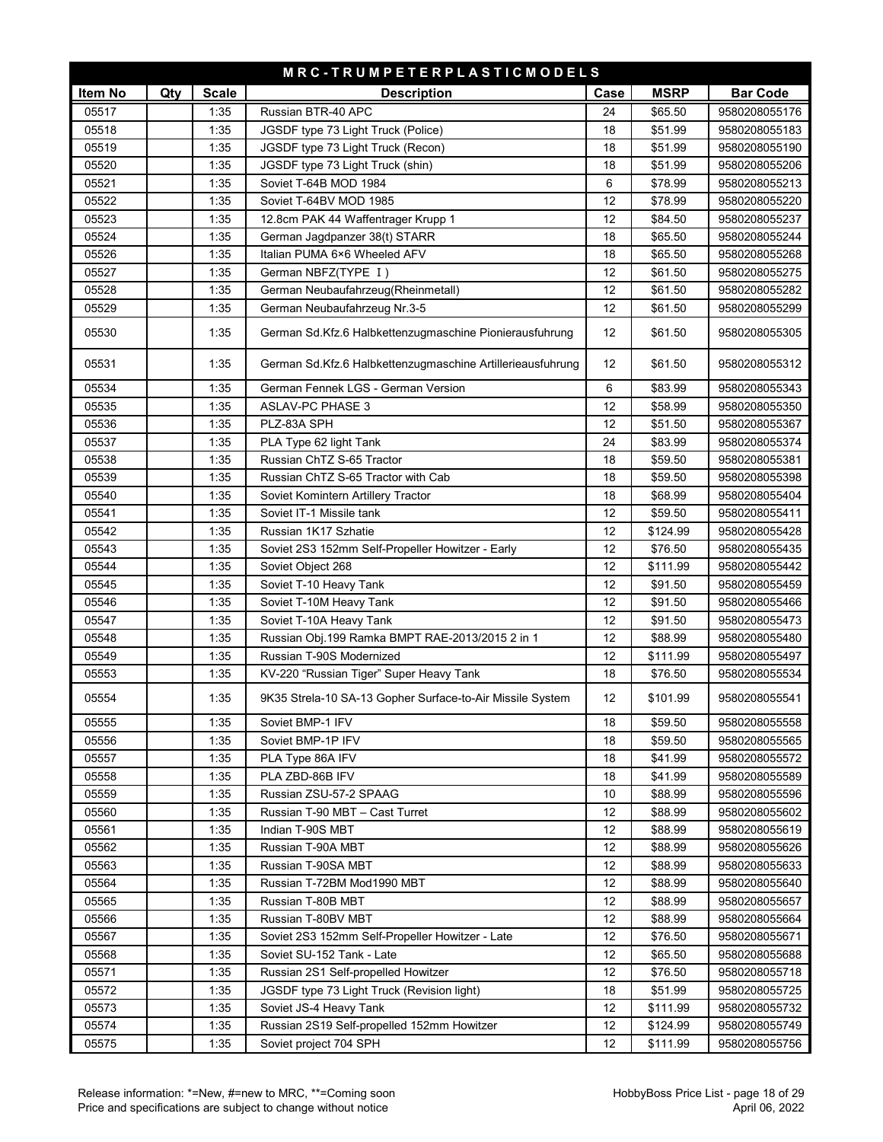| MRC-TRUMPETERPLASTICMODELS |     |              |                                                            |      |             |                 |  |  |
|----------------------------|-----|--------------|------------------------------------------------------------|------|-------------|-----------------|--|--|
| Item No                    | Qty | <b>Scale</b> | <b>Description</b>                                         | Case | <b>MSRP</b> | <b>Bar Code</b> |  |  |
| 05517                      |     | 1:35         | Russian BTR-40 APC                                         | 24   | \$65.50     | 9580208055176   |  |  |
| 05518                      |     | 1:35         | JGSDF type 73 Light Truck (Police)                         | 18   | \$51.99     | 9580208055183   |  |  |
| 05519                      |     | 1:35         | JGSDF type 73 Light Truck (Recon)                          | 18   | \$51.99     | 9580208055190   |  |  |
| 05520                      |     | 1:35         | JGSDF type 73 Light Truck (shin)                           | 18   | \$51.99     | 9580208055206   |  |  |
| 05521                      |     | 1:35         | Soviet T-64B MOD 1984                                      | 6    | \$78.99     | 9580208055213   |  |  |
| 05522                      |     | 1:35         | Soviet T-64BV MOD 1985                                     | 12   | \$78.99     | 9580208055220   |  |  |
| 05523                      |     | 1:35         | 12.8cm PAK 44 Waffentrager Krupp 1                         | 12   | \$84.50     | 9580208055237   |  |  |
| 05524                      |     | 1:35         | German Jagdpanzer 38(t) STARR                              | 18   | \$65.50     | 9580208055244   |  |  |
| 05526                      |     | 1:35         | Italian PUMA 6×6 Wheeled AFV                               | 18   | \$65.50     | 9580208055268   |  |  |
| 05527                      |     | 1:35         | German NBFZ(TYPE I)                                        | 12   | \$61.50     | 9580208055275   |  |  |
| 05528                      |     | 1:35         | German Neubaufahrzeug(Rheinmetall)                         | 12   | \$61.50     | 9580208055282   |  |  |
| 05529                      |     | 1:35         | German Neubaufahrzeug Nr.3-5                               | 12   | \$61.50     | 9580208055299   |  |  |
| 05530                      |     | 1:35         | German Sd.Kfz.6 Halbkettenzugmaschine Pionierausfuhrung    | 12   | \$61.50     | 9580208055305   |  |  |
| 05531                      |     | 1:35         | German Sd.Kfz.6 Halbkettenzugmaschine Artillerieausfuhrung | 12   | \$61.50     | 9580208055312   |  |  |
| 05534                      |     | 1:35         | German Fennek LGS - German Version                         | 6    | \$83.99     | 9580208055343   |  |  |
| 05535                      |     | 1:35         | <b>ASLAV-PC PHASE 3</b>                                    | 12   | \$58.99     | 9580208055350   |  |  |
| 05536                      |     | 1:35         | PLZ-83A SPH                                                | 12   | \$51.50     | 9580208055367   |  |  |
| 05537                      |     | 1:35         | PLA Type 62 light Tank                                     | 24   | \$83.99     | 9580208055374   |  |  |
| 05538                      |     | 1:35         | Russian ChTZ S-65 Tractor                                  | 18   | \$59.50     | 9580208055381   |  |  |
| 05539                      |     | 1:35         | Russian ChTZ S-65 Tractor with Cab                         | 18   | \$59.50     | 9580208055398   |  |  |
| 05540                      |     | 1:35         | Soviet Komintern Artillery Tractor                         | 18   | \$68.99     | 9580208055404   |  |  |
| 05541                      |     | 1:35         | Soviet IT-1 Missile tank                                   | 12   | \$59.50     | 9580208055411   |  |  |
| 05542                      |     | 1:35         | Russian 1K17 Szhatie                                       | 12   | \$124.99    | 9580208055428   |  |  |
| 05543                      |     | 1:35         | Soviet 2S3 152mm Self-Propeller Howitzer - Early           | 12   | \$76.50     | 9580208055435   |  |  |
| 05544                      |     | 1:35         | Soviet Object 268                                          | 12   | \$111.99    | 9580208055442   |  |  |
| 05545                      |     | 1:35         | Soviet T-10 Heavy Tank                                     | 12   | \$91.50     | 9580208055459   |  |  |
| 05546                      |     | 1:35         | Soviet T-10M Heavy Tank                                    | 12   | \$91.50     | 9580208055466   |  |  |
| 05547                      |     | 1:35         | Soviet T-10A Heavy Tank                                    | 12   | \$91.50     | 9580208055473   |  |  |
| 05548                      |     | 1:35         | Russian Obj.199 Ramka BMPT RAE-2013/2015 2 in 1            | 12   | \$88.99     | 9580208055480   |  |  |
| 05549                      |     | 1:35         | Russian T-90S Modernized                                   | 12   | \$111.99    | 9580208055497   |  |  |
| 05553                      |     | 1:35         | KV-220 "Russian Tiger" Super Heavy Tank                    | 18   | \$76.50     | 9580208055534   |  |  |
| 05554                      |     | 1:35         | 9K35 Strela-10 SA-13 Gopher Surface-to-Air Missile System  | 12   | \$101.99    | 9580208055541   |  |  |
| 05555                      |     | 1:35         | Soviet BMP-1 IFV                                           | 18   | \$59.50     | 9580208055558   |  |  |
| 05556                      |     | 1:35         | Soviet BMP-1P IFV                                          | 18   | \$59.50     | 9580208055565   |  |  |
| 05557                      |     | 1:35         | PLA Type 86A IFV                                           | 18   | \$41.99     | 9580208055572   |  |  |
| 05558                      |     | 1:35         | PLA ZBD-86B IFV                                            | 18   | \$41.99     | 9580208055589   |  |  |
| 05559                      |     | 1:35         | Russian ZSU-57-2 SPAAG                                     | 10   | \$88.99     | 9580208055596   |  |  |
| 05560                      |     | 1:35         | Russian T-90 MBT - Cast Turret                             | 12   | \$88.99     | 9580208055602   |  |  |
| 05561                      |     | 1:35         | Indian T-90S MBT                                           | 12   | \$88.99     | 9580208055619   |  |  |
| 05562                      |     | 1:35         | Russian T-90A MBT                                          | 12   | \$88.99     | 9580208055626   |  |  |
| 05563                      |     | 1:35         | Russian T-90SA MBT                                         | 12   | \$88.99     | 9580208055633   |  |  |
| 05564                      |     | 1:35         | Russian T-72BM Mod1990 MBT                                 | 12   | \$88.99     | 9580208055640   |  |  |
| 05565                      |     | 1:35         | Russian T-80B MBT                                          | 12   | \$88.99     | 9580208055657   |  |  |
| 05566                      |     | 1:35         | Russian T-80BV MBT                                         | 12   | \$88.99     | 9580208055664   |  |  |
| 05567                      |     | 1:35         | Soviet 2S3 152mm Self-Propeller Howitzer - Late            | 12   | \$76.50     | 9580208055671   |  |  |
| 05568                      |     | 1:35         | Soviet SU-152 Tank - Late                                  | 12   | \$65.50     | 9580208055688   |  |  |
| 05571                      |     | 1:35         | Russian 2S1 Self-propelled Howitzer                        | 12   | \$76.50     | 9580208055718   |  |  |
| 05572                      |     | 1:35         | JGSDF type 73 Light Truck (Revision light)                 | 18   | \$51.99     | 9580208055725   |  |  |
| 05573                      |     | 1:35         | Soviet JS-4 Heavy Tank                                     | 12   | \$111.99    | 9580208055732   |  |  |
| 05574                      |     | 1:35         | Russian 2S19 Self-propelled 152mm Howitzer                 | 12   | \$124.99    | 9580208055749   |  |  |
| 05575                      |     | 1:35         | Soviet project 704 SPH                                     | 12   | \$111.99    | 9580208055756   |  |  |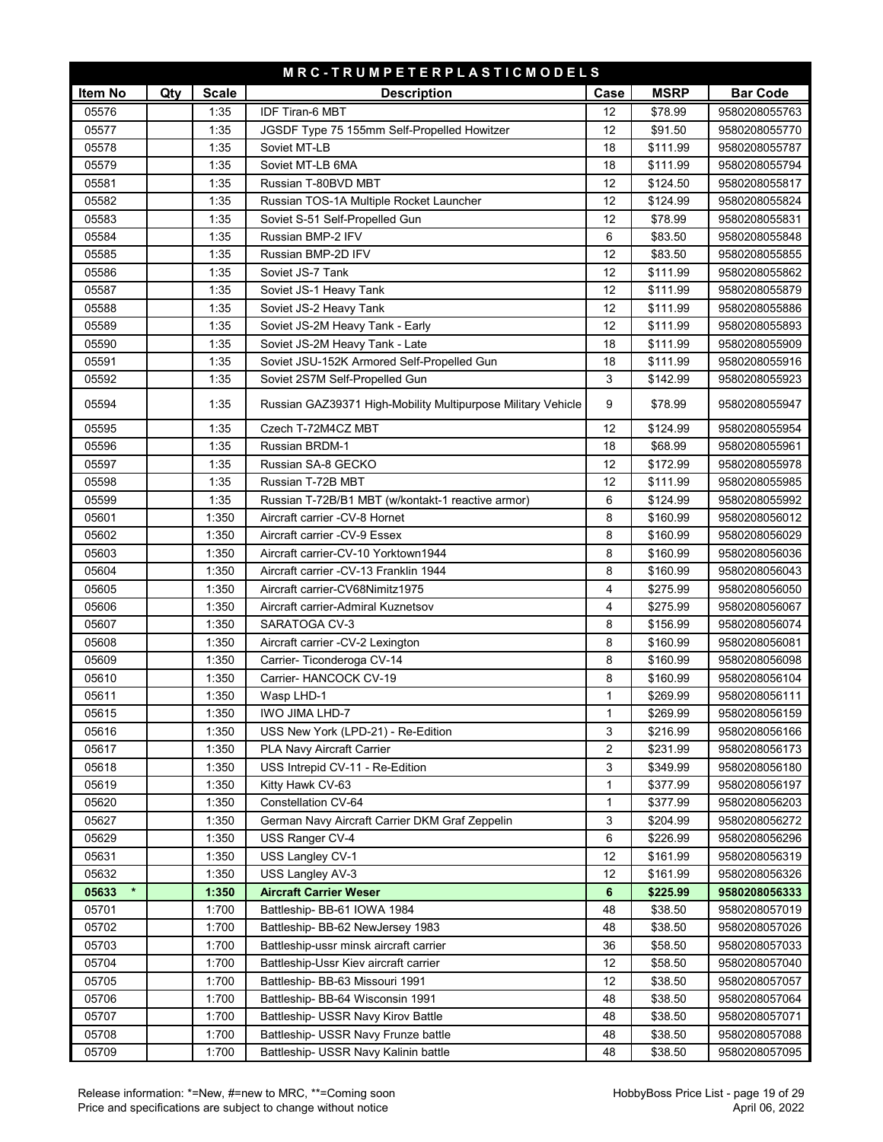| MRC-TRUMPETERPLASTICMODELS |     |              |                                                              |                |             |                 |  |  |
|----------------------------|-----|--------------|--------------------------------------------------------------|----------------|-------------|-----------------|--|--|
| Item No                    | Qty | <b>Scale</b> | <b>Description</b>                                           | Case           | <b>MSRP</b> | <b>Bar Code</b> |  |  |
| 05576                      |     | 1:35         | <b>IDF Tiran-6 MBT</b>                                       | 12             | \$78.99     | 9580208055763   |  |  |
| 05577                      |     | 1:35         | JGSDF Type 75 155mm Self-Propelled Howitzer                  | 12             | \$91.50     | 9580208055770   |  |  |
| 05578                      |     | 1:35         | Soviet MT-LB                                                 | 18             | \$111.99    | 9580208055787   |  |  |
| 05579                      |     | 1:35         | Soviet MT-LB 6MA                                             | 18             | \$111.99    | 9580208055794   |  |  |
| 05581                      |     | 1:35         | Russian T-80BVD MBT                                          | 12             | \$124.50    | 9580208055817   |  |  |
| 05582                      |     | 1:35         | Russian TOS-1A Multiple Rocket Launcher                      | 12             | \$124.99    | 9580208055824   |  |  |
| 05583                      |     | 1:35         | Soviet S-51 Self-Propelled Gun                               | 12             | \$78.99     | 9580208055831   |  |  |
| 05584                      |     | 1:35         | Russian BMP-2 IFV                                            | 6              | \$83.50     | 9580208055848   |  |  |
| 05585                      |     | 1:35         | Russian BMP-2D IFV                                           | 12             | \$83.50     | 9580208055855   |  |  |
| 05586                      |     | 1:35         | Soviet JS-7 Tank                                             | 12             | \$111.99    | 9580208055862   |  |  |
| 05587                      |     | 1:35         | Soviet JS-1 Heavy Tank                                       | 12             | \$111.99    | 9580208055879   |  |  |
| 05588                      |     | 1:35         | Soviet JS-2 Heavy Tank                                       | 12             | \$111.99    | 9580208055886   |  |  |
| 05589                      |     | 1:35         | Soviet JS-2M Heavy Tank - Early                              | 12             | \$111.99    | 9580208055893   |  |  |
| 05590                      |     | 1:35         | Soviet JS-2M Heavy Tank - Late                               | 18             | \$111.99    | 9580208055909   |  |  |
| 05591                      |     | 1:35         | Soviet JSU-152K Armored Self-Propelled Gun                   | 18             | \$111.99    | 9580208055916   |  |  |
| 05592                      |     | 1:35         | Soviet 2S7M Self-Propelled Gun                               | 3              | \$142.99    | 9580208055923   |  |  |
|                            |     |              |                                                              |                |             |                 |  |  |
| 05594                      |     | 1:35         | Russian GAZ39371 High-Mobility Multipurpose Military Vehicle | 9              | \$78.99     | 9580208055947   |  |  |
| 05595                      |     | 1:35         | Czech T-72M4CZ MBT                                           | 12             | \$124.99    | 9580208055954   |  |  |
| 05596                      |     | 1:35         | <b>Russian BRDM-1</b>                                        | 18             | \$68.99     | 9580208055961   |  |  |
| 05597                      |     | 1:35         | Russian SA-8 GECKO                                           | 12             | \$172.99    | 9580208055978   |  |  |
| 05598                      |     | 1:35         | Russian T-72B MBT                                            | 12             | \$111.99    | 9580208055985   |  |  |
| 05599                      |     | 1:35         | Russian T-72B/B1 MBT (w/kontakt-1 reactive armor)            | 6              | \$124.99    | 9580208055992   |  |  |
| 05601                      |     | 1:350        | Aircraft carrier -CV-8 Hornet                                | 8              | \$160.99    | 9580208056012   |  |  |
| 05602                      |     | 1:350        | Aircraft carrier -CV-9 Essex                                 | 8              | \$160.99    | 9580208056029   |  |  |
| 05603                      |     | 1:350        | Aircraft carrier-CV-10 Yorktown1944                          | 8              | \$160.99    | 9580208056036   |  |  |
| 05604                      |     | 1:350        | Aircraft carrier - CV-13 Franklin 1944                       | 8              | \$160.99    | 9580208056043   |  |  |
| 05605                      |     | 1:350        | Aircraft carrier-CV68Nimitz1975                              | 4              | \$275.99    | 9580208056050   |  |  |
| 05606                      |     | 1:350        | Aircraft carrier-Admiral Kuznetsov                           | 4              | \$275.99    | 9580208056067   |  |  |
| 05607                      |     | 1:350        | SARATOGA CV-3                                                | 8              | \$156.99    | 9580208056074   |  |  |
| 05608                      |     | 1:350        | Aircraft carrier -CV-2 Lexington                             | 8              | \$160.99    | 9580208056081   |  |  |
| 05609                      |     | 1:350        | Carrier- Ticonderoga CV-14                                   | 8              | \$160.99    | 9580208056098   |  |  |
| 05610                      |     | 1:350        | Carrier- HANCOCK CV-19                                       | 8              | \$160.99    | 9580208056104   |  |  |
| 05611                      |     | 1:350        | Wasp LHD-1                                                   | $\mathbf{1}$   | \$269.99    | 9580208056111   |  |  |
| 05615                      |     | 1:350        | IWO JIMA LHD-7                                               | 1              | \$269.99    | 9580208056159   |  |  |
| 05616                      |     | 1:350        | USS New York (LPD-21) - Re-Edition                           | 3              | \$216.99    | 9580208056166   |  |  |
| 05617                      |     | 1:350        | <b>PLA Navy Aircraft Carrier</b>                             | $\overline{c}$ | \$231.99    | 9580208056173   |  |  |
| 05618                      |     | 1:350        | USS Intrepid CV-11 - Re-Edition                              | 3              | \$349.99    | 9580208056180   |  |  |
| 05619                      |     | 1:350        | Kitty Hawk CV-63                                             | $\mathbf{1}$   | \$377.99    | 9580208056197   |  |  |
| 05620                      |     | 1:350        | Constellation CV-64                                          | $\mathbf{1}$   | \$377.99    | 9580208056203   |  |  |
| 05627                      |     | 1:350        | German Navy Aircraft Carrier DKM Graf Zeppelin               | 3              | \$204.99    | 9580208056272   |  |  |
| 05629                      |     | 1:350        | USS Ranger CV-4                                              | 6              | \$226.99    | 9580208056296   |  |  |
| 05631                      |     | 1:350        | USS Langley CV-1                                             | 12             | \$161.99    | 9580208056319   |  |  |
| 05632                      |     | 1:350        | USS Langley AV-3                                             | 12             | \$161.99    | 9580208056326   |  |  |
| 05633                      |     | 1:350        | <b>Aircraft Carrier Weser</b>                                | 6              | \$225.99    | 9580208056333   |  |  |
| 05701                      |     | 1:700        | Battleship- BB-61 IOWA 1984                                  | 48             | \$38.50     | 9580208057019   |  |  |
| 05702                      |     | 1:700        | Battleship- BB-62 NewJersey 1983                             | 48             | \$38.50     | 9580208057026   |  |  |
| 05703                      |     | 1:700        | Battleship-ussr minsk aircraft carrier                       | 36             | \$58.50     | 9580208057033   |  |  |
| 05704                      |     | 1:700        | Battleship-Ussr Kiev aircraft carrier                        | 12             | \$58.50     | 9580208057040   |  |  |
| 05705                      |     | 1:700        | Battleship- BB-63 Missouri 1991                              | 12             | \$38.50     | 9580208057057   |  |  |
| 05706                      |     | 1:700        | Battleship- BB-64 Wisconsin 1991                             | 48             | \$38.50     | 9580208057064   |  |  |
| 05707                      |     | 1:700        | Battleship- USSR Navy Kirov Battle                           | 48             | \$38.50     | 9580208057071   |  |  |
| 05708                      |     | 1:700        | Battleship- USSR Navy Frunze battle                          | 48             | \$38.50     | 9580208057088   |  |  |
| 05709                      |     | 1:700        | Battleship- USSR Navy Kalinin battle                         | 48             | \$38.50     | 9580208057095   |  |  |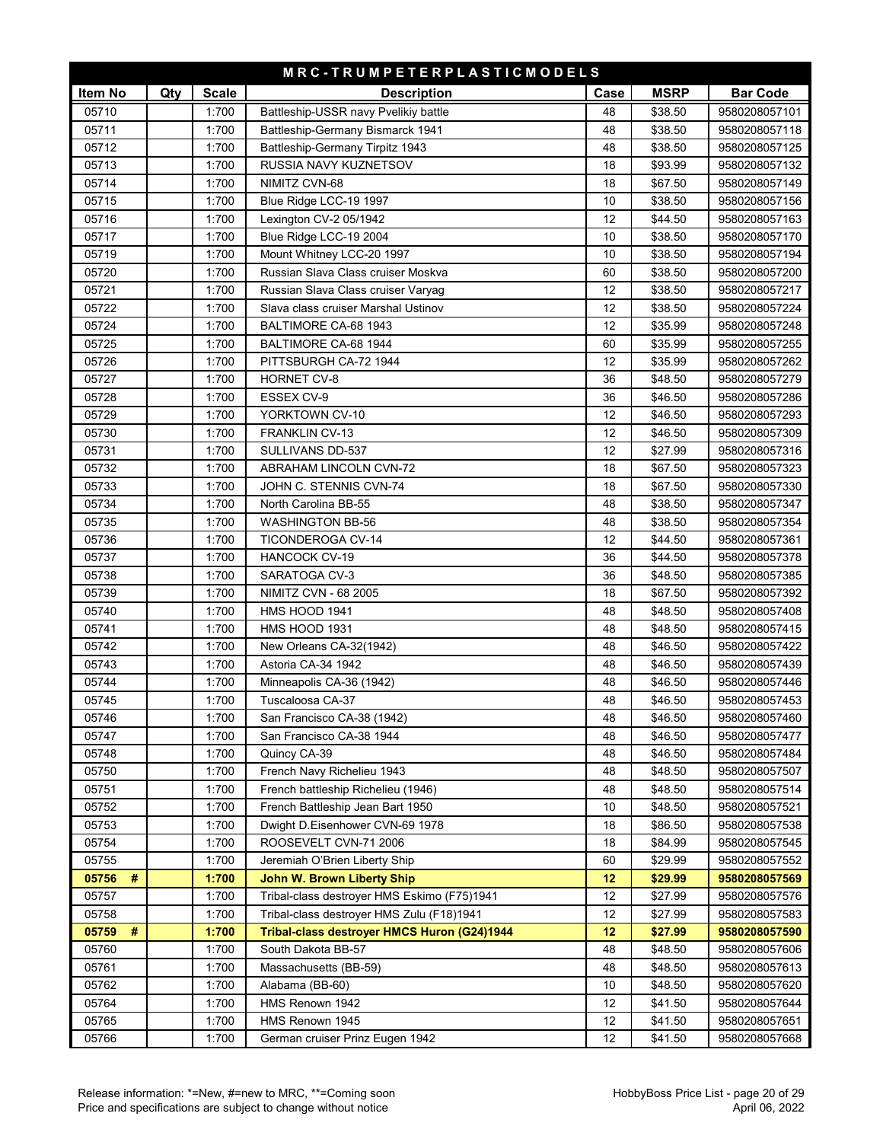| MRC-TRUMPETERPLASTICMODELS |     |              |                                             |      |             |                 |  |
|----------------------------|-----|--------------|---------------------------------------------|------|-------------|-----------------|--|
| Item No                    | Qty | <b>Scale</b> | <b>Description</b>                          | Case | <b>MSRP</b> | <b>Bar Code</b> |  |
| 05710                      |     | 1:700        | Battleship-USSR navy Pvelikiy battle        | 48   | \$38.50     | 9580208057101   |  |
| 05711                      |     | 1:700        | Battleship-Germany Bismarck 1941            | 48   | \$38.50     | 9580208057118   |  |
| 05712                      |     | 1:700        | Battleship-Germany Tirpitz 1943             | 48   | \$38.50     | 9580208057125   |  |
| 05713                      |     | 1:700        | RUSSIA NAVY KUZNETSOV                       | 18   | \$93.99     | 9580208057132   |  |
| 05714                      |     | 1:700        | NIMITZ CVN-68                               | 18   | \$67.50     | 9580208057149   |  |
| 05715                      |     | 1:700        | Blue Ridge LCC-19 1997                      | 10   | \$38.50     | 9580208057156   |  |
| 05716                      |     | 1:700        | Lexington CV-2 05/1942                      | 12   | \$44.50     | 9580208057163   |  |
| 05717                      |     | 1:700        | Blue Ridge LCC-19 2004                      | 10   | \$38.50     | 9580208057170   |  |
| 05719                      |     | 1:700        | Mount Whitney LCC-20 1997                   | 10   | \$38.50     | 9580208057194   |  |
| 05720                      |     | 1:700        | Russian Slava Class cruiser Moskva          | 60   | \$38.50     | 9580208057200   |  |
| 05721                      |     | 1:700        | Russian Slava Class cruiser Varyag          | 12   | \$38.50     | 9580208057217   |  |
| 05722                      |     | 1:700        | Slava class cruiser Marshal Ustinov         | 12   | \$38.50     | 9580208057224   |  |
| 05724                      |     | 1:700        | BALTIMORE CA-68 1943                        | 12   | \$35.99     | 9580208057248   |  |
| 05725                      |     | 1:700        | BALTIMORE CA-68 1944                        | 60   | \$35.99     | 9580208057255   |  |
| 05726                      |     | 1:700        | PITTSBURGH CA-72 1944                       | 12   | \$35.99     | 9580208057262   |  |
| 05727                      |     | 1:700        | <b>HORNET CV-8</b>                          | 36   | \$48.50     | 9580208057279   |  |
| 05728                      |     | 1:700        | <b>ESSEX CV-9</b>                           | 36   | \$46.50     | 9580208057286   |  |
| 05729                      |     | 1:700        | YORKTOWN CV-10                              | 12   | \$46.50     | 9580208057293   |  |
| 05730                      |     | 1:700        | FRANKLIN CV-13                              | 12   | \$46.50     | 9580208057309   |  |
| 05731                      |     | 1:700        | SULLIVANS DD-537                            | 12   | \$27.99     | 9580208057316   |  |
| 05732                      |     | 1:700        | ABRAHAM LINCOLN CVN-72                      | 18   | \$67.50     | 9580208057323   |  |
| 05733                      |     | 1:700        | JOHN C. STENNIS CVN-74                      | 18   | \$67.50     | 9580208057330   |  |
| 05734                      |     | 1:700        | North Carolina BB-55                        | 48   | \$38.50     | 9580208057347   |  |
| 05735                      |     | 1:700        | <b>WASHINGTON BB-56</b>                     | 48   | \$38.50     | 9580208057354   |  |
| 05736                      |     | 1:700        | TICONDEROGA CV-14                           | 12   | \$44.50     | 9580208057361   |  |
| 05737                      |     | 1:700        | <b>HANCOCK CV-19</b>                        | 36   | \$44.50     | 9580208057378   |  |
| 05738                      |     | 1:700        | SARATOGA CV-3                               | 36   | \$48.50     | 9580208057385   |  |
| 05739                      |     | 1:700        | <b>NIMITZ CVN - 68 2005</b>                 | 18   | \$67.50     | 9580208057392   |  |
| 05740                      |     | 1:700        | HMS HOOD 1941                               | 48   | \$48.50     | 9580208057408   |  |
| 05741                      |     | 1:700        | HMS HOOD 1931                               | 48   | \$48.50     | 9580208057415   |  |
| 05742                      |     | 1:700        | New Orleans CA-32(1942)                     | 48   | \$46.50     | 9580208057422   |  |
| 05743                      |     | 1:700        | Astoria CA-34 1942                          | 48   | \$46.50     | 9580208057439   |  |
| 05744                      |     | 1:700        | Minneapolis CA-36 (1942)                    | 48   | \$46.50     | 9580208057446   |  |
| 05745                      |     | 1:700        | Tuscaloosa CA-37                            | 48   | \$46.50     | 9580208057453   |  |
| 05746                      |     | 1:700        | San Francisco CA-38 (1942)                  | 48   | \$46.50     | 9580208057460   |  |
| 05747                      |     | 1:700        | San Francisco CA-38 1944                    | 48   | \$46.50     | 9580208057477   |  |
| 05748                      |     | 1:700        | Quincy CA-39                                | 48   | \$46.50     | 9580208057484   |  |
| 05750                      |     | 1:700        | French Navy Richelieu 1943                  | 48   | \$48.50     | 9580208057507   |  |
| 05751                      |     | 1:700        | French battleship Richelieu (1946)          | 48   | \$48.50     | 9580208057514   |  |
| 05752                      |     | 1:700        | French Battleship Jean Bart 1950            | 10   | \$48.50     | 9580208057521   |  |
| 05753                      |     | 1:700        | Dwight D.Eisenhower CVN-69 1978             | 18   | \$86.50     | 9580208057538   |  |
| 05754                      |     | 1:700        | ROOSEVELT CVN-71 2006                       | 18   | \$84.99     | 9580208057545   |  |
| 05755                      |     | 1:700        | Jeremiah O'Brien Liberty Ship               | 60   | \$29.99     | 9580208057552   |  |
| 05756<br>#                 |     | 1:700        | <b>John W. Brown Liberty Ship</b>           | 12   | \$29.99     | 9580208057569   |  |
| 05757                      |     | 1:700        | Tribal-class destroyer HMS Eskimo (F75)1941 | 12   | \$27.99     | 9580208057576   |  |
| 05758                      |     | 1:700        | Tribal-class destroyer HMS Zulu (F18)1941   | 12   | \$27.99     | 9580208057583   |  |
| #<br>05759                 |     | 1:700        | Tribal-class destroyer HMCS Huron (G24)1944 | 12   | \$27.99     | 9580208057590   |  |
| 05760                      |     | 1:700        | South Dakota BB-57                          | 48   | \$48.50     | 9580208057606   |  |
| 05761                      |     | 1:700        | Massachusetts (BB-59)                       | 48   | \$48.50     | 9580208057613   |  |
| 05762                      |     | 1:700        | Alabama (BB-60)                             | 10   | \$48.50     | 9580208057620   |  |
| 05764                      |     | 1:700        | HMS Renown 1942                             | 12   | \$41.50     | 9580208057644   |  |
| 05765                      |     | 1:700        | HMS Renown 1945                             | 12   | \$41.50     | 9580208057651   |  |
| 05766                      |     | 1:700        | German cruiser Prinz Eugen 1942             | 12   | \$41.50     | 9580208057668   |  |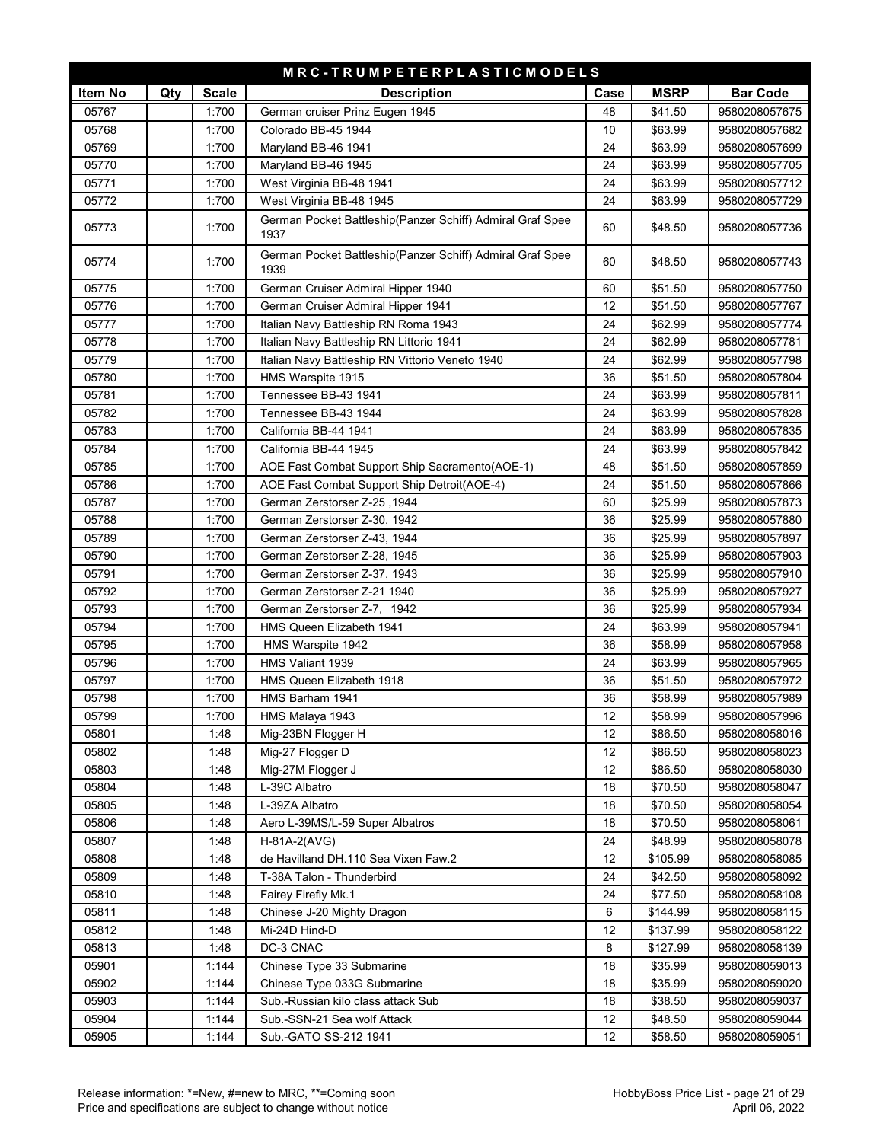|                | MRC-TRUMPETERPLASTICMODELS |              |                                                                   |         |                     |                 |  |  |
|----------------|----------------------------|--------------|-------------------------------------------------------------------|---------|---------------------|-----------------|--|--|
| Item No        | Qty                        | <b>Scale</b> | <b>Description</b>                                                | Case    | <b>MSRP</b>         | <b>Bar Code</b> |  |  |
| 05767          |                            | 1:700        | German cruiser Prinz Eugen 1945                                   | 48      | \$41.50             | 9580208057675   |  |  |
| 05768          |                            | 1:700        | Colorado BB-45 1944                                               | 10      | \$63.99             | 9580208057682   |  |  |
| 05769          |                            | 1:700        | Maryland BB-46 1941                                               | 24      | \$63.99             | 9580208057699   |  |  |
| 05770          |                            | 1:700        | Maryland BB-46 1945                                               | 24      | \$63.99             | 9580208057705   |  |  |
| 05771          |                            | 1:700        | West Virginia BB-48 1941                                          | 24      | \$63.99             | 9580208057712   |  |  |
| 05772          |                            | 1:700        | West Virginia BB-48 1945                                          | 24      | \$63.99             | 9580208057729   |  |  |
| 05773          |                            | 1:700        | German Pocket Battleship(Panzer Schiff) Admiral Graf Spee<br>1937 | 60      | \$48.50             | 9580208057736   |  |  |
| 05774          |                            | 1:700        | German Pocket Battleship(Panzer Schiff) Admiral Graf Spee<br>1939 | 60      | \$48.50             | 9580208057743   |  |  |
| 05775          |                            | 1:700        | German Cruiser Admiral Hipper 1940                                | 60      | \$51.50             | 9580208057750   |  |  |
| 05776          |                            | 1:700        | German Cruiser Admiral Hipper 1941                                | 12      | \$51.50             | 9580208057767   |  |  |
| 05777          |                            | 1:700        | Italian Navy Battleship RN Roma 1943                              | 24      | \$62.99             | 9580208057774   |  |  |
| 05778          |                            | 1:700        | Italian Navy Battleship RN Littorio 1941                          | 24      | \$62.99             | 9580208057781   |  |  |
| 05779          |                            | 1:700        | Italian Navy Battleship RN Vittorio Veneto 1940                   | 24      | \$62.99             | 9580208057798   |  |  |
| 05780          |                            | 1:700        | HMS Warspite 1915                                                 | 36      | \$51.50             | 9580208057804   |  |  |
| 05781          |                            | 1:700        | Tennessee BB-43 1941                                              | 24      | \$63.99             | 9580208057811   |  |  |
| 05782          |                            | 1:700        | Tennessee BB-43 1944                                              | 24      | \$63.99             | 9580208057828   |  |  |
| 05783          |                            | 1:700        | California BB-44 1941                                             | 24      | \$63.99             | 9580208057835   |  |  |
| 05784          |                            | 1:700        | California BB-44 1945                                             | 24      | \$63.99             | 9580208057842   |  |  |
| 05785          |                            | 1:700        | AOE Fast Combat Support Ship Sacramento(AOE-1)                    | 48      | \$51.50             | 9580208057859   |  |  |
| 05786          |                            | 1:700        | AOE Fast Combat Support Ship Detroit(AOE-4)                       | 24      | \$51.50             | 9580208057866   |  |  |
| 05787          |                            | 1:700        | German Zerstorser Z-25, 1944                                      | 60      | \$25.99             | 9580208057873   |  |  |
| 05788          |                            | 1:700        | German Zerstorser Z-30, 1942                                      | 36      | \$25.99             | 9580208057880   |  |  |
| 05789          |                            | 1:700        | German Zerstorser Z-43, 1944                                      | 36      | \$25.99             | 9580208057897   |  |  |
| 05790          |                            | 1:700        | German Zerstorser Z-28, 1945                                      | 36      | \$25.99             | 9580208057903   |  |  |
| 05791          |                            | 1:700        | German Zerstorser Z-37, 1943                                      | 36      | \$25.99             | 9580208057910   |  |  |
| 05792          |                            | 1:700        | German Zerstorser Z-21 1940                                       | 36      | \$25.99             | 9580208057927   |  |  |
| 05793          |                            | 1:700        | German Zerstorser Z-7, 1942                                       | 36      | \$25.99             | 9580208057934   |  |  |
| 05794          |                            | 1:700        | HMS Queen Elizabeth 1941                                          | 24      | \$63.99             | 9580208057941   |  |  |
| 05795          |                            | 1:700        | HMS Warspite 1942                                                 | 36      | \$58.99             | 9580208057958   |  |  |
| 05796          |                            | 1:700        | HMS Valiant 1939                                                  | 24      | \$63.99             | 9580208057965   |  |  |
| 05797          |                            | 1:700        | HMS Queen Elizabeth 1918                                          | 36      | \$51.50             | 9580208057972   |  |  |
| 05798          |                            | 1:700        | HMS Barham 1941                                                   | 36      | \$58.99             | 9580208057989   |  |  |
| 05799          |                            | 1:700        | HMS Malaya 1943                                                   | 12      | \$58.99             | 9580208057996   |  |  |
| 05801          |                            | 1:48         | Mig-23BN Flogger H                                                | 12      | \$86.50             | 9580208058016   |  |  |
| 05802          |                            | 1:48         | Mig-27 Flogger D                                                  | 12      | \$86.50             | 9580208058023   |  |  |
| 05803          |                            | 1:48         | Mig-27M Flogger J                                                 | 12      | \$86.50             | 9580208058030   |  |  |
| 05804          |                            | 1:48         | L-39C Albatro                                                     | 18      | \$70.50             | 9580208058047   |  |  |
| 05805          |                            | 1:48         | L-39ZA Albatro                                                    | 18      |                     | 9580208058054   |  |  |
| 05806          |                            | 1:48         | Aero L-39MS/L-59 Super Albatros                                   | 18      | \$70.50<br>\$70.50  | 9580208058061   |  |  |
| 05807          |                            | 1:48         | H-81A-2(AVG)                                                      | 24      | \$48.99             | 9580208058078   |  |  |
| 05808          |                            | 1:48         | de Havilland DH.110 Sea Vixen Faw.2                               | 12      |                     | 9580208058085   |  |  |
| 05809          |                            | 1:48         | T-38A Talon - Thunderbird                                         | 24      | \$105.99<br>\$42.50 | 9580208058092   |  |  |
| 05810          |                            | 1:48         | Fairey Firefly Mk.1                                               | 24      | \$77.50             |                 |  |  |
|                |                            |              |                                                                   |         |                     | 9580208058108   |  |  |
| 05811<br>05812 |                            | 1:48<br>1:48 | Chinese J-20 Mighty Dragon<br>Mi-24D Hind-D                       | 6<br>12 | \$144.99            | 9580208058115   |  |  |
|                |                            |              |                                                                   | 8       | \$137.99            | 9580208058122   |  |  |
| 05813          |                            | 1:48         | DC-3 CNAC                                                         |         | \$127.99            | 9580208058139   |  |  |
| 05901          |                            | 1:144        | Chinese Type 33 Submarine                                         | 18      | \$35.99             | 9580208059013   |  |  |
| 05902          |                            | 1:144        | Chinese Type 033G Submarine                                       | 18      | \$35.99             | 9580208059020   |  |  |
| 05903          |                            | 1:144        | Sub.-Russian kilo class attack Sub                                | 18      | \$38.50             | 9580208059037   |  |  |
| 05904          |                            | 1:144        | Sub.-SSN-21 Sea wolf Attack                                       | 12      | \$48.50             | 9580208059044   |  |  |
| 05905          |                            | 1:144        | Sub.-GATO SS-212 1941                                             | 12      | \$58.50             | 9580208059051   |  |  |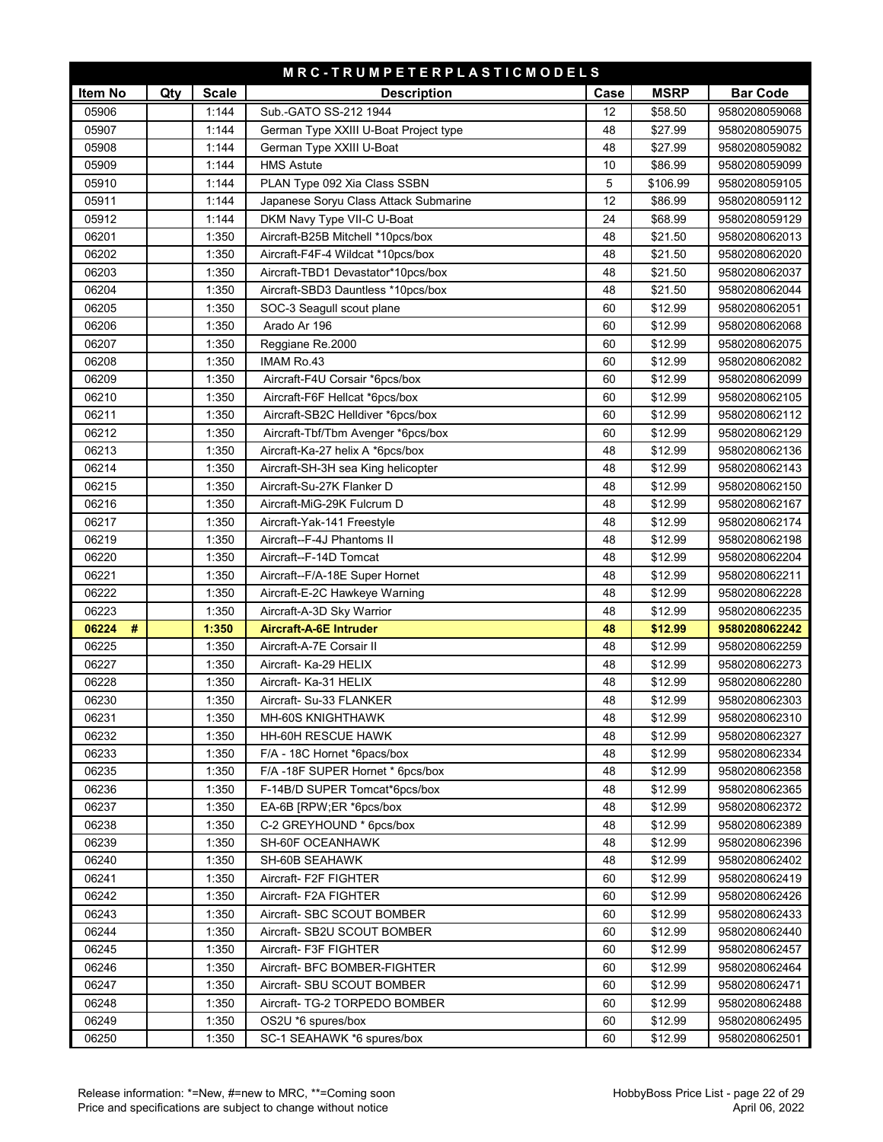| MRC-TRUMPETERPLASTICMODELS |     |              |                                       |      |             |                 |  |  |
|----------------------------|-----|--------------|---------------------------------------|------|-------------|-----------------|--|--|
| Item No                    | Qty | <b>Scale</b> | <b>Description</b>                    | Case | <b>MSRP</b> | <b>Bar Code</b> |  |  |
| 05906                      |     | 1:144        | Sub.-GATO SS-212 1944                 | 12   | \$58.50     | 9580208059068   |  |  |
| 05907                      |     | 1:144        | German Type XXIII U-Boat Project type | 48   | \$27.99     | 9580208059075   |  |  |
| 05908                      |     | 1:144        | German Type XXIII U-Boat              | 48   | \$27.99     | 9580208059082   |  |  |
| 05909                      |     | 1:144        | <b>HMS Astute</b>                     | 10   | \$86.99     | 9580208059099   |  |  |
| 05910                      |     | 1:144        | PLAN Type 092 Xia Class SSBN          | 5    | \$106.99    | 9580208059105   |  |  |
| 05911                      |     | 1:144        | Japanese Soryu Class Attack Submarine | 12   | \$86.99     | 9580208059112   |  |  |
| 05912                      |     | 1:144        | DKM Navy Type VII-C U-Boat            | 24   | \$68.99     | 9580208059129   |  |  |
| 06201                      |     | 1:350        | Aircraft-B25B Mitchell *10pcs/box     | 48   | \$21.50     | 9580208062013   |  |  |
| 06202                      |     | 1:350        | Aircraft-F4F-4 Wildcat *10pcs/box     | 48   | \$21.50     | 9580208062020   |  |  |
| 06203                      |     | 1:350        | Aircraft-TBD1 Devastator*10pcs/box    | 48   | \$21.50     | 9580208062037   |  |  |
| 06204                      |     | 1:350        | Aircraft-SBD3 Dauntless *10pcs/box    | 48   | \$21.50     | 9580208062044   |  |  |
| 06205                      |     | 1:350        | SOC-3 Seagull scout plane             | 60   | \$12.99     | 9580208062051   |  |  |
| 06206                      |     | 1:350        | Arado Ar 196                          | 60   | \$12.99     | 9580208062068   |  |  |
| 06207                      |     | 1:350        | Reggiane Re.2000                      | 60   | \$12.99     | 9580208062075   |  |  |
| 06208                      |     | 1:350        | <b>IMAM Ro.43</b>                     | 60   | \$12.99     | 9580208062082   |  |  |
| 06209                      |     | 1:350        | Aircraft-F4U Corsair *6pcs/box        | 60   | \$12.99     | 9580208062099   |  |  |
| 06210                      |     | 1:350        | Aircraft-F6F Hellcat *6pcs/box        | 60   | \$12.99     | 9580208062105   |  |  |
| 06211                      |     | 1:350        | Aircraft-SB2C Helldiver *6pcs/box     | 60   | \$12.99     | 9580208062112   |  |  |
| 06212                      |     | 1:350        | Aircraft-Tbf/Tbm Avenger *6pcs/box    | 60   | \$12.99     | 9580208062129   |  |  |
| 06213                      |     | 1:350        | Aircraft-Ka-27 helix A *6pcs/box      | 48   | \$12.99     | 9580208062136   |  |  |
| 06214                      |     | 1:350        | Aircraft-SH-3H sea King helicopter    | 48   | \$12.99     | 9580208062143   |  |  |
| 06215                      |     | 1:350        | Aircraft-Su-27K Flanker D             | 48   | \$12.99     | 9580208062150   |  |  |
| 06216                      |     | 1:350        | Aircraft-MiG-29K Fulcrum D            | 48   | \$12.99     | 9580208062167   |  |  |
| 06217                      |     | 1:350        | Aircraft-Yak-141 Freestyle            | 48   | \$12.99     | 9580208062174   |  |  |
| 06219                      |     | 1:350        | Aircraft--F-4J Phantoms II            | 48   | \$12.99     | 9580208062198   |  |  |
| 06220                      |     | 1:350        | Aircraft--F-14D Tomcat                | 48   | \$12.99     | 9580208062204   |  |  |
| 06221                      |     | 1:350        | Aircraft--F/A-18E Super Hornet        | 48   | \$12.99     | 9580208062211   |  |  |
| 06222                      |     | 1:350        | Aircraft-E-2C Hawkeye Warning         | 48   | \$12.99     | 9580208062228   |  |  |
| 06223                      |     | 1:350        | Aircraft-A-3D Sky Warrior             | 48   | \$12.99     | 9580208062235   |  |  |
| 06224<br>#                 |     | 1:350        | Aircraft-A-6E Intruder                | 48   | \$12.99     | 9580208062242   |  |  |
| 06225                      |     | 1:350        | Aircraft-A-7E Corsair II              | 48   | \$12.99     | 9580208062259   |  |  |
| 06227                      |     | 1:350        | Aircraft- Ka-29 HELIX                 | 48   | \$12.99     | 9580208062273   |  |  |
| 06228                      |     | 1:350        | Aircraft- Ka-31 HELIX                 | 48   | \$12.99     | 9580208062280   |  |  |
| 06230                      |     | 1:350        | Aircraft- Su-33 FLANKER               | 48   | \$12.99     | 9580208062303   |  |  |
| 06231                      |     | 1:350        | MH-60S KNIGHTHAWK                     | 48   | \$12.99     | 9580208062310   |  |  |
| 06232                      |     | 1:350        | HH-60H RESCUE HAWK                    | 48   | \$12.99     | 9580208062327   |  |  |
| 06233                      |     | 1:350        | F/A - 18C Hornet *6pacs/box           | 48   | \$12.99     | 9580208062334   |  |  |
| 06235                      |     | 1:350        | F/A-18F SUPER Hornet * 6pcs/box       | 48   | \$12.99     | 9580208062358   |  |  |
| 06236                      |     | 1:350        | F-14B/D SUPER Tomcat*6pcs/box         | 48   | \$12.99     | 9580208062365   |  |  |
| 06237                      |     | 1:350        | EA-6B [RPW;ER *6pcs/box               | 48   | \$12.99     | 9580208062372   |  |  |
| 06238                      |     | 1:350        | C-2 GREYHOUND * 6pcs/box              | 48   | \$12.99     | 9580208062389   |  |  |
| 06239                      |     | 1:350        | SH-60F OCEANHAWK                      | 48   | \$12.99     | 9580208062396   |  |  |
| 06240                      |     | 1:350        | SH-60B SEAHAWK                        | 48   | \$12.99     | 9580208062402   |  |  |
| 06241                      |     | 1:350        | Aircraft- F2F FIGHTER                 | 60   | \$12.99     | 9580208062419   |  |  |
| 06242                      |     | 1:350        | Aircraft- F2A FIGHTER                 | 60   | \$12.99     | 9580208062426   |  |  |
| 06243                      |     | 1:350        | Aircraft- SBC SCOUT BOMBER            | 60   | \$12.99     | 9580208062433   |  |  |
| 06244                      |     | 1:350        | Aircraft- SB2U SCOUT BOMBER           | 60   | \$12.99     | 9580208062440   |  |  |
| 06245                      |     | 1:350        | Aircraft- F3F FIGHTER                 | 60   | \$12.99     | 9580208062457   |  |  |
| 06246                      |     | 1:350        | Aircraft- BFC BOMBER-FIGHTER          | 60   | \$12.99     | 9580208062464   |  |  |
| 06247                      |     | 1:350        | Aircraft- SBU SCOUT BOMBER            | 60   | \$12.99     | 9580208062471   |  |  |
| 06248                      |     | 1:350        | Aircraft- TG-2 TORPEDO BOMBER         | 60   | \$12.99     | 9580208062488   |  |  |
| 06249                      |     | 1:350        | OS2U *6 spures/box                    | 60   | \$12.99     | 9580208062495   |  |  |
| 06250                      |     | 1:350        | SC-1 SEAHAWK *6 spures/box            | 60   | \$12.99     | 9580208062501   |  |  |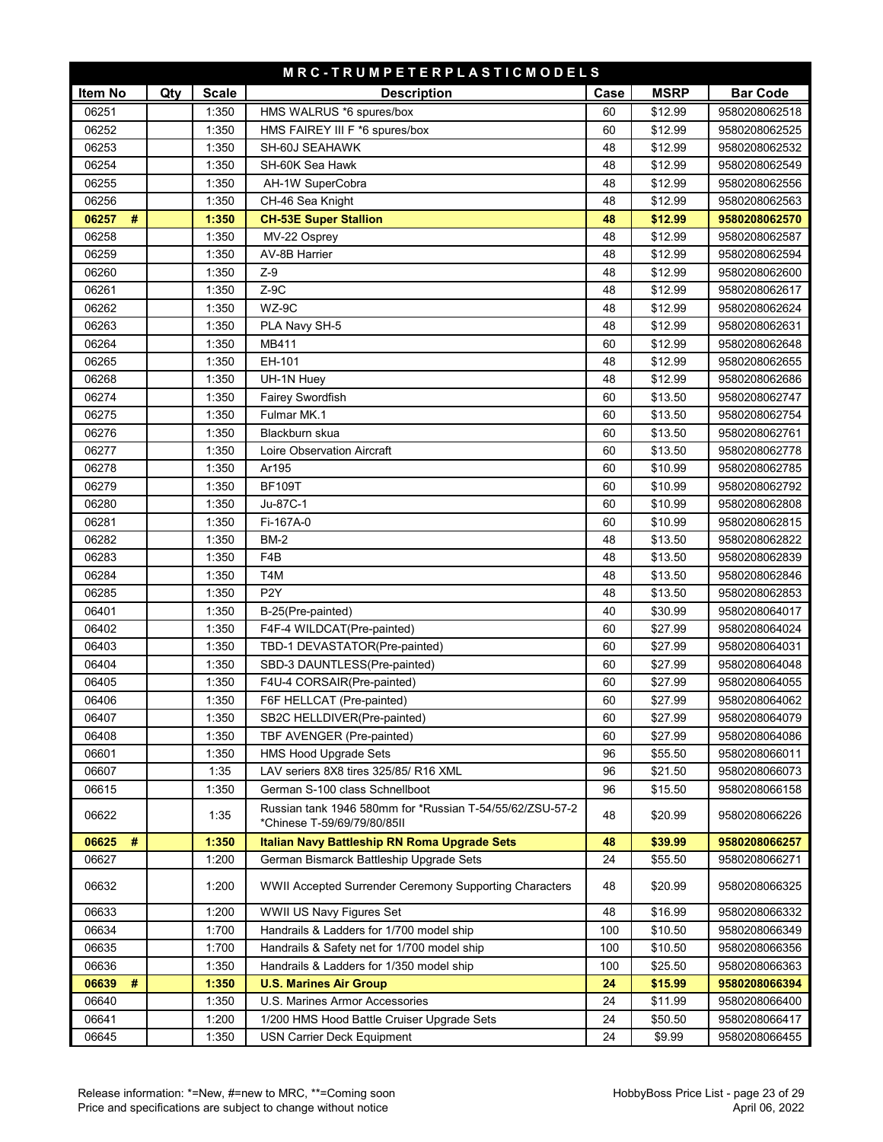| MRC-TRUMPETERPLASTICMODELS |     |              |                                                                                         |      |             |                 |
|----------------------------|-----|--------------|-----------------------------------------------------------------------------------------|------|-------------|-----------------|
| Item No                    | Qty | <b>Scale</b> | <b>Description</b>                                                                      | Case | <b>MSRP</b> | <b>Bar Code</b> |
| 06251                      |     | 1:350        | HMS WALRUS *6 spures/box                                                                | 60   | \$12.99     | 9580208062518   |
| 06252                      |     | 1:350        | HMS FAIREY III F *6 spures/box                                                          | 60   | \$12.99     | 9580208062525   |
| 06253                      |     | 1:350        | SH-60J SEAHAWK                                                                          | 48   | \$12.99     | 9580208062532   |
| 06254                      |     | 1:350        | SH-60K Sea Hawk                                                                         | 48   | \$12.99     | 9580208062549   |
| 06255                      |     | 1:350        | AH-1W SuperCobra                                                                        | 48   | \$12.99     | 9580208062556   |
| 06256                      |     | 1:350        | CH-46 Sea Knight                                                                        | 48   | \$12.99     | 9580208062563   |
| 06257<br>#                 |     | 1:350        | <b>CH-53E Super Stallion</b>                                                            | 48   | \$12.99     | 9580208062570   |
| 06258                      |     | 1:350        | MV-22 Osprey                                                                            | 48   | \$12.99     | 9580208062587   |
| 06259                      |     | 1:350        | <b>AV-8B Harrier</b>                                                                    | 48   | \$12.99     | 9580208062594   |
| 06260                      |     | 1:350        | $Z-9$                                                                                   | 48   | \$12.99     | 9580208062600   |
| 06261                      |     | 1:350        | $Z-9C$                                                                                  | 48   | \$12.99     | 9580208062617   |
| 06262                      |     | 1:350        | WZ-9C                                                                                   | 48   | \$12.99     | 9580208062624   |
| 06263                      |     | 1:350        | PLA Navy SH-5                                                                           | 48   | \$12.99     | 9580208062631   |
| 06264                      |     | 1:350        | MB411                                                                                   | 60   | \$12.99     | 9580208062648   |
| 06265                      |     | 1:350        | EH-101                                                                                  | 48   | \$12.99     | 9580208062655   |
| 06268                      |     | 1:350        | UH-1N Huey                                                                              | 48   | \$12.99     | 9580208062686   |
| 06274                      |     | 1:350        | Fairey Swordfish                                                                        | 60   | \$13.50     | 9580208062747   |
| 06275                      |     | 1:350        | Fulmar MK.1                                                                             | 60   | \$13.50     | 9580208062754   |
| 06276                      |     | 1:350        | Blackburn skua                                                                          | 60   | \$13.50     | 9580208062761   |
| 06277                      |     | 1:350        | Loire Observation Aircraft                                                              | 60   | \$13.50     | 9580208062778   |
| 06278                      |     | 1:350        | Ar195                                                                                   | 60   | \$10.99     | 9580208062785   |
| 06279                      |     | 1:350        | <b>BF109T</b>                                                                           | 60   | \$10.99     | 9580208062792   |
| 06280                      |     | 1:350        | Ju-87C-1                                                                                | 60   | \$10.99     | 9580208062808   |
| 06281                      |     | 1:350        | Fi-167A-0                                                                               | 60   | \$10.99     | 9580208062815   |
| 06282                      |     | 1:350        | <b>BM-2</b>                                                                             | 48   | \$13.50     | 9580208062822   |
| 06283                      |     | 1:350        | F <sub>4</sub> B                                                                        | 48   | \$13.50     | 9580208062839   |
| 06284                      |     | 1:350        | T4M                                                                                     | 48   | \$13.50     | 9580208062846   |
| 06285                      |     | 1:350        | P <sub>2</sub> Y                                                                        | 48   | \$13.50     | 9580208062853   |
| 06401                      |     | 1:350        | B-25(Pre-painted)                                                                       | 40   | \$30.99     | 9580208064017   |
| 06402                      |     | 1:350        | F4F-4 WILDCAT(Pre-painted)                                                              | 60   | \$27.99     | 9580208064024   |
| 06403                      |     | 1:350        | TBD-1 DEVASTATOR(Pre-painted)                                                           | 60   | \$27.99     | 9580208064031   |
| 06404                      |     | 1:350        | SBD-3 DAUNTLESS(Pre-painted)                                                            | 60   | \$27.99     | 9580208064048   |
| 06405                      |     | 1:350        | F4U-4 CORSAIR(Pre-painted)                                                              | 60   | \$27.99     | 9580208064055   |
| 06406                      |     | 1:350        | F6F HELLCAT (Pre-painted)                                                               | 60   | \$27.99     | 9580208064062   |
| 06407                      |     | 1:350        | SB2C HELLDIVER(Pre-painted)                                                             | 60   | \$27.99     | 9580208064079   |
| 06408                      |     | 1:350        | TBF AVENGER (Pre-painted)                                                               | 60   | \$27.99     | 9580208064086   |
| 06601                      |     | 1:350        | <b>HMS Hood Upgrade Sets</b>                                                            | 96   | \$55.50     | 9580208066011   |
| 06607                      |     | 1:35         | LAV seriers 8X8 tires 325/85/ R16 XML                                                   | 96   | \$21.50     | 9580208066073   |
| 06615                      |     | 1:350        | German S-100 class Schnellboot                                                          | 96   | \$15.50     | 9580208066158   |
| 06622                      |     | 1:35         | Russian tank 1946 580mm for *Russian T-54/55/62/ZSU-57-2<br>*Chinese T-59/69/79/80/85II | 48   | \$20.99     | 9580208066226   |
| 06625<br>#                 |     | 1:350        | <b>Italian Navy Battleship RN Roma Upgrade Sets</b>                                     | 48   | \$39.99     | 9580208066257   |
| 06627                      |     | 1:200        | German Bismarck Battleship Upgrade Sets                                                 | 24   | \$55.50     | 9580208066271   |
| 06632                      |     | 1:200        | WWII Accepted Surrender Ceremony Supporting Characters                                  | 48   | \$20.99     | 9580208066325   |
| 06633                      |     | 1:200        | WWII US Navy Figures Set                                                                | 48   | \$16.99     | 9580208066332   |
| 06634                      |     | 1:700        | Handrails & Ladders for 1/700 model ship                                                | 100  | \$10.50     | 9580208066349   |
| 06635                      |     | 1:700        | Handrails & Safety net for 1/700 model ship                                             | 100  | \$10.50     | 9580208066356   |
| 06636                      |     | 1:350        | Handrails & Ladders for 1/350 model ship                                                | 100  | \$25.50     | 9580208066363   |
| 06639<br>#                 |     | 1:350        | <b>U.S. Marines Air Group</b>                                                           | 24   | \$15.99     | 9580208066394   |
| 06640                      |     | 1:350        | U.S. Marines Armor Accessories                                                          | 24   | \$11.99     | 9580208066400   |
| 06641                      |     | 1:200        | 1/200 HMS Hood Battle Cruiser Upgrade Sets                                              | 24   | \$50.50     | 9580208066417   |
| 06645                      |     | 1:350        | USN Carrier Deck Equipment                                                              | 24   | \$9.99      | 9580208066455   |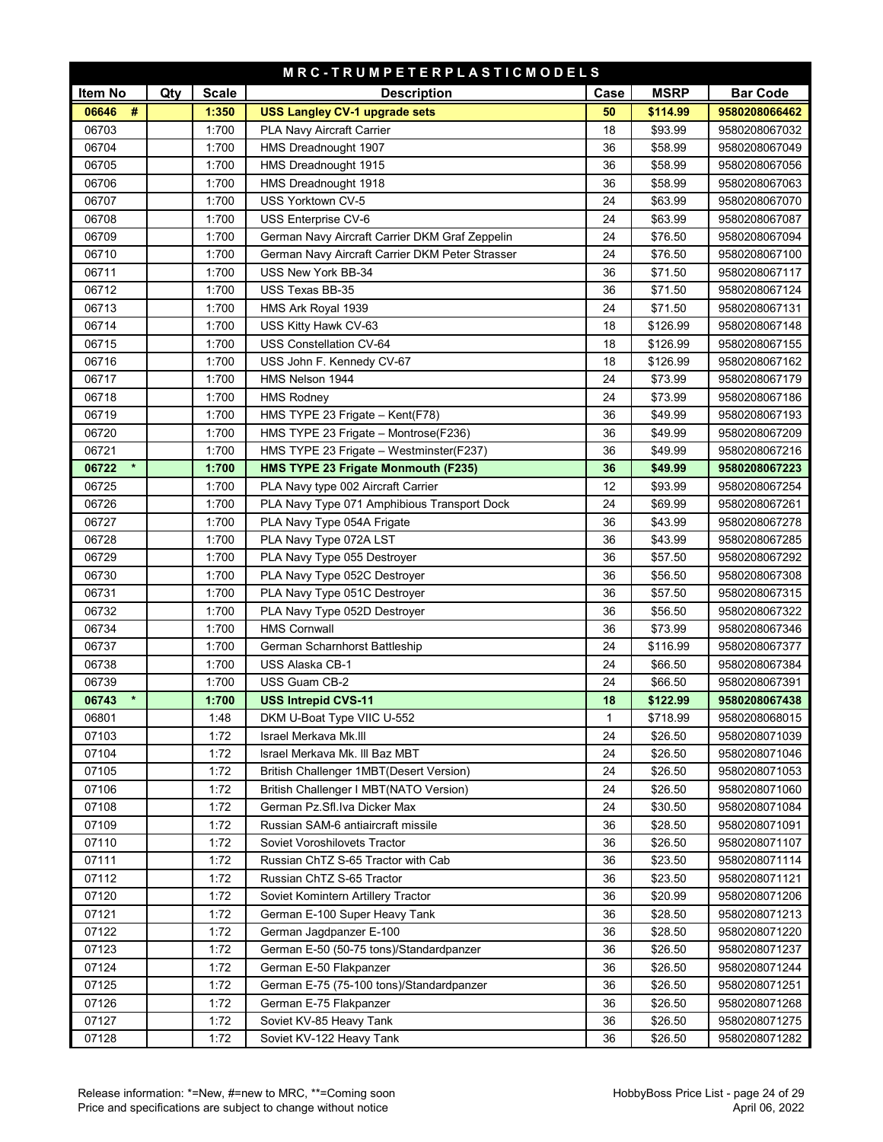| MRC-TRUMPETERPLASTICMODELS |     |              |                                                 |      |             |                 |  |
|----------------------------|-----|--------------|-------------------------------------------------|------|-------------|-----------------|--|
| Item No                    | Qty | <b>Scale</b> | <b>Description</b>                              | Case | <b>MSRP</b> | <b>Bar Code</b> |  |
| $\#$<br>06646              |     | 1:350        | <b>USS Langley CV-1 upgrade sets</b>            | 50   | \$114.99    | 9580208066462   |  |
| 06703                      |     | 1:700        | PLA Navy Aircraft Carrier                       | 18   | \$93.99     | 9580208067032   |  |
| 06704                      |     | 1:700        | HMS Dreadnought 1907                            | 36   | \$58.99     | 9580208067049   |  |
| 06705                      |     | 1:700        | HMS Dreadnought 1915                            | 36   | \$58.99     | 9580208067056   |  |
| 06706                      |     | 1:700        | HMS Dreadnought 1918                            | 36   | \$58.99     | 9580208067063   |  |
| 06707                      |     | 1:700        | USS Yorktown CV-5                               | 24   | \$63.99     | 9580208067070   |  |
| 06708                      |     | 1:700        | USS Enterprise CV-6                             | 24   | \$63.99     | 9580208067087   |  |
| 06709                      |     | 1:700        | German Navy Aircraft Carrier DKM Graf Zeppelin  | 24   | \$76.50     | 9580208067094   |  |
| 06710                      |     | 1:700        | German Navy Aircraft Carrier DKM Peter Strasser | 24   | \$76.50     | 9580208067100   |  |
| 06711                      |     | 1:700        | USS New York BB-34                              | 36   | \$71.50     | 9580208067117   |  |
| 06712                      |     | 1:700        | USS Texas BB-35                                 | 36   | \$71.50     | 9580208067124   |  |
| 06713                      |     | 1:700        | HMS Ark Royal 1939                              | 24   | \$71.50     | 9580208067131   |  |
| 06714                      |     | 1:700        | USS Kitty Hawk CV-63                            | 18   | \$126.99    | 9580208067148   |  |
| 06715                      |     | 1:700        | USS Constellation CV-64                         | 18   | \$126.99    | 9580208067155   |  |
| 06716                      |     | 1:700        | USS John F. Kennedy CV-67                       | 18   | \$126.99    | 9580208067162   |  |
| 06717                      |     | 1:700        | HMS Nelson 1944                                 | 24   | \$73.99     | 9580208067179   |  |
| 06718                      |     | 1:700        | <b>HMS Rodney</b>                               | 24   | \$73.99     | 9580208067186   |  |
| 06719                      |     | 1:700        | HMS TYPE 23 Frigate - Kent(F78)                 | 36   | \$49.99     | 9580208067193   |  |
| 06720                      |     | 1:700        | HMS TYPE 23 Frigate - Montrose(F236)            | 36   | \$49.99     | 9580208067209   |  |
| 06721                      |     | 1:700        | HMS TYPE 23 Frigate - Westminster(F237)         | 36   | \$49.99     | 9580208067216   |  |
| $\star$<br>06722           |     | 1:700        | HMS TYPE 23 Frigate Monmouth (F235)             | 36   | \$49.99     | 9580208067223   |  |
| 06725                      |     | 1:700        | PLA Navy type 002 Aircraft Carrier              | 12   | \$93.99     | 9580208067254   |  |
| 06726                      |     | 1:700        | PLA Navy Type 071 Amphibious Transport Dock     | 24   | \$69.99     | 9580208067261   |  |
| 06727                      |     | 1:700        | PLA Navy Type 054A Frigate                      | 36   | \$43.99     | 9580208067278   |  |
| 06728                      |     | 1:700        | PLA Navy Type 072A LST                          | 36   | \$43.99     | 9580208067285   |  |
| 06729                      |     | 1:700        | PLA Navy Type 055 Destroyer                     | 36   | \$57.50     | 9580208067292   |  |
| 06730                      |     | 1:700        | PLA Navy Type 052C Destroyer                    | 36   | \$56.50     | 9580208067308   |  |
| 06731                      |     | 1:700        | PLA Navy Type 051C Destroyer                    | 36   | \$57.50     | 9580208067315   |  |
| 06732                      |     | 1:700        | PLA Navy Type 052D Destroyer                    | 36   | \$56.50     | 9580208067322   |  |
| 06734                      |     | 1:700        | <b>HMS Cornwall</b>                             | 36   | \$73.99     | 9580208067346   |  |
| 06737                      |     | 1:700        | German Scharnhorst Battleship                   | 24   | \$116.99    | 9580208067377   |  |
| 06738                      |     | 1:700        | USS Alaska CB-1                                 | 24   | \$66.50     | 9580208067384   |  |
| 06739                      |     | 1:700        | <b>USS Guam CB-2</b>                            | 24   | \$66.50     | 9580208067391   |  |
| $\star$<br>06743           |     | 1:700        | <b>USS Intrepid CVS-11</b>                      | 18   | \$122.99    | 9580208067438   |  |
| 06801                      |     | 1:48         | DKM U-Boat Type VIIC U-552                      | 1    | \$718.99    | 9580208068015   |  |
| 07103                      |     | 1:72         | Israel Merkava Mk.III                           | 24   | \$26.50     | 9580208071039   |  |
| 07104                      |     | 1:72         | Israel Merkava Mk. III Baz MBT                  | 24   | \$26.50     | 9580208071046   |  |
| 07105                      |     | 1:72         | British Challenger 1MBT(Desert Version)         | 24   | \$26.50     | 9580208071053   |  |
| 07106                      |     | 1:72         | British Challenger I MBT(NATO Version)          | 24   | \$26.50     | 9580208071060   |  |
| 07108                      |     | 1:72         | German Pz.Sfl.Iva Dicker Max                    | 24   | \$30.50     | 9580208071084   |  |
| 07109                      |     | 1:72         | Russian SAM-6 antiaircraft missile              | 36   | \$28.50     | 9580208071091   |  |
| 07110                      |     | 1:72         | Soviet Voroshilovets Tractor                    | 36   | \$26.50     | 9580208071107   |  |
| 07111                      |     | 1:72         | Russian ChTZ S-65 Tractor with Cab              | 36   | \$23.50     | 9580208071114   |  |
| 07112                      |     | 1:72         | Russian ChTZ S-65 Tractor                       | 36   | \$23.50     | 9580208071121   |  |
| 07120                      |     | 1:72         | Soviet Komintern Artillery Tractor              | 36   | \$20.99     | 9580208071206   |  |
| 07121                      |     | 1:72         | German E-100 Super Heavy Tank                   | 36   | \$28.50     | 9580208071213   |  |
| 07122                      |     | 1:72         | German Jagdpanzer E-100                         | 36   | \$28.50     | 9580208071220   |  |
| 07123                      |     | 1:72         | German E-50 (50-75 tons)/Standardpanzer         | 36   | \$26.50     | 9580208071237   |  |
| 07124                      |     | 1:72         | German E-50 Flakpanzer                          | 36   | \$26.50     | 9580208071244   |  |
| 07125                      |     | 1:72         | German E-75 (75-100 tons)/Standardpanzer        | 36   | \$26.50     | 9580208071251   |  |
| 07126                      |     | 1:72         | German E-75 Flakpanzer                          | 36   | \$26.50     | 9580208071268   |  |
| 07127                      |     | 1:72         | Soviet KV-85 Heavy Tank                         | 36   | \$26.50     | 9580208071275   |  |
| 07128                      |     | 1:72         | Soviet KV-122 Heavy Tank                        | 36   | \$26.50     | 9580208071282   |  |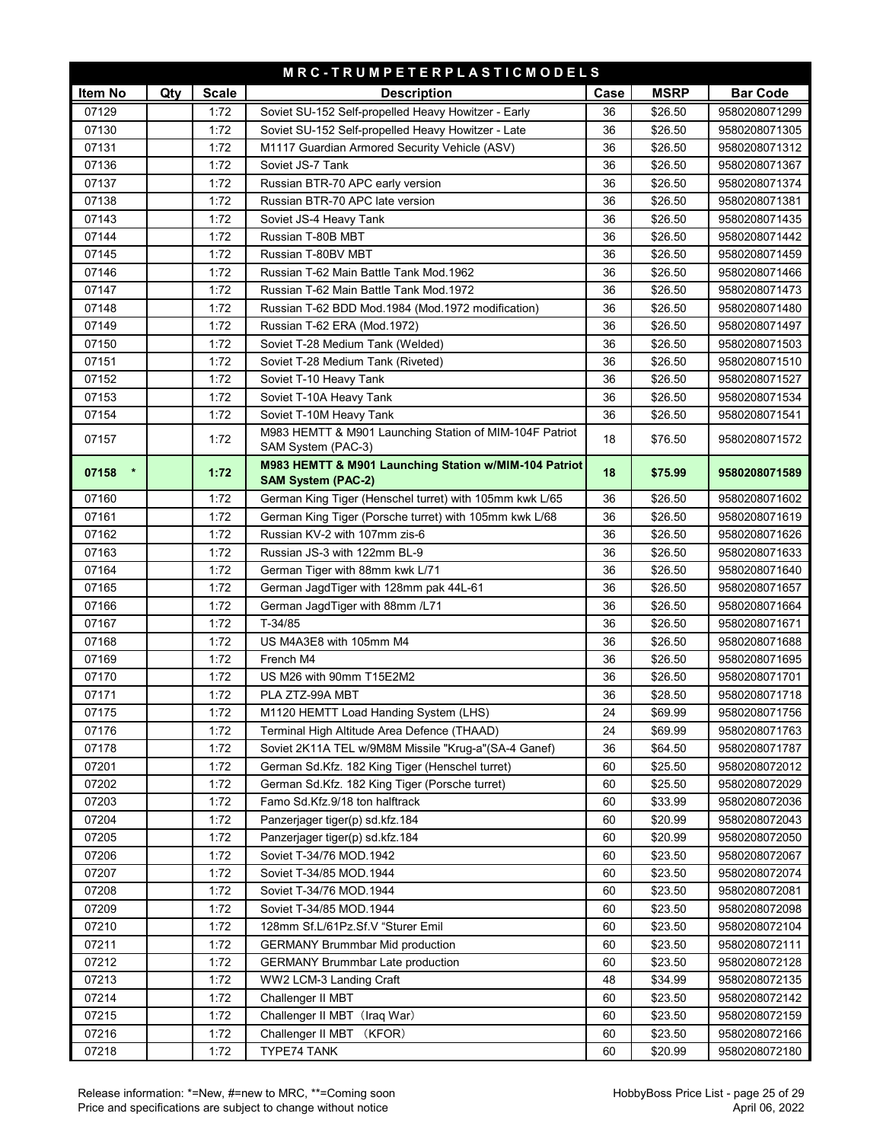| <b>Scale</b><br><b>MSRP</b><br>Item No<br>Qty<br><b>Description</b><br>Case<br><b>Bar Code</b><br>07129<br>1:72<br>Soviet SU-152 Self-propelled Heavy Howitzer - Early<br>\$26.50<br>9580208071299<br>36<br>07130<br>1:72<br>Soviet SU-152 Self-propelled Heavy Howitzer - Late<br>36<br>\$26.50<br>9580208071305<br>07131<br>M1117 Guardian Armored Security Vehicle (ASV)<br>1:72<br>36<br>\$26.50<br>9580208071312<br>07136<br>1:72<br>Soviet JS-7 Tank<br>36<br>\$26.50<br>9580208071367<br>07137<br>1:72<br>Russian BTR-70 APC early version<br>36<br>\$26.50<br>9580208071374<br>07138<br>1:72<br>Russian BTR-70 APC late version<br>36<br>\$26.50<br>9580208071381<br>07143<br>1:72<br>36<br>\$26.50<br>9580208071435<br>Soviet JS-4 Heavy Tank<br>07144<br>1:72<br>Russian T-80B MBT<br>36<br>\$26.50<br>9580208071442<br>07145<br>1:72<br>Russian T-80BV MBT<br>36<br>\$26.50<br>9580208071459<br>07146<br>1:72<br>Russian T-62 Main Battle Tank Mod.1962<br>36<br>\$26.50<br>9580208071466<br>07147<br>1:72<br>Russian T-62 Main Battle Tank Mod.1972<br>36<br>\$26.50<br>9580208071473<br>07148<br>1:72<br>Russian T-62 BDD Mod.1984 (Mod.1972 modification)<br>36<br>\$26.50<br>9580208071480<br>07149<br>1:72<br>Russian T-62 ERA (Mod.1972)<br>36<br>9580208071497<br>\$26.50<br>07150<br>1:72<br>36<br>\$26.50<br>Soviet T-28 Medium Tank (Welded)<br>9580208071503<br>07151<br>1:72<br>Soviet T-28 Medium Tank (Riveted)<br>36<br>\$26.50<br>9580208071510<br>07152<br>1:72<br>Soviet T-10 Heavy Tank<br>36<br>\$26.50<br>9580208071527<br>07153<br>1:72<br>Soviet T-10A Heavy Tank<br>36<br>\$26.50<br>9580208071534<br>07154<br>1:72<br>Soviet T-10M Heavy Tank<br>36<br>\$26.50<br>9580208071541<br>M983 HEMTT & M901 Launching Station of MIM-104F Patriot<br>07157<br>1:72<br>18<br>\$76.50<br>9580208071572<br>SAM System (PAC-3)<br>M983 HEMTT & M901 Launching Station w/MIM-104 Patriot<br>07158<br>$\star$<br>1:72<br>18<br>\$75.99<br>9580208071589<br><b>SAM System (PAC-2)</b><br>07160<br>1:72<br>German King Tiger (Henschel turret) with 105mm kwk L/65<br>36<br>\$26.50<br>9580208071602<br>07161<br>1:72<br>36<br>\$26.50<br>9580208071619<br>German King Tiger (Porsche turret) with 105mm kwk L/68<br>07162<br>1:72<br>Russian KV-2 with 107mm zis-6<br>36<br>\$26.50<br>9580208071626<br>07163<br>1:72<br>Russian JS-3 with 122mm BL-9<br>36<br>\$26.50<br>9580208071633<br>07164<br>1:72<br>German Tiger with 88mm kwk L/71<br>36<br>\$26.50<br>9580208071640<br>07165<br>1:72<br>German JagdTiger with 128mm pak 44L-61<br>36<br>\$26.50<br>9580208071657<br>1:72<br>07166<br>German JagdTiger with 88mm /L71<br>36<br>\$26.50<br>9580208071664<br>07167<br>1:72<br>T-34/85<br>36<br>\$26.50<br>9580208071671<br>07168<br>1:72<br>US M4A3E8 with 105mm M4<br>36<br>\$26.50<br>9580208071688<br>07169<br>1:72<br>French M4<br>36<br>\$26.50<br>9580208071695<br>07170<br>1:72<br>US M26 with 90mm T15E2M2<br>36<br>\$26.50<br>9580208071701<br>07171<br>1:72<br>PLA ZTZ-99A MBT<br>36<br>\$28.50<br>9580208071718<br>07175<br>M1120 HEMTT Load Handing System (LHS)<br>24<br>\$69.99<br>1:72<br>9580208071756<br>07176<br>1:72<br>Terminal High Altitude Area Defence (THAAD)<br>24<br>\$69.99<br>9580208071763<br>07178<br>1:72<br>Soviet 2K11A TEL w/9M8M Missile "Krug-a"(SA-4 Ganef)<br>36<br>\$64.50<br>9580208071787<br>07201<br>1:72<br>German Sd.Kfz. 182 King Tiger (Henschel turret)<br>9580208072012<br>60<br>\$25.50<br>1:72<br>07202<br>German Sd.Kfz. 182 King Tiger (Porsche turret)<br>60<br>\$25.50<br>9580208072029<br>Famo Sd.Kfz.9/18 ton halftrack<br>07203<br>1:72<br>60<br>\$33.99<br>9580208072036<br>07204<br>1:72<br>Panzerjager tiger(p) sd.kfz.184<br>60<br>\$20.99<br>9580208072043<br>07205<br>1:72<br>Panzerjager tiger(p) sd.kfz.184<br>9580208072050<br>60<br>\$20.99<br>07206<br>1:72<br>Soviet T-34/76 MOD.1942<br>\$23.50<br>60<br>9580208072067<br>07207<br>1:72<br>60<br>\$23.50<br>Soviet T-34/85 MOD.1944<br>9580208072074<br>07208<br>1:72<br>Soviet T-34/76 MOD.1944<br>60<br>\$23.50<br>9580208072081<br>07209<br>1:72<br>Soviet T-34/85 MOD.1944<br>60<br>\$23.50<br>9580208072098<br>07210<br>1:72<br>128mm Sf.L/61Pz.Sf.V "Sturer Emil<br>60<br>\$23.50<br>9580208072104<br>07211<br>1:72<br><b>GERMANY Brummbar Mid production</b><br>60<br>\$23.50<br>9580208072111<br>07212<br>1:72<br><b>GERMANY Brummbar Late production</b><br>60<br>\$23.50<br>9580208072128<br>07213<br>1:72<br>WW2 LCM-3 Landing Craft<br>48<br>\$34.99<br>9580208072135<br>07214<br>1:72<br>Challenger II MBT<br>60<br>\$23.50<br>9580208072142<br>07215<br>1:72<br>Challenger II MBT (Iraq War)<br>60<br>\$23.50<br>9580208072159<br>07216<br>1:72<br>Challenger II MBT (KFOR)<br>60<br>\$23.50<br>9580208072166 | MRC-TRUMPETERPLASTICMODELS |  |      |             |    |         |               |
|---------------------------------------------------------------------------------------------------------------------------------------------------------------------------------------------------------------------------------------------------------------------------------------------------------------------------------------------------------------------------------------------------------------------------------------------------------------------------------------------------------------------------------------------------------------------------------------------------------------------------------------------------------------------------------------------------------------------------------------------------------------------------------------------------------------------------------------------------------------------------------------------------------------------------------------------------------------------------------------------------------------------------------------------------------------------------------------------------------------------------------------------------------------------------------------------------------------------------------------------------------------------------------------------------------------------------------------------------------------------------------------------------------------------------------------------------------------------------------------------------------------------------------------------------------------------------------------------------------------------------------------------------------------------------------------------------------------------------------------------------------------------------------------------------------------------------------------------------------------------------------------------------------------------------------------------------------------------------------------------------------------------------------------------------------------------------------------------------------------------------------------------------------------------------------------------------------------------------------------------------------------------------------------------------------------------------------------------------------------------------------------------------------------------------------------------------------------------------------------------------------------------------------------------------------------------------------------------------------------------------------------------------------------------------------------------------------------------------------------------------------------------------------------------------------------------------------------------------------------------------------------------------------------------------------------------------------------------------------------------------------------------------------------------------------------------------------------------------------------------------------------------------------------------------------------------------------------------------------------------------------------------------------------------------------------------------------------------------------------------------------------------------------------------------------------------------------------------------------------------------------------------------------------------------------------------------------------------------------------------------------------------------------------------------------------------------------------------------------------------------------------------------------------------------------------------------------------------------------------------------------------------------------------------------------------------------------------------------------------------------------------------------------------------------------------------------------------------------------------------------------------------------------------------------------------------------------------------------------------------------------------------------------------------------------------------------------------------------------------------------------------------------------------------------------------------------------------------------------------------------------------------------------------------------------------------------------------------------------------------------------------------------------------------------------------------------------------------------------------------------------------------------------|----------------------------|--|------|-------------|----|---------|---------------|
|                                                                                                                                                                                                                                                                                                                                                                                                                                                                                                                                                                                                                                                                                                                                                                                                                                                                                                                                                                                                                                                                                                                                                                                                                                                                                                                                                                                                                                                                                                                                                                                                                                                                                                                                                                                                                                                                                                                                                                                                                                                                                                                                                                                                                                                                                                                                                                                                                                                                                                                                                                                                                                                                                                                                                                                                                                                                                                                                                                                                                                                                                                                                                                                                                                                                                                                                                                                                                                                                                                                                                                                                                                                                                                                                                                                                                                                                                                                                                                                                                                                                                                                                                                                                                                                                                                                                                                                                                                                                                                                                                                                                                                                                                                                                                                                 |                            |  |      |             |    |         |               |
|                                                                                                                                                                                                                                                                                                                                                                                                                                                                                                                                                                                                                                                                                                                                                                                                                                                                                                                                                                                                                                                                                                                                                                                                                                                                                                                                                                                                                                                                                                                                                                                                                                                                                                                                                                                                                                                                                                                                                                                                                                                                                                                                                                                                                                                                                                                                                                                                                                                                                                                                                                                                                                                                                                                                                                                                                                                                                                                                                                                                                                                                                                                                                                                                                                                                                                                                                                                                                                                                                                                                                                                                                                                                                                                                                                                                                                                                                                                                                                                                                                                                                                                                                                                                                                                                                                                                                                                                                                                                                                                                                                                                                                                                                                                                                                                 |                            |  |      |             |    |         |               |
|                                                                                                                                                                                                                                                                                                                                                                                                                                                                                                                                                                                                                                                                                                                                                                                                                                                                                                                                                                                                                                                                                                                                                                                                                                                                                                                                                                                                                                                                                                                                                                                                                                                                                                                                                                                                                                                                                                                                                                                                                                                                                                                                                                                                                                                                                                                                                                                                                                                                                                                                                                                                                                                                                                                                                                                                                                                                                                                                                                                                                                                                                                                                                                                                                                                                                                                                                                                                                                                                                                                                                                                                                                                                                                                                                                                                                                                                                                                                                                                                                                                                                                                                                                                                                                                                                                                                                                                                                                                                                                                                                                                                                                                                                                                                                                                 |                            |  |      |             |    |         |               |
|                                                                                                                                                                                                                                                                                                                                                                                                                                                                                                                                                                                                                                                                                                                                                                                                                                                                                                                                                                                                                                                                                                                                                                                                                                                                                                                                                                                                                                                                                                                                                                                                                                                                                                                                                                                                                                                                                                                                                                                                                                                                                                                                                                                                                                                                                                                                                                                                                                                                                                                                                                                                                                                                                                                                                                                                                                                                                                                                                                                                                                                                                                                                                                                                                                                                                                                                                                                                                                                                                                                                                                                                                                                                                                                                                                                                                                                                                                                                                                                                                                                                                                                                                                                                                                                                                                                                                                                                                                                                                                                                                                                                                                                                                                                                                                                 |                            |  |      |             |    |         |               |
|                                                                                                                                                                                                                                                                                                                                                                                                                                                                                                                                                                                                                                                                                                                                                                                                                                                                                                                                                                                                                                                                                                                                                                                                                                                                                                                                                                                                                                                                                                                                                                                                                                                                                                                                                                                                                                                                                                                                                                                                                                                                                                                                                                                                                                                                                                                                                                                                                                                                                                                                                                                                                                                                                                                                                                                                                                                                                                                                                                                                                                                                                                                                                                                                                                                                                                                                                                                                                                                                                                                                                                                                                                                                                                                                                                                                                                                                                                                                                                                                                                                                                                                                                                                                                                                                                                                                                                                                                                                                                                                                                                                                                                                                                                                                                                                 |                            |  |      |             |    |         |               |
|                                                                                                                                                                                                                                                                                                                                                                                                                                                                                                                                                                                                                                                                                                                                                                                                                                                                                                                                                                                                                                                                                                                                                                                                                                                                                                                                                                                                                                                                                                                                                                                                                                                                                                                                                                                                                                                                                                                                                                                                                                                                                                                                                                                                                                                                                                                                                                                                                                                                                                                                                                                                                                                                                                                                                                                                                                                                                                                                                                                                                                                                                                                                                                                                                                                                                                                                                                                                                                                                                                                                                                                                                                                                                                                                                                                                                                                                                                                                                                                                                                                                                                                                                                                                                                                                                                                                                                                                                                                                                                                                                                                                                                                                                                                                                                                 |                            |  |      |             |    |         |               |
|                                                                                                                                                                                                                                                                                                                                                                                                                                                                                                                                                                                                                                                                                                                                                                                                                                                                                                                                                                                                                                                                                                                                                                                                                                                                                                                                                                                                                                                                                                                                                                                                                                                                                                                                                                                                                                                                                                                                                                                                                                                                                                                                                                                                                                                                                                                                                                                                                                                                                                                                                                                                                                                                                                                                                                                                                                                                                                                                                                                                                                                                                                                                                                                                                                                                                                                                                                                                                                                                                                                                                                                                                                                                                                                                                                                                                                                                                                                                                                                                                                                                                                                                                                                                                                                                                                                                                                                                                                                                                                                                                                                                                                                                                                                                                                                 |                            |  |      |             |    |         |               |
|                                                                                                                                                                                                                                                                                                                                                                                                                                                                                                                                                                                                                                                                                                                                                                                                                                                                                                                                                                                                                                                                                                                                                                                                                                                                                                                                                                                                                                                                                                                                                                                                                                                                                                                                                                                                                                                                                                                                                                                                                                                                                                                                                                                                                                                                                                                                                                                                                                                                                                                                                                                                                                                                                                                                                                                                                                                                                                                                                                                                                                                                                                                                                                                                                                                                                                                                                                                                                                                                                                                                                                                                                                                                                                                                                                                                                                                                                                                                                                                                                                                                                                                                                                                                                                                                                                                                                                                                                                                                                                                                                                                                                                                                                                                                                                                 |                            |  |      |             |    |         |               |
|                                                                                                                                                                                                                                                                                                                                                                                                                                                                                                                                                                                                                                                                                                                                                                                                                                                                                                                                                                                                                                                                                                                                                                                                                                                                                                                                                                                                                                                                                                                                                                                                                                                                                                                                                                                                                                                                                                                                                                                                                                                                                                                                                                                                                                                                                                                                                                                                                                                                                                                                                                                                                                                                                                                                                                                                                                                                                                                                                                                                                                                                                                                                                                                                                                                                                                                                                                                                                                                                                                                                                                                                                                                                                                                                                                                                                                                                                                                                                                                                                                                                                                                                                                                                                                                                                                                                                                                                                                                                                                                                                                                                                                                                                                                                                                                 |                            |  |      |             |    |         |               |
|                                                                                                                                                                                                                                                                                                                                                                                                                                                                                                                                                                                                                                                                                                                                                                                                                                                                                                                                                                                                                                                                                                                                                                                                                                                                                                                                                                                                                                                                                                                                                                                                                                                                                                                                                                                                                                                                                                                                                                                                                                                                                                                                                                                                                                                                                                                                                                                                                                                                                                                                                                                                                                                                                                                                                                                                                                                                                                                                                                                                                                                                                                                                                                                                                                                                                                                                                                                                                                                                                                                                                                                                                                                                                                                                                                                                                                                                                                                                                                                                                                                                                                                                                                                                                                                                                                                                                                                                                                                                                                                                                                                                                                                                                                                                                                                 |                            |  |      |             |    |         |               |
|                                                                                                                                                                                                                                                                                                                                                                                                                                                                                                                                                                                                                                                                                                                                                                                                                                                                                                                                                                                                                                                                                                                                                                                                                                                                                                                                                                                                                                                                                                                                                                                                                                                                                                                                                                                                                                                                                                                                                                                                                                                                                                                                                                                                                                                                                                                                                                                                                                                                                                                                                                                                                                                                                                                                                                                                                                                                                                                                                                                                                                                                                                                                                                                                                                                                                                                                                                                                                                                                                                                                                                                                                                                                                                                                                                                                                                                                                                                                                                                                                                                                                                                                                                                                                                                                                                                                                                                                                                                                                                                                                                                                                                                                                                                                                                                 |                            |  |      |             |    |         |               |
|                                                                                                                                                                                                                                                                                                                                                                                                                                                                                                                                                                                                                                                                                                                                                                                                                                                                                                                                                                                                                                                                                                                                                                                                                                                                                                                                                                                                                                                                                                                                                                                                                                                                                                                                                                                                                                                                                                                                                                                                                                                                                                                                                                                                                                                                                                                                                                                                                                                                                                                                                                                                                                                                                                                                                                                                                                                                                                                                                                                                                                                                                                                                                                                                                                                                                                                                                                                                                                                                                                                                                                                                                                                                                                                                                                                                                                                                                                                                                                                                                                                                                                                                                                                                                                                                                                                                                                                                                                                                                                                                                                                                                                                                                                                                                                                 |                            |  |      |             |    |         |               |
|                                                                                                                                                                                                                                                                                                                                                                                                                                                                                                                                                                                                                                                                                                                                                                                                                                                                                                                                                                                                                                                                                                                                                                                                                                                                                                                                                                                                                                                                                                                                                                                                                                                                                                                                                                                                                                                                                                                                                                                                                                                                                                                                                                                                                                                                                                                                                                                                                                                                                                                                                                                                                                                                                                                                                                                                                                                                                                                                                                                                                                                                                                                                                                                                                                                                                                                                                                                                                                                                                                                                                                                                                                                                                                                                                                                                                                                                                                                                                                                                                                                                                                                                                                                                                                                                                                                                                                                                                                                                                                                                                                                                                                                                                                                                                                                 |                            |  |      |             |    |         |               |
|                                                                                                                                                                                                                                                                                                                                                                                                                                                                                                                                                                                                                                                                                                                                                                                                                                                                                                                                                                                                                                                                                                                                                                                                                                                                                                                                                                                                                                                                                                                                                                                                                                                                                                                                                                                                                                                                                                                                                                                                                                                                                                                                                                                                                                                                                                                                                                                                                                                                                                                                                                                                                                                                                                                                                                                                                                                                                                                                                                                                                                                                                                                                                                                                                                                                                                                                                                                                                                                                                                                                                                                                                                                                                                                                                                                                                                                                                                                                                                                                                                                                                                                                                                                                                                                                                                                                                                                                                                                                                                                                                                                                                                                                                                                                                                                 |                            |  |      |             |    |         |               |
|                                                                                                                                                                                                                                                                                                                                                                                                                                                                                                                                                                                                                                                                                                                                                                                                                                                                                                                                                                                                                                                                                                                                                                                                                                                                                                                                                                                                                                                                                                                                                                                                                                                                                                                                                                                                                                                                                                                                                                                                                                                                                                                                                                                                                                                                                                                                                                                                                                                                                                                                                                                                                                                                                                                                                                                                                                                                                                                                                                                                                                                                                                                                                                                                                                                                                                                                                                                                                                                                                                                                                                                                                                                                                                                                                                                                                                                                                                                                                                                                                                                                                                                                                                                                                                                                                                                                                                                                                                                                                                                                                                                                                                                                                                                                                                                 |                            |  |      |             |    |         |               |
|                                                                                                                                                                                                                                                                                                                                                                                                                                                                                                                                                                                                                                                                                                                                                                                                                                                                                                                                                                                                                                                                                                                                                                                                                                                                                                                                                                                                                                                                                                                                                                                                                                                                                                                                                                                                                                                                                                                                                                                                                                                                                                                                                                                                                                                                                                                                                                                                                                                                                                                                                                                                                                                                                                                                                                                                                                                                                                                                                                                                                                                                                                                                                                                                                                                                                                                                                                                                                                                                                                                                                                                                                                                                                                                                                                                                                                                                                                                                                                                                                                                                                                                                                                                                                                                                                                                                                                                                                                                                                                                                                                                                                                                                                                                                                                                 |                            |  |      |             |    |         |               |
|                                                                                                                                                                                                                                                                                                                                                                                                                                                                                                                                                                                                                                                                                                                                                                                                                                                                                                                                                                                                                                                                                                                                                                                                                                                                                                                                                                                                                                                                                                                                                                                                                                                                                                                                                                                                                                                                                                                                                                                                                                                                                                                                                                                                                                                                                                                                                                                                                                                                                                                                                                                                                                                                                                                                                                                                                                                                                                                                                                                                                                                                                                                                                                                                                                                                                                                                                                                                                                                                                                                                                                                                                                                                                                                                                                                                                                                                                                                                                                                                                                                                                                                                                                                                                                                                                                                                                                                                                                                                                                                                                                                                                                                                                                                                                                                 |                            |  |      |             |    |         |               |
|                                                                                                                                                                                                                                                                                                                                                                                                                                                                                                                                                                                                                                                                                                                                                                                                                                                                                                                                                                                                                                                                                                                                                                                                                                                                                                                                                                                                                                                                                                                                                                                                                                                                                                                                                                                                                                                                                                                                                                                                                                                                                                                                                                                                                                                                                                                                                                                                                                                                                                                                                                                                                                                                                                                                                                                                                                                                                                                                                                                                                                                                                                                                                                                                                                                                                                                                                                                                                                                                                                                                                                                                                                                                                                                                                                                                                                                                                                                                                                                                                                                                                                                                                                                                                                                                                                                                                                                                                                                                                                                                                                                                                                                                                                                                                                                 |                            |  |      |             |    |         |               |
|                                                                                                                                                                                                                                                                                                                                                                                                                                                                                                                                                                                                                                                                                                                                                                                                                                                                                                                                                                                                                                                                                                                                                                                                                                                                                                                                                                                                                                                                                                                                                                                                                                                                                                                                                                                                                                                                                                                                                                                                                                                                                                                                                                                                                                                                                                                                                                                                                                                                                                                                                                                                                                                                                                                                                                                                                                                                                                                                                                                                                                                                                                                                                                                                                                                                                                                                                                                                                                                                                                                                                                                                                                                                                                                                                                                                                                                                                                                                                                                                                                                                                                                                                                                                                                                                                                                                                                                                                                                                                                                                                                                                                                                                                                                                                                                 |                            |  |      |             |    |         |               |
|                                                                                                                                                                                                                                                                                                                                                                                                                                                                                                                                                                                                                                                                                                                                                                                                                                                                                                                                                                                                                                                                                                                                                                                                                                                                                                                                                                                                                                                                                                                                                                                                                                                                                                                                                                                                                                                                                                                                                                                                                                                                                                                                                                                                                                                                                                                                                                                                                                                                                                                                                                                                                                                                                                                                                                                                                                                                                                                                                                                                                                                                                                                                                                                                                                                                                                                                                                                                                                                                                                                                                                                                                                                                                                                                                                                                                                                                                                                                                                                                                                                                                                                                                                                                                                                                                                                                                                                                                                                                                                                                                                                                                                                                                                                                                                                 |                            |  |      |             |    |         |               |
|                                                                                                                                                                                                                                                                                                                                                                                                                                                                                                                                                                                                                                                                                                                                                                                                                                                                                                                                                                                                                                                                                                                                                                                                                                                                                                                                                                                                                                                                                                                                                                                                                                                                                                                                                                                                                                                                                                                                                                                                                                                                                                                                                                                                                                                                                                                                                                                                                                                                                                                                                                                                                                                                                                                                                                                                                                                                                                                                                                                                                                                                                                                                                                                                                                                                                                                                                                                                                                                                                                                                                                                                                                                                                                                                                                                                                                                                                                                                                                                                                                                                                                                                                                                                                                                                                                                                                                                                                                                                                                                                                                                                                                                                                                                                                                                 |                            |  |      |             |    |         |               |
|                                                                                                                                                                                                                                                                                                                                                                                                                                                                                                                                                                                                                                                                                                                                                                                                                                                                                                                                                                                                                                                                                                                                                                                                                                                                                                                                                                                                                                                                                                                                                                                                                                                                                                                                                                                                                                                                                                                                                                                                                                                                                                                                                                                                                                                                                                                                                                                                                                                                                                                                                                                                                                                                                                                                                                                                                                                                                                                                                                                                                                                                                                                                                                                                                                                                                                                                                                                                                                                                                                                                                                                                                                                                                                                                                                                                                                                                                                                                                                                                                                                                                                                                                                                                                                                                                                                                                                                                                                                                                                                                                                                                                                                                                                                                                                                 |                            |  |      |             |    |         |               |
|                                                                                                                                                                                                                                                                                                                                                                                                                                                                                                                                                                                                                                                                                                                                                                                                                                                                                                                                                                                                                                                                                                                                                                                                                                                                                                                                                                                                                                                                                                                                                                                                                                                                                                                                                                                                                                                                                                                                                                                                                                                                                                                                                                                                                                                                                                                                                                                                                                                                                                                                                                                                                                                                                                                                                                                                                                                                                                                                                                                                                                                                                                                                                                                                                                                                                                                                                                                                                                                                                                                                                                                                                                                                                                                                                                                                                                                                                                                                                                                                                                                                                                                                                                                                                                                                                                                                                                                                                                                                                                                                                                                                                                                                                                                                                                                 |                            |  |      |             |    |         |               |
|                                                                                                                                                                                                                                                                                                                                                                                                                                                                                                                                                                                                                                                                                                                                                                                                                                                                                                                                                                                                                                                                                                                                                                                                                                                                                                                                                                                                                                                                                                                                                                                                                                                                                                                                                                                                                                                                                                                                                                                                                                                                                                                                                                                                                                                                                                                                                                                                                                                                                                                                                                                                                                                                                                                                                                                                                                                                                                                                                                                                                                                                                                                                                                                                                                                                                                                                                                                                                                                                                                                                                                                                                                                                                                                                                                                                                                                                                                                                                                                                                                                                                                                                                                                                                                                                                                                                                                                                                                                                                                                                                                                                                                                                                                                                                                                 |                            |  |      |             |    |         |               |
|                                                                                                                                                                                                                                                                                                                                                                                                                                                                                                                                                                                                                                                                                                                                                                                                                                                                                                                                                                                                                                                                                                                                                                                                                                                                                                                                                                                                                                                                                                                                                                                                                                                                                                                                                                                                                                                                                                                                                                                                                                                                                                                                                                                                                                                                                                                                                                                                                                                                                                                                                                                                                                                                                                                                                                                                                                                                                                                                                                                                                                                                                                                                                                                                                                                                                                                                                                                                                                                                                                                                                                                                                                                                                                                                                                                                                                                                                                                                                                                                                                                                                                                                                                                                                                                                                                                                                                                                                                                                                                                                                                                                                                                                                                                                                                                 |                            |  |      |             |    |         |               |
|                                                                                                                                                                                                                                                                                                                                                                                                                                                                                                                                                                                                                                                                                                                                                                                                                                                                                                                                                                                                                                                                                                                                                                                                                                                                                                                                                                                                                                                                                                                                                                                                                                                                                                                                                                                                                                                                                                                                                                                                                                                                                                                                                                                                                                                                                                                                                                                                                                                                                                                                                                                                                                                                                                                                                                                                                                                                                                                                                                                                                                                                                                                                                                                                                                                                                                                                                                                                                                                                                                                                                                                                                                                                                                                                                                                                                                                                                                                                                                                                                                                                                                                                                                                                                                                                                                                                                                                                                                                                                                                                                                                                                                                                                                                                                                                 |                            |  |      |             |    |         |               |
|                                                                                                                                                                                                                                                                                                                                                                                                                                                                                                                                                                                                                                                                                                                                                                                                                                                                                                                                                                                                                                                                                                                                                                                                                                                                                                                                                                                                                                                                                                                                                                                                                                                                                                                                                                                                                                                                                                                                                                                                                                                                                                                                                                                                                                                                                                                                                                                                                                                                                                                                                                                                                                                                                                                                                                                                                                                                                                                                                                                                                                                                                                                                                                                                                                                                                                                                                                                                                                                                                                                                                                                                                                                                                                                                                                                                                                                                                                                                                                                                                                                                                                                                                                                                                                                                                                                                                                                                                                                                                                                                                                                                                                                                                                                                                                                 |                            |  |      |             |    |         |               |
|                                                                                                                                                                                                                                                                                                                                                                                                                                                                                                                                                                                                                                                                                                                                                                                                                                                                                                                                                                                                                                                                                                                                                                                                                                                                                                                                                                                                                                                                                                                                                                                                                                                                                                                                                                                                                                                                                                                                                                                                                                                                                                                                                                                                                                                                                                                                                                                                                                                                                                                                                                                                                                                                                                                                                                                                                                                                                                                                                                                                                                                                                                                                                                                                                                                                                                                                                                                                                                                                                                                                                                                                                                                                                                                                                                                                                                                                                                                                                                                                                                                                                                                                                                                                                                                                                                                                                                                                                                                                                                                                                                                                                                                                                                                                                                                 |                            |  |      |             |    |         |               |
|                                                                                                                                                                                                                                                                                                                                                                                                                                                                                                                                                                                                                                                                                                                                                                                                                                                                                                                                                                                                                                                                                                                                                                                                                                                                                                                                                                                                                                                                                                                                                                                                                                                                                                                                                                                                                                                                                                                                                                                                                                                                                                                                                                                                                                                                                                                                                                                                                                                                                                                                                                                                                                                                                                                                                                                                                                                                                                                                                                                                                                                                                                                                                                                                                                                                                                                                                                                                                                                                                                                                                                                                                                                                                                                                                                                                                                                                                                                                                                                                                                                                                                                                                                                                                                                                                                                                                                                                                                                                                                                                                                                                                                                                                                                                                                                 |                            |  |      |             |    |         |               |
|                                                                                                                                                                                                                                                                                                                                                                                                                                                                                                                                                                                                                                                                                                                                                                                                                                                                                                                                                                                                                                                                                                                                                                                                                                                                                                                                                                                                                                                                                                                                                                                                                                                                                                                                                                                                                                                                                                                                                                                                                                                                                                                                                                                                                                                                                                                                                                                                                                                                                                                                                                                                                                                                                                                                                                                                                                                                                                                                                                                                                                                                                                                                                                                                                                                                                                                                                                                                                                                                                                                                                                                                                                                                                                                                                                                                                                                                                                                                                                                                                                                                                                                                                                                                                                                                                                                                                                                                                                                                                                                                                                                                                                                                                                                                                                                 |                            |  |      |             |    |         |               |
|                                                                                                                                                                                                                                                                                                                                                                                                                                                                                                                                                                                                                                                                                                                                                                                                                                                                                                                                                                                                                                                                                                                                                                                                                                                                                                                                                                                                                                                                                                                                                                                                                                                                                                                                                                                                                                                                                                                                                                                                                                                                                                                                                                                                                                                                                                                                                                                                                                                                                                                                                                                                                                                                                                                                                                                                                                                                                                                                                                                                                                                                                                                                                                                                                                                                                                                                                                                                                                                                                                                                                                                                                                                                                                                                                                                                                                                                                                                                                                                                                                                                                                                                                                                                                                                                                                                                                                                                                                                                                                                                                                                                                                                                                                                                                                                 |                            |  |      |             |    |         |               |
|                                                                                                                                                                                                                                                                                                                                                                                                                                                                                                                                                                                                                                                                                                                                                                                                                                                                                                                                                                                                                                                                                                                                                                                                                                                                                                                                                                                                                                                                                                                                                                                                                                                                                                                                                                                                                                                                                                                                                                                                                                                                                                                                                                                                                                                                                                                                                                                                                                                                                                                                                                                                                                                                                                                                                                                                                                                                                                                                                                                                                                                                                                                                                                                                                                                                                                                                                                                                                                                                                                                                                                                                                                                                                                                                                                                                                                                                                                                                                                                                                                                                                                                                                                                                                                                                                                                                                                                                                                                                                                                                                                                                                                                                                                                                                                                 |                            |  |      |             |    |         |               |
|                                                                                                                                                                                                                                                                                                                                                                                                                                                                                                                                                                                                                                                                                                                                                                                                                                                                                                                                                                                                                                                                                                                                                                                                                                                                                                                                                                                                                                                                                                                                                                                                                                                                                                                                                                                                                                                                                                                                                                                                                                                                                                                                                                                                                                                                                                                                                                                                                                                                                                                                                                                                                                                                                                                                                                                                                                                                                                                                                                                                                                                                                                                                                                                                                                                                                                                                                                                                                                                                                                                                                                                                                                                                                                                                                                                                                                                                                                                                                                                                                                                                                                                                                                                                                                                                                                                                                                                                                                                                                                                                                                                                                                                                                                                                                                                 |                            |  |      |             |    |         |               |
|                                                                                                                                                                                                                                                                                                                                                                                                                                                                                                                                                                                                                                                                                                                                                                                                                                                                                                                                                                                                                                                                                                                                                                                                                                                                                                                                                                                                                                                                                                                                                                                                                                                                                                                                                                                                                                                                                                                                                                                                                                                                                                                                                                                                                                                                                                                                                                                                                                                                                                                                                                                                                                                                                                                                                                                                                                                                                                                                                                                                                                                                                                                                                                                                                                                                                                                                                                                                                                                                                                                                                                                                                                                                                                                                                                                                                                                                                                                                                                                                                                                                                                                                                                                                                                                                                                                                                                                                                                                                                                                                                                                                                                                                                                                                                                                 |                            |  |      |             |    |         |               |
|                                                                                                                                                                                                                                                                                                                                                                                                                                                                                                                                                                                                                                                                                                                                                                                                                                                                                                                                                                                                                                                                                                                                                                                                                                                                                                                                                                                                                                                                                                                                                                                                                                                                                                                                                                                                                                                                                                                                                                                                                                                                                                                                                                                                                                                                                                                                                                                                                                                                                                                                                                                                                                                                                                                                                                                                                                                                                                                                                                                                                                                                                                                                                                                                                                                                                                                                                                                                                                                                                                                                                                                                                                                                                                                                                                                                                                                                                                                                                                                                                                                                                                                                                                                                                                                                                                                                                                                                                                                                                                                                                                                                                                                                                                                                                                                 |                            |  |      |             |    |         |               |
|                                                                                                                                                                                                                                                                                                                                                                                                                                                                                                                                                                                                                                                                                                                                                                                                                                                                                                                                                                                                                                                                                                                                                                                                                                                                                                                                                                                                                                                                                                                                                                                                                                                                                                                                                                                                                                                                                                                                                                                                                                                                                                                                                                                                                                                                                                                                                                                                                                                                                                                                                                                                                                                                                                                                                                                                                                                                                                                                                                                                                                                                                                                                                                                                                                                                                                                                                                                                                                                                                                                                                                                                                                                                                                                                                                                                                                                                                                                                                                                                                                                                                                                                                                                                                                                                                                                                                                                                                                                                                                                                                                                                                                                                                                                                                                                 |                            |  |      |             |    |         |               |
|                                                                                                                                                                                                                                                                                                                                                                                                                                                                                                                                                                                                                                                                                                                                                                                                                                                                                                                                                                                                                                                                                                                                                                                                                                                                                                                                                                                                                                                                                                                                                                                                                                                                                                                                                                                                                                                                                                                                                                                                                                                                                                                                                                                                                                                                                                                                                                                                                                                                                                                                                                                                                                                                                                                                                                                                                                                                                                                                                                                                                                                                                                                                                                                                                                                                                                                                                                                                                                                                                                                                                                                                                                                                                                                                                                                                                                                                                                                                                                                                                                                                                                                                                                                                                                                                                                                                                                                                                                                                                                                                                                                                                                                                                                                                                                                 |                            |  |      |             |    |         |               |
|                                                                                                                                                                                                                                                                                                                                                                                                                                                                                                                                                                                                                                                                                                                                                                                                                                                                                                                                                                                                                                                                                                                                                                                                                                                                                                                                                                                                                                                                                                                                                                                                                                                                                                                                                                                                                                                                                                                                                                                                                                                                                                                                                                                                                                                                                                                                                                                                                                                                                                                                                                                                                                                                                                                                                                                                                                                                                                                                                                                                                                                                                                                                                                                                                                                                                                                                                                                                                                                                                                                                                                                                                                                                                                                                                                                                                                                                                                                                                                                                                                                                                                                                                                                                                                                                                                                                                                                                                                                                                                                                                                                                                                                                                                                                                                                 |                            |  |      |             |    |         |               |
|                                                                                                                                                                                                                                                                                                                                                                                                                                                                                                                                                                                                                                                                                                                                                                                                                                                                                                                                                                                                                                                                                                                                                                                                                                                                                                                                                                                                                                                                                                                                                                                                                                                                                                                                                                                                                                                                                                                                                                                                                                                                                                                                                                                                                                                                                                                                                                                                                                                                                                                                                                                                                                                                                                                                                                                                                                                                                                                                                                                                                                                                                                                                                                                                                                                                                                                                                                                                                                                                                                                                                                                                                                                                                                                                                                                                                                                                                                                                                                                                                                                                                                                                                                                                                                                                                                                                                                                                                                                                                                                                                                                                                                                                                                                                                                                 |                            |  |      |             |    |         |               |
|                                                                                                                                                                                                                                                                                                                                                                                                                                                                                                                                                                                                                                                                                                                                                                                                                                                                                                                                                                                                                                                                                                                                                                                                                                                                                                                                                                                                                                                                                                                                                                                                                                                                                                                                                                                                                                                                                                                                                                                                                                                                                                                                                                                                                                                                                                                                                                                                                                                                                                                                                                                                                                                                                                                                                                                                                                                                                                                                                                                                                                                                                                                                                                                                                                                                                                                                                                                                                                                                                                                                                                                                                                                                                                                                                                                                                                                                                                                                                                                                                                                                                                                                                                                                                                                                                                                                                                                                                                                                                                                                                                                                                                                                                                                                                                                 |                            |  |      |             |    |         |               |
|                                                                                                                                                                                                                                                                                                                                                                                                                                                                                                                                                                                                                                                                                                                                                                                                                                                                                                                                                                                                                                                                                                                                                                                                                                                                                                                                                                                                                                                                                                                                                                                                                                                                                                                                                                                                                                                                                                                                                                                                                                                                                                                                                                                                                                                                                                                                                                                                                                                                                                                                                                                                                                                                                                                                                                                                                                                                                                                                                                                                                                                                                                                                                                                                                                                                                                                                                                                                                                                                                                                                                                                                                                                                                                                                                                                                                                                                                                                                                                                                                                                                                                                                                                                                                                                                                                                                                                                                                                                                                                                                                                                                                                                                                                                                                                                 |                            |  |      |             |    |         |               |
|                                                                                                                                                                                                                                                                                                                                                                                                                                                                                                                                                                                                                                                                                                                                                                                                                                                                                                                                                                                                                                                                                                                                                                                                                                                                                                                                                                                                                                                                                                                                                                                                                                                                                                                                                                                                                                                                                                                                                                                                                                                                                                                                                                                                                                                                                                                                                                                                                                                                                                                                                                                                                                                                                                                                                                                                                                                                                                                                                                                                                                                                                                                                                                                                                                                                                                                                                                                                                                                                                                                                                                                                                                                                                                                                                                                                                                                                                                                                                                                                                                                                                                                                                                                                                                                                                                                                                                                                                                                                                                                                                                                                                                                                                                                                                                                 |                            |  |      |             |    |         |               |
|                                                                                                                                                                                                                                                                                                                                                                                                                                                                                                                                                                                                                                                                                                                                                                                                                                                                                                                                                                                                                                                                                                                                                                                                                                                                                                                                                                                                                                                                                                                                                                                                                                                                                                                                                                                                                                                                                                                                                                                                                                                                                                                                                                                                                                                                                                                                                                                                                                                                                                                                                                                                                                                                                                                                                                                                                                                                                                                                                                                                                                                                                                                                                                                                                                                                                                                                                                                                                                                                                                                                                                                                                                                                                                                                                                                                                                                                                                                                                                                                                                                                                                                                                                                                                                                                                                                                                                                                                                                                                                                                                                                                                                                                                                                                                                                 |                            |  |      |             |    |         |               |
|                                                                                                                                                                                                                                                                                                                                                                                                                                                                                                                                                                                                                                                                                                                                                                                                                                                                                                                                                                                                                                                                                                                                                                                                                                                                                                                                                                                                                                                                                                                                                                                                                                                                                                                                                                                                                                                                                                                                                                                                                                                                                                                                                                                                                                                                                                                                                                                                                                                                                                                                                                                                                                                                                                                                                                                                                                                                                                                                                                                                                                                                                                                                                                                                                                                                                                                                                                                                                                                                                                                                                                                                                                                                                                                                                                                                                                                                                                                                                                                                                                                                                                                                                                                                                                                                                                                                                                                                                                                                                                                                                                                                                                                                                                                                                                                 |                            |  |      |             |    |         |               |
|                                                                                                                                                                                                                                                                                                                                                                                                                                                                                                                                                                                                                                                                                                                                                                                                                                                                                                                                                                                                                                                                                                                                                                                                                                                                                                                                                                                                                                                                                                                                                                                                                                                                                                                                                                                                                                                                                                                                                                                                                                                                                                                                                                                                                                                                                                                                                                                                                                                                                                                                                                                                                                                                                                                                                                                                                                                                                                                                                                                                                                                                                                                                                                                                                                                                                                                                                                                                                                                                                                                                                                                                                                                                                                                                                                                                                                                                                                                                                                                                                                                                                                                                                                                                                                                                                                                                                                                                                                                                                                                                                                                                                                                                                                                                                                                 |                            |  |      |             |    |         |               |
|                                                                                                                                                                                                                                                                                                                                                                                                                                                                                                                                                                                                                                                                                                                                                                                                                                                                                                                                                                                                                                                                                                                                                                                                                                                                                                                                                                                                                                                                                                                                                                                                                                                                                                                                                                                                                                                                                                                                                                                                                                                                                                                                                                                                                                                                                                                                                                                                                                                                                                                                                                                                                                                                                                                                                                                                                                                                                                                                                                                                                                                                                                                                                                                                                                                                                                                                                                                                                                                                                                                                                                                                                                                                                                                                                                                                                                                                                                                                                                                                                                                                                                                                                                                                                                                                                                                                                                                                                                                                                                                                                                                                                                                                                                                                                                                 |                            |  |      |             |    |         |               |
|                                                                                                                                                                                                                                                                                                                                                                                                                                                                                                                                                                                                                                                                                                                                                                                                                                                                                                                                                                                                                                                                                                                                                                                                                                                                                                                                                                                                                                                                                                                                                                                                                                                                                                                                                                                                                                                                                                                                                                                                                                                                                                                                                                                                                                                                                                                                                                                                                                                                                                                                                                                                                                                                                                                                                                                                                                                                                                                                                                                                                                                                                                                                                                                                                                                                                                                                                                                                                                                                                                                                                                                                                                                                                                                                                                                                                                                                                                                                                                                                                                                                                                                                                                                                                                                                                                                                                                                                                                                                                                                                                                                                                                                                                                                                                                                 |                            |  |      |             |    |         |               |
|                                                                                                                                                                                                                                                                                                                                                                                                                                                                                                                                                                                                                                                                                                                                                                                                                                                                                                                                                                                                                                                                                                                                                                                                                                                                                                                                                                                                                                                                                                                                                                                                                                                                                                                                                                                                                                                                                                                                                                                                                                                                                                                                                                                                                                                                                                                                                                                                                                                                                                                                                                                                                                                                                                                                                                                                                                                                                                                                                                                                                                                                                                                                                                                                                                                                                                                                                                                                                                                                                                                                                                                                                                                                                                                                                                                                                                                                                                                                                                                                                                                                                                                                                                                                                                                                                                                                                                                                                                                                                                                                                                                                                                                                                                                                                                                 |                            |  |      |             |    |         |               |
|                                                                                                                                                                                                                                                                                                                                                                                                                                                                                                                                                                                                                                                                                                                                                                                                                                                                                                                                                                                                                                                                                                                                                                                                                                                                                                                                                                                                                                                                                                                                                                                                                                                                                                                                                                                                                                                                                                                                                                                                                                                                                                                                                                                                                                                                                                                                                                                                                                                                                                                                                                                                                                                                                                                                                                                                                                                                                                                                                                                                                                                                                                                                                                                                                                                                                                                                                                                                                                                                                                                                                                                                                                                                                                                                                                                                                                                                                                                                                                                                                                                                                                                                                                                                                                                                                                                                                                                                                                                                                                                                                                                                                                                                                                                                                                                 |                            |  |      |             |    |         |               |
|                                                                                                                                                                                                                                                                                                                                                                                                                                                                                                                                                                                                                                                                                                                                                                                                                                                                                                                                                                                                                                                                                                                                                                                                                                                                                                                                                                                                                                                                                                                                                                                                                                                                                                                                                                                                                                                                                                                                                                                                                                                                                                                                                                                                                                                                                                                                                                                                                                                                                                                                                                                                                                                                                                                                                                                                                                                                                                                                                                                                                                                                                                                                                                                                                                                                                                                                                                                                                                                                                                                                                                                                                                                                                                                                                                                                                                                                                                                                                                                                                                                                                                                                                                                                                                                                                                                                                                                                                                                                                                                                                                                                                                                                                                                                                                                 |                            |  |      |             |    |         |               |
|                                                                                                                                                                                                                                                                                                                                                                                                                                                                                                                                                                                                                                                                                                                                                                                                                                                                                                                                                                                                                                                                                                                                                                                                                                                                                                                                                                                                                                                                                                                                                                                                                                                                                                                                                                                                                                                                                                                                                                                                                                                                                                                                                                                                                                                                                                                                                                                                                                                                                                                                                                                                                                                                                                                                                                                                                                                                                                                                                                                                                                                                                                                                                                                                                                                                                                                                                                                                                                                                                                                                                                                                                                                                                                                                                                                                                                                                                                                                                                                                                                                                                                                                                                                                                                                                                                                                                                                                                                                                                                                                                                                                                                                                                                                                                                                 |                            |  |      |             |    |         |               |
|                                                                                                                                                                                                                                                                                                                                                                                                                                                                                                                                                                                                                                                                                                                                                                                                                                                                                                                                                                                                                                                                                                                                                                                                                                                                                                                                                                                                                                                                                                                                                                                                                                                                                                                                                                                                                                                                                                                                                                                                                                                                                                                                                                                                                                                                                                                                                                                                                                                                                                                                                                                                                                                                                                                                                                                                                                                                                                                                                                                                                                                                                                                                                                                                                                                                                                                                                                                                                                                                                                                                                                                                                                                                                                                                                                                                                                                                                                                                                                                                                                                                                                                                                                                                                                                                                                                                                                                                                                                                                                                                                                                                                                                                                                                                                                                 | 07218                      |  | 1:72 | TYPE74 TANK | 60 | \$20.99 | 9580208072180 |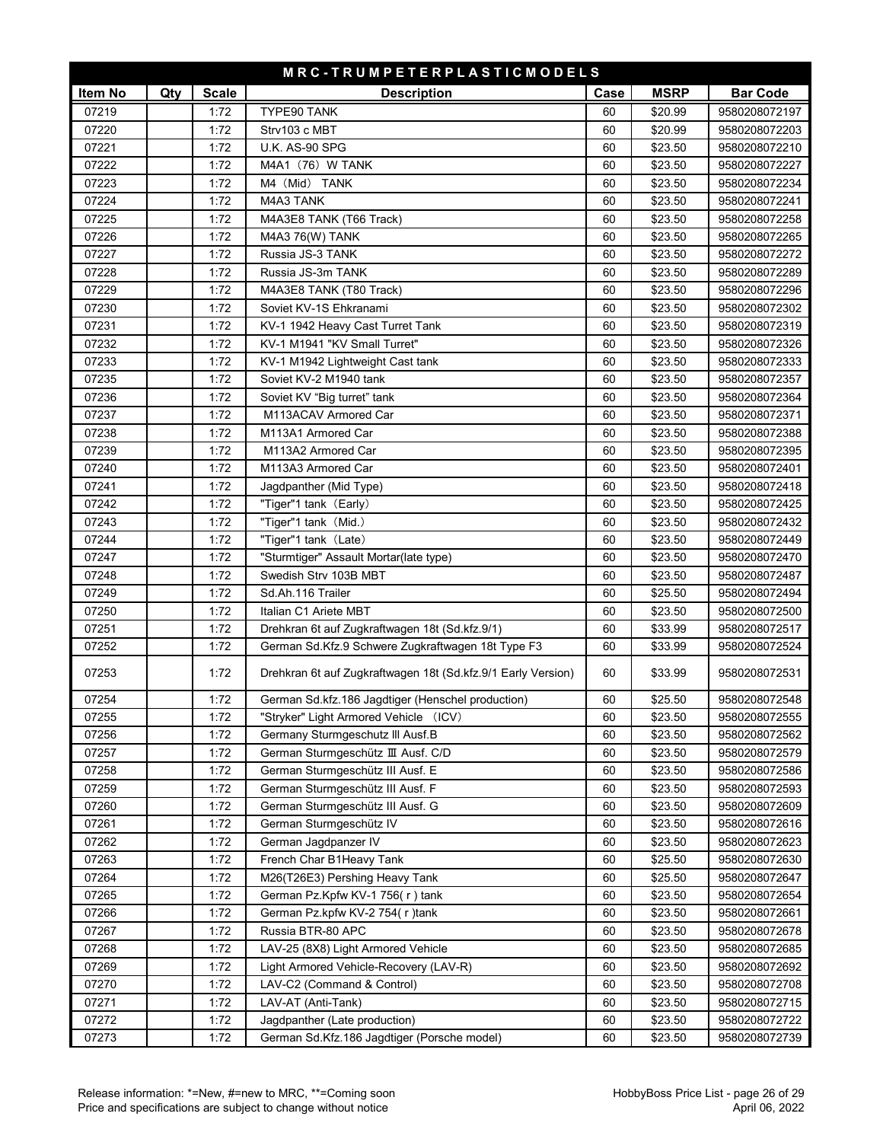| MRC-TRUMPETERPLASTICMODELS |     |              |                                                              |      |             |                 |
|----------------------------|-----|--------------|--------------------------------------------------------------|------|-------------|-----------------|
| Item No                    | Qty | <b>Scale</b> | <b>Description</b>                                           | Case | <b>MSRP</b> | <b>Bar Code</b> |
| 07219                      |     | 1:72         | TYPE90 TANK                                                  | 60   | \$20.99     | 9580208072197   |
| 07220                      |     | 1:72         | Strv103 c MBT                                                | 60   | \$20.99     | 9580208072203   |
| 07221                      |     | 1:72         | <b>U.K. AS-90 SPG</b>                                        | 60   | \$23.50     | 9580208072210   |
| 07222                      |     | 1:72         | M4A1 (76) W TANK                                             | 60   | \$23.50     | 9580208072227   |
| 07223                      |     | 1:72         | M4 (Mid) TANK                                                | 60   | \$23.50     | 9580208072234   |
| 07224                      |     | 1:72         | M4A3 TANK                                                    | 60   | \$23.50     | 9580208072241   |
| 07225                      |     | 1:72         | M4A3E8 TANK (T66 Track)                                      | 60   | \$23.50     | 9580208072258   |
| 07226                      |     | 1:72         | M4A3 76(W) TANK                                              | 60   | \$23.50     | 9580208072265   |
| 07227                      |     | 1:72         | Russia JS-3 TANK                                             | 60   | \$23.50     | 9580208072272   |
| 07228                      |     | 1:72         | Russia JS-3m TANK                                            | 60   | \$23.50     | 9580208072289   |
| 07229                      |     | 1:72         | M4A3E8 TANK (T80 Track)                                      | 60   | \$23.50     | 9580208072296   |
| 07230                      |     | 1:72         | Soviet KV-1S Ehkranami                                       | 60   | \$23.50     | 9580208072302   |
| 07231                      |     | 1:72         | KV-1 1942 Heavy Cast Turret Tank                             | 60   | \$23.50     | 9580208072319   |
| 07232                      |     | 1:72         | KV-1 M1941 "KV Small Turret"                                 | 60   | \$23.50     | 9580208072326   |
| 07233                      |     | 1:72         | KV-1 M1942 Lightweight Cast tank                             | 60   | \$23.50     | 9580208072333   |
| 07235                      |     | 1:72         | Soviet KV-2 M1940 tank                                       | 60   | \$23.50     | 9580208072357   |
| 07236                      |     | 1:72         | Soviet KV "Big turret" tank                                  | 60   | \$23.50     | 9580208072364   |
| 07237                      |     | 1:72         | M113ACAV Armored Car                                         | 60   | \$23.50     | 9580208072371   |
| 07238                      |     | 1:72         | M113A1 Armored Car                                           | 60   | \$23.50     | 9580208072388   |
| 07239                      |     | 1:72         | M113A2 Armored Car                                           | 60   | \$23.50     | 9580208072395   |
| 07240                      |     | 1:72         | M113A3 Armored Car                                           | 60   | \$23.50     | 9580208072401   |
| 07241                      |     | 1:72         | Jagdpanther (Mid Type)                                       | 60   | \$23.50     | 9580208072418   |
| 07242                      |     | 1:72         | "Tiger"1 tank (Early)                                        | 60   | \$23.50     | 9580208072425   |
| 07243                      |     | 1:72         | "Tiger"1 tank (Mid.)                                         | 60   | \$23.50     | 9580208072432   |
| 07244                      |     | 1:72         | "Tiger"1 tank (Late)                                         | 60   | \$23.50     | 9580208072449   |
| 07247                      |     | 1:72         | "Sturmtiger" Assault Mortar(late type)                       | 60   | \$23.50     | 9580208072470   |
| 07248                      |     | 1:72         | Swedish Strv 103B MBT                                        | 60   | \$23.50     | 9580208072487   |
| 07249                      |     | 1:72         | Sd.Ah.116 Trailer                                            | 60   | \$25.50     | 9580208072494   |
| 07250                      |     | 1:72         | Italian C1 Ariete MBT                                        | 60   | \$23.50     | 9580208072500   |
| 07251                      |     | 1:72         | Drehkran 6t auf Zugkraftwagen 18t (Sd.kfz.9/1)               | 60   | \$33.99     | 9580208072517   |
| 07252                      |     | 1:72         | German Sd.Kfz.9 Schwere Zugkraftwagen 18t Type F3            | 60   | \$33.99     | 9580208072524   |
| 07253                      |     | 1:72         | Drehkran 6t auf Zugkraftwagen 18t (Sd.kfz.9/1 Early Version) | 60   | \$33.99     | 9580208072531   |
| 07254                      |     | 1:72         | German Sd.kfz.186 Jagdtiger (Henschel production)            | 60   | \$25.50     | 9580208072548   |
| 07255                      |     | 1:72         | "Stryker" Light Armored Vehicle (ICV)                        | 60   | \$23.50     | 9580208072555   |
| 07256                      |     | 1:72         | Germany Sturmgeschutz III Ausf.B                             | 60   | \$23.50     | 9580208072562   |
| 07257                      |     | 1:72         | German Sturmgeschütz III Ausf. C/D                           | 60   | \$23.50     | 9580208072579   |
| 07258                      |     | 1:72         | German Sturmgeschütz III Ausf. E                             | 60   | \$23.50     | 9580208072586   |
| 07259                      |     | 1:72         | German Sturmgeschütz III Ausf. F                             | 60   | \$23.50     | 9580208072593   |
| 07260                      |     | 1:72         | German Sturmgeschütz III Ausf. G                             | 60   | \$23.50     | 9580208072609   |
| 07261                      |     | 1:72         | German Sturmgeschütz IV                                      | 60   | \$23.50     | 9580208072616   |
| 07262                      |     | 1:72         | German Jagdpanzer IV                                         | 60   | \$23.50     | 9580208072623   |
| 07263                      |     | 1:72         | French Char B1Heavy Tank                                     | 60   | \$25.50     | 9580208072630   |
| 07264                      |     | 1:72         | M26(T26E3) Pershing Heavy Tank                               | 60   | \$25.50     | 9580208072647   |
| 07265                      |     | 1:72         | German Pz.Kpfw KV-1 756(r) tank                              | 60   | \$23.50     | 9580208072654   |
| 07266                      |     | 1:72         | German Pz.kpfw KV-2 754(r)tank                               | 60   | \$23.50     | 9580208072661   |
| 07267                      |     | 1:72         | Russia BTR-80 APC                                            | 60   | \$23.50     | 9580208072678   |
| 07268                      |     | 1:72         | LAV-25 (8X8) Light Armored Vehicle                           | 60   | \$23.50     | 9580208072685   |
| 07269                      |     | 1:72         | Light Armored Vehicle-Recovery (LAV-R)                       | 60   | \$23.50     | 9580208072692   |
| 07270                      |     | 1:72         | LAV-C2 (Command & Control)                                   | 60   | \$23.50     | 9580208072708   |
| 07271                      |     | 1:72         | LAV-AT (Anti-Tank)                                           | 60   | \$23.50     | 9580208072715   |
| 07272                      |     | 1:72         | Jagdpanther (Late production)                                | 60   | \$23.50     | 9580208072722   |
| 07273                      |     | 1:72         | German Sd.Kfz.186 Jagdtiger (Porsche model)                  | 60   | \$23.50     | 9580208072739   |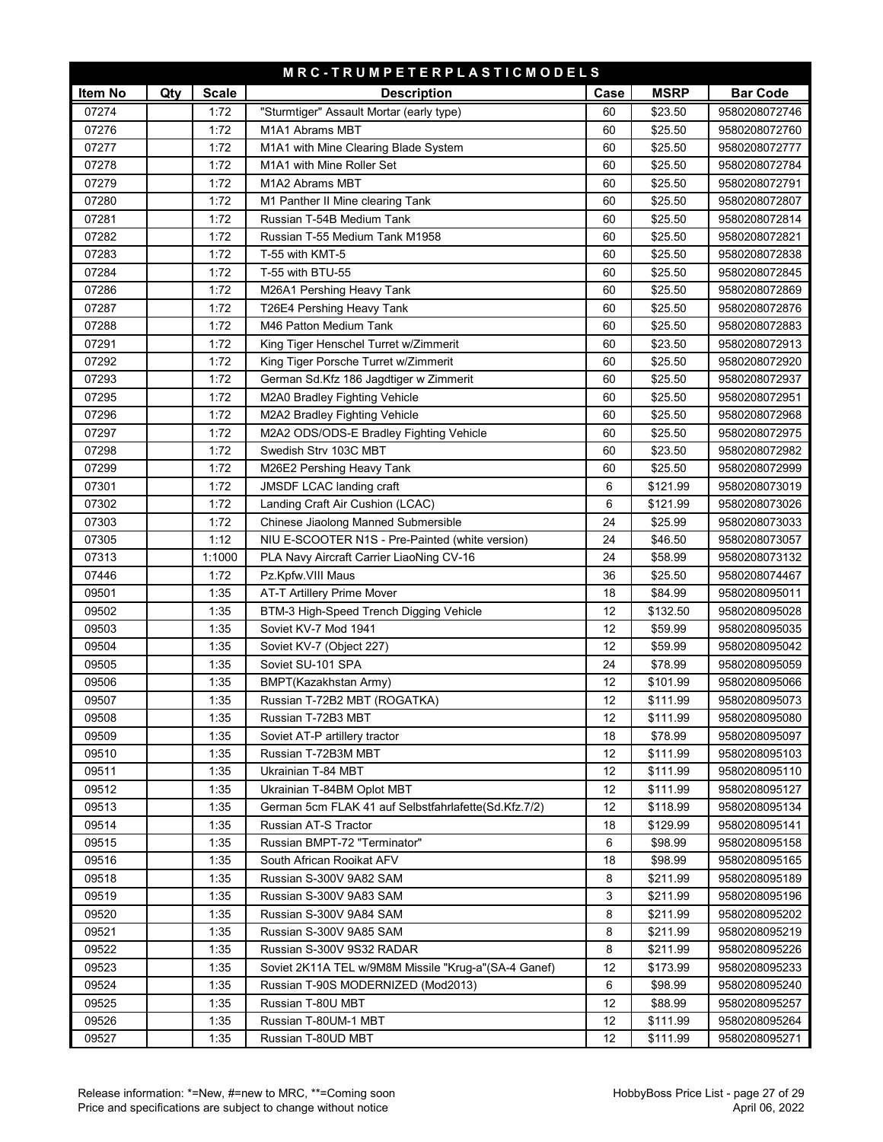| MRC-TRUMPETERPLASTICMODELS |     |              |                                                      |        |                      |                                |
|----------------------------|-----|--------------|------------------------------------------------------|--------|----------------------|--------------------------------|
| Item No                    | Qty | <b>Scale</b> | <b>Description</b>                                   | Case   | <b>MSRP</b>          | <b>Bar Code</b>                |
| 07274                      |     | 1:72         | "Sturmtiger" Assault Mortar (early type)             | 60     | \$23.50              | 9580208072746                  |
| 07276                      |     | 1:72         | M1A1 Abrams MBT                                      | 60     | \$25.50              | 9580208072760                  |
| 07277                      |     | 1:72         | M1A1 with Mine Clearing Blade System                 | 60     | \$25.50              | 9580208072777                  |
| 07278                      |     | 1:72         | M1A1 with Mine Roller Set                            | 60     | \$25.50              | 9580208072784                  |
| 07279                      |     | 1:72         | M1A2 Abrams MBT                                      | 60     | \$25.50              | 9580208072791                  |
| 07280                      |     | 1:72         | M1 Panther II Mine clearing Tank                     | 60     | \$25.50              | 9580208072807                  |
| 07281                      |     | 1:72         | Russian T-54B Medium Tank                            | 60     | \$25.50              | 9580208072814                  |
| 07282                      |     | 1:72         | Russian T-55 Medium Tank M1958                       | 60     | \$25.50              | 9580208072821                  |
| 07283                      |     | 1:72         | T-55 with KMT-5                                      | 60     | \$25.50              | 9580208072838                  |
| 07284                      |     | 1:72         | T-55 with BTU-55                                     | 60     | \$25.50              | 9580208072845                  |
| 07286                      |     | 1:72         | M26A1 Pershing Heavy Tank                            | 60     | \$25.50              | 9580208072869                  |
| 07287                      |     | 1:72         | T26E4 Pershing Heavy Tank                            | 60     | \$25.50              | 9580208072876                  |
| 07288                      |     | 1:72         | M46 Patton Medium Tank                               | 60     | \$25.50              | 9580208072883                  |
| 07291                      |     | 1:72         | King Tiger Henschel Turret w/Zimmerit                | 60     | \$23.50              | 9580208072913                  |
| 07292                      |     | 1:72         | King Tiger Porsche Turret w/Zimmerit                 | 60     | \$25.50              | 9580208072920                  |
| 07293                      |     | 1:72         | German Sd.Kfz 186 Jagdtiger w Zimmerit               | 60     | \$25.50              | 9580208072937                  |
| 07295                      |     | 1:72         | M2A0 Bradley Fighting Vehicle                        | 60     | \$25.50              | 9580208072951                  |
| 07296                      |     | 1:72         | M2A2 Bradley Fighting Vehicle                        | 60     | \$25.50              | 9580208072968                  |
| 07297                      |     | 1:72         | M2A2 ODS/ODS-E Bradley Fighting Vehicle              | 60     | \$25.50              | 9580208072975                  |
| 07298                      |     | 1:72         | Swedish Strv 103C MBT                                | 60     | \$23.50              | 9580208072982                  |
| 07299                      |     | 1:72         | M26E2 Pershing Heavy Tank                            | 60     | \$25.50              | 9580208072999                  |
| 07301                      |     | 1:72         | JMSDF LCAC landing craft                             | 6      | \$121.99             | 9580208073019                  |
| 07302                      |     | 1:72         | Landing Craft Air Cushion (LCAC)                     | 6      | \$121.99             | 9580208073026                  |
| 07303                      |     | 1:72         | Chinese Jiaolong Manned Submersible                  | 24     | \$25.99              | 9580208073033                  |
| 07305                      |     | 1:12         | NIU E-SCOOTER N1S - Pre-Painted (white version)      | 24     | \$46.50              | 9580208073057                  |
| 07313                      |     | 1:1000       | PLA Navy Aircraft Carrier LiaoNing CV-16             | 24     | \$58.99              | 9580208073132                  |
| 07446                      |     | 1:72         | Pz.Kpfw.VIII Maus                                    | 36     | \$25.50              | 9580208074467                  |
| 09501                      |     | 1:35         | <b>AT-T Artillery Prime Mover</b>                    | 18     | \$84.99              | 9580208095011                  |
| 09502                      |     | 1:35         | BTM-3 High-Speed Trench Digging Vehicle              | 12     | \$132.50             | 9580208095028                  |
| 09503                      |     | 1:35         | Soviet KV-7 Mod 1941                                 | 12     | \$59.99              | 9580208095035                  |
| 09504                      |     | 1:35         | Soviet KV-7 (Object 227)                             | 12     | \$59.99              | 9580208095042                  |
| 09505                      |     | 1:35         | Soviet SU-101 SPA                                    | 24     | \$78.99              | 9580208095059                  |
| 09506                      |     | 1:35         | BMPT(Kazakhstan Army)                                | 12     | \$101.99             | 9580208095066                  |
| 09507                      |     | 1:35         | Russian T-72B2 MBT (ROGATKA)                         | 12     | \$111.99             | 9580208095073                  |
| 09508                      |     | 1:35         | Russian T-72B3 MBT                                   | 12     | \$111.99             | 9580208095080                  |
| 09509                      |     | 1:35         | Soviet AT-P artillery tractor                        | 18     | \$78.99              | 9580208095097                  |
| 09510                      |     | 1:35         | Russian T-72B3M MBT                                  | 12     | \$111.99             | 9580208095103                  |
| 09511                      |     | 1:35         | Ukrainian T-84 MBT                                   | 12     | \$111.99             | 9580208095110                  |
| 09512                      |     | 1:35         | Ukrainian T-84BM Oplot MBT                           | 12     | \$111.99             | 9580208095127                  |
| 09513                      |     | 1:35         | German 5cm FLAK 41 auf Selbstfahrlafette(Sd.Kfz.7/2) | 12     | \$118.99             | 9580208095134                  |
| 09514                      |     | 1:35         | Russian AT-S Tractor                                 | 18     | \$129.99             | 9580208095141                  |
| 09515                      |     | 1:35         | Russian BMPT-72 "Terminator"                         | 6      | \$98.99              | 9580208095158                  |
| 09516<br>09518             |     | 1:35         | South African Rooikat AFV<br>Russian S-300V 9A82 SAM | 18     | \$98.99              | 9580208095165                  |
| 09519                      |     | 1:35<br>1:35 | Russian S-300V 9A83 SAM                              | 8<br>3 | \$211.99<br>\$211.99 | 9580208095189<br>9580208095196 |
| 09520                      |     | 1:35         | Russian S-300V 9A84 SAM                              | 8      | \$211.99             | 9580208095202                  |
| 09521                      |     | 1:35         | Russian S-300V 9A85 SAM                              | 8      | \$211.99             | 9580208095219                  |
| 09522                      |     | 1:35         | Russian S-300V 9S32 RADAR                            | 8      | \$211.99             | 9580208095226                  |
| 09523                      |     | 1:35         | Soviet 2K11A TEL w/9M8M Missile "Krug-a"(SA-4 Ganef) | 12     | \$173.99             | 9580208095233                  |
| 09524                      |     | 1:35         | Russian T-90S MODERNIZED (Mod2013)                   | 6      | \$98.99              | 9580208095240                  |
| 09525                      |     | 1:35         | Russian T-80U MBT                                    | 12     | \$88.99              | 9580208095257                  |
| 09526                      |     | 1:35         | Russian T-80UM-1 MBT                                 | 12     | \$111.99             | 9580208095264                  |
| 09527                      |     | 1:35         | Russian T-80UD MBT                                   | 12     | \$111.99             | 9580208095271                  |
|                            |     |              |                                                      |        |                      |                                |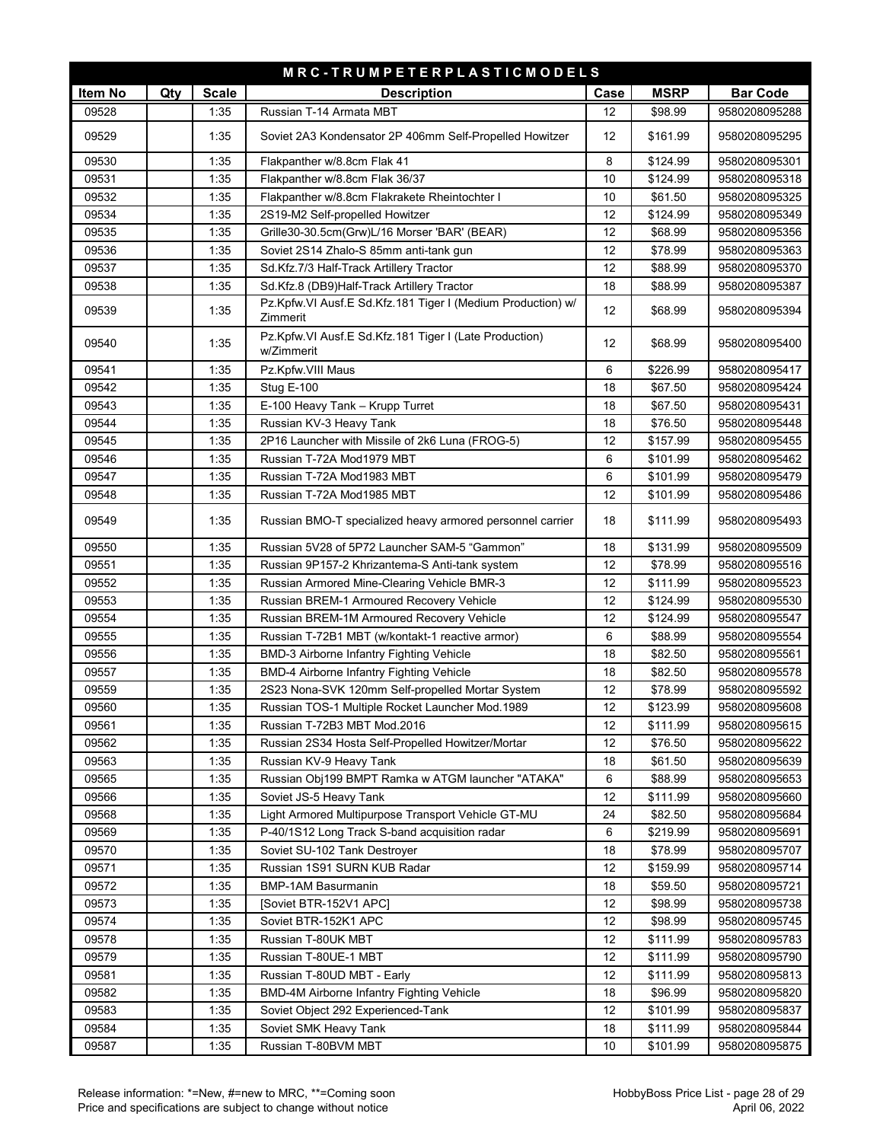| <b>MSRP</b><br><b>Bar Code</b><br>Item No<br>Qty<br><b>Scale</b><br><b>Description</b><br>Case<br>09528<br>Russian T-14 Armata MBT<br>1:35<br>12<br>\$98.99<br>9580208095288<br>09529<br>1:35<br>Soviet 2A3 Kondensator 2P 406mm Self-Propelled Howitzer<br>12<br>\$161.99<br>9580208095295<br>09530<br>1:35<br>Flakpanther w/8.8cm Flak 41<br>8<br>\$124.99<br>9580208095301<br>09531<br>Flakpanther w/8.8cm Flak 36/37<br>1:35<br>10<br>\$124.99<br>9580208095318<br>09532<br>1:35<br>Flakpanther w/8.8cm Flakrakete Rheintochter I<br>10<br>\$61.50<br>9580208095325<br>09534<br>1:35<br>2S19-M2 Self-propelled Howitzer<br>12<br>\$124.99<br>9580208095349<br>09535<br>1:35<br>12<br>Grille30-30.5cm(Grw)L/16 Morser 'BAR' (BEAR)<br>\$68.99<br>9580208095356<br>09536<br>1:35<br>12<br>\$78.99<br>Soviet 2S14 Zhalo-S 85mm anti-tank gun<br>9580208095363<br>09537<br>1:35<br>Sd.Kfz.7/3 Half-Track Artillery Tractor<br>12<br>\$88.99<br>9580208095370<br>09538<br>1:35<br>Sd.Kfz.8 (DB9)Half-Track Artillery Tractor<br>18<br>\$88.99<br>9580208095387<br>Pz.Kpfw.VI Ausf.E Sd.Kfz.181 Tiger I (Medium Production) w/<br>09539<br>1:35<br>12<br>\$68.99<br>9580208095394<br>Zimmerit<br>Pz.Kpfw.VI Ausf.E Sd.Kfz.181 Tiger I (Late Production)<br>09540<br>1:35<br>12<br>\$68.99<br>9580208095400<br>w/Zimmerit<br>6<br>09541<br>1:35<br>Pz.Kpfw.VIII Maus<br>\$226.99<br>9580208095417<br>09542<br>1:35<br>Stug E-100<br>18<br>\$67.50<br>9580208095424<br>09543<br>1:35<br>E-100 Heavy Tank - Krupp Turret<br>18<br>\$67.50<br>9580208095431<br>09544<br>1:35<br>Russian KV-3 Heavy Tank<br>18<br>\$76.50<br>9580208095448<br>09545<br>12<br>1:35<br>2P16 Launcher with Missile of 2k6 Luna (FROG-5)<br>\$157.99<br>9580208095455<br>09546<br>Russian T-72A Mod1979 MBT<br>1:35<br>6<br>\$101.99<br>9580208095462<br>09547<br>1:35<br>Russian T-72A Mod1983 MBT<br>6<br>\$101.99<br>9580208095479<br>09548<br>1:35<br>Russian T-72A Mod1985 MBT<br>12<br>\$101.99<br>9580208095486<br>09549<br>1:35<br>Russian BMO-T specialized heavy armored personnel carrier<br>18<br>\$111.99<br>9580208095493<br>09550<br>1:35<br>Russian 5V28 of 5P72 Launcher SAM-5 "Gammon"<br>18<br>\$131.99<br>9580208095509<br>09551<br>1:35<br>12<br>Russian 9P157-2 Khrizantema-S Anti-tank system<br>\$78.99<br>9580208095516<br>09552<br>1:35<br>Russian Armored Mine-Clearing Vehicle BMR-3<br>12<br>\$111.99<br>9580208095523<br>09553<br>1:35<br>Russian BREM-1 Armoured Recovery Vehicle<br>12<br>\$124.99<br>9580208095530<br>09554<br>1:35<br>Russian BREM-1M Armoured Recovery Vehicle<br>12<br>\$124.99<br>9580208095547<br>09555<br>1:35<br>Russian T-72B1 MBT (w/kontakt-1 reactive armor)<br>\$88.99<br>6<br>9580208095554<br>09556<br>1:35<br>BMD-3 Airborne Infantry Fighting Vehicle<br>18<br>\$82.50<br>9580208095561<br>09557<br>1:35<br>BMD-4 Airborne Infantry Fighting Vehicle<br>18<br>\$82.50<br>9580208095578<br>09559<br>1:35<br>2S23 Nona-SVK 120mm Self-propelled Mortar System<br>12<br>\$78.99<br>9580208095592<br>09560<br>1:35<br>Russian TOS-1 Multiple Rocket Launcher Mod.1989<br>12<br>\$123.99<br>9580208095608<br>12<br>09561<br>1:35<br>Russian T-72B3 MBT Mod.2016<br>\$111.99<br>9580208095615<br>09562<br>1:35<br>12<br>Russian 2S34 Hosta Self-Propelled Howitzer/Mortar<br>\$76.50<br>9580208095622<br>09563<br>1:35<br>Russian KV-9 Heavy Tank<br>18<br>\$61.50<br>9580208095639<br>09565<br>1:35<br>Russian Obj199 BMPT Ramka w ATGM launcher "ATAKA"<br>\$88.99<br>9580208095653<br>6<br>09566<br>1:35<br>Soviet JS-5 Heavy Tank<br>12<br>\$111.99<br>9580208095660<br>09568<br>Light Armored Multipurpose Transport Vehicle GT-MU<br>1:35<br>24<br>\$82.50<br>9580208095684<br>09569<br>1:35<br>P-40/1S12 Long Track S-band acquisition radar<br>6<br>\$219.99<br>9580208095691<br>09570<br>1:35<br>Soviet SU-102 Tank Destroyer<br>18<br>\$78.99<br>9580208095707<br>09571<br>1:35<br>12<br>Russian 1S91 SURN KUB Radar<br>\$159.99<br>9580208095714<br>09572<br>1:35<br><b>BMP-1AM Basurmanin</b><br>18<br>\$59.50<br>9580208095721<br>09573<br>1:35<br>12<br>\$98.99<br>[Soviet BTR-152V1 APC]<br>9580208095738<br>09574<br>1:35<br>\$98.99<br>Soviet BTR-152K1 APC<br>12<br>9580208095745<br>09578<br>1:35<br>Russian T-80UK MBT<br>12<br>\$111.99<br>9580208095783<br>09579<br>1:35<br>Russian T-80UE-1 MBT<br>12<br>\$111.99<br>9580208095790<br>09581<br>1:35<br>Russian T-80UD MBT - Early<br>12<br>\$111.99<br>9580208095813<br>1:35<br>BMD-4M Airborne Infantry Fighting Vehicle<br>09582<br>18<br>\$96.99<br>9580208095820<br>09583<br>1:35<br>12<br>Soviet Object 292 Experienced-Tank<br>\$101.99<br>9580208095837<br>09584<br>1:35<br>18<br>\$111.99<br>Soviet SMK Heavy Tank<br>9580208095844<br>09587<br>1:35<br>Russian T-80BVM MBT<br>10<br>\$101.99<br>9580208095875 | MRC-TRUMPETERPLASTICMODELS |  |  |  |  |  |  |
|-------------------------------------------------------------------------------------------------------------------------------------------------------------------------------------------------------------------------------------------------------------------------------------------------------------------------------------------------------------------------------------------------------------------------------------------------------------------------------------------------------------------------------------------------------------------------------------------------------------------------------------------------------------------------------------------------------------------------------------------------------------------------------------------------------------------------------------------------------------------------------------------------------------------------------------------------------------------------------------------------------------------------------------------------------------------------------------------------------------------------------------------------------------------------------------------------------------------------------------------------------------------------------------------------------------------------------------------------------------------------------------------------------------------------------------------------------------------------------------------------------------------------------------------------------------------------------------------------------------------------------------------------------------------------------------------------------------------------------------------------------------------------------------------------------------------------------------------------------------------------------------------------------------------------------------------------------------------------------------------------------------------------------------------------------------------------------------------------------------------------------------------------------------------------------------------------------------------------------------------------------------------------------------------------------------------------------------------------------------------------------------------------------------------------------------------------------------------------------------------------------------------------------------------------------------------------------------------------------------------------------------------------------------------------------------------------------------------------------------------------------------------------------------------------------------------------------------------------------------------------------------------------------------------------------------------------------------------------------------------------------------------------------------------------------------------------------------------------------------------------------------------------------------------------------------------------------------------------------------------------------------------------------------------------------------------------------------------------------------------------------------------------------------------------------------------------------------------------------------------------------------------------------------------------------------------------------------------------------------------------------------------------------------------------------------------------------------------------------------------------------------------------------------------------------------------------------------------------------------------------------------------------------------------------------------------------------------------------------------------------------------------------------------------------------------------------------------------------------------------------------------------------------------------------------------------------------------------------------------------------------------------------------------------------------------------------------------------------------------------------------------------------------------------------------------------------------------------------------------------------------------------------------------------------------------------------------------------------------------------------------------------------------------------------------------------------------------------------------------------------------------------------------------------------------------------------------|----------------------------|--|--|--|--|--|--|
|                                                                                                                                                                                                                                                                                                                                                                                                                                                                                                                                                                                                                                                                                                                                                                                                                                                                                                                                                                                                                                                                                                                                                                                                                                                                                                                                                                                                                                                                                                                                                                                                                                                                                                                                                                                                                                                                                                                                                                                                                                                                                                                                                                                                                                                                                                                                                                                                                                                                                                                                                                                                                                                                                                                                                                                                                                                                                                                                                                                                                                                                                                                                                                                                                                                                                                                                                                                                                                                                                                                                                                                                                                                                                                                                                                                                                                                                                                                                                                                                                                                                                                                                                                                                                                                                                                                                                                                                                                                                                                                                                                                                                                                                                                                                                                                                                               |                            |  |  |  |  |  |  |
|                                                                                                                                                                                                                                                                                                                                                                                                                                                                                                                                                                                                                                                                                                                                                                                                                                                                                                                                                                                                                                                                                                                                                                                                                                                                                                                                                                                                                                                                                                                                                                                                                                                                                                                                                                                                                                                                                                                                                                                                                                                                                                                                                                                                                                                                                                                                                                                                                                                                                                                                                                                                                                                                                                                                                                                                                                                                                                                                                                                                                                                                                                                                                                                                                                                                                                                                                                                                                                                                                                                                                                                                                                                                                                                                                                                                                                                                                                                                                                                                                                                                                                                                                                                                                                                                                                                                                                                                                                                                                                                                                                                                                                                                                                                                                                                                                               |                            |  |  |  |  |  |  |
|                                                                                                                                                                                                                                                                                                                                                                                                                                                                                                                                                                                                                                                                                                                                                                                                                                                                                                                                                                                                                                                                                                                                                                                                                                                                                                                                                                                                                                                                                                                                                                                                                                                                                                                                                                                                                                                                                                                                                                                                                                                                                                                                                                                                                                                                                                                                                                                                                                                                                                                                                                                                                                                                                                                                                                                                                                                                                                                                                                                                                                                                                                                                                                                                                                                                                                                                                                                                                                                                                                                                                                                                                                                                                                                                                                                                                                                                                                                                                                                                                                                                                                                                                                                                                                                                                                                                                                                                                                                                                                                                                                                                                                                                                                                                                                                                                               |                            |  |  |  |  |  |  |
|                                                                                                                                                                                                                                                                                                                                                                                                                                                                                                                                                                                                                                                                                                                                                                                                                                                                                                                                                                                                                                                                                                                                                                                                                                                                                                                                                                                                                                                                                                                                                                                                                                                                                                                                                                                                                                                                                                                                                                                                                                                                                                                                                                                                                                                                                                                                                                                                                                                                                                                                                                                                                                                                                                                                                                                                                                                                                                                                                                                                                                                                                                                                                                                                                                                                                                                                                                                                                                                                                                                                                                                                                                                                                                                                                                                                                                                                                                                                                                                                                                                                                                                                                                                                                                                                                                                                                                                                                                                                                                                                                                                                                                                                                                                                                                                                                               |                            |  |  |  |  |  |  |
|                                                                                                                                                                                                                                                                                                                                                                                                                                                                                                                                                                                                                                                                                                                                                                                                                                                                                                                                                                                                                                                                                                                                                                                                                                                                                                                                                                                                                                                                                                                                                                                                                                                                                                                                                                                                                                                                                                                                                                                                                                                                                                                                                                                                                                                                                                                                                                                                                                                                                                                                                                                                                                                                                                                                                                                                                                                                                                                                                                                                                                                                                                                                                                                                                                                                                                                                                                                                                                                                                                                                                                                                                                                                                                                                                                                                                                                                                                                                                                                                                                                                                                                                                                                                                                                                                                                                                                                                                                                                                                                                                                                                                                                                                                                                                                                                                               |                            |  |  |  |  |  |  |
|                                                                                                                                                                                                                                                                                                                                                                                                                                                                                                                                                                                                                                                                                                                                                                                                                                                                                                                                                                                                                                                                                                                                                                                                                                                                                                                                                                                                                                                                                                                                                                                                                                                                                                                                                                                                                                                                                                                                                                                                                                                                                                                                                                                                                                                                                                                                                                                                                                                                                                                                                                                                                                                                                                                                                                                                                                                                                                                                                                                                                                                                                                                                                                                                                                                                                                                                                                                                                                                                                                                                                                                                                                                                                                                                                                                                                                                                                                                                                                                                                                                                                                                                                                                                                                                                                                                                                                                                                                                                                                                                                                                                                                                                                                                                                                                                                               |                            |  |  |  |  |  |  |
|                                                                                                                                                                                                                                                                                                                                                                                                                                                                                                                                                                                                                                                                                                                                                                                                                                                                                                                                                                                                                                                                                                                                                                                                                                                                                                                                                                                                                                                                                                                                                                                                                                                                                                                                                                                                                                                                                                                                                                                                                                                                                                                                                                                                                                                                                                                                                                                                                                                                                                                                                                                                                                                                                                                                                                                                                                                                                                                                                                                                                                                                                                                                                                                                                                                                                                                                                                                                                                                                                                                                                                                                                                                                                                                                                                                                                                                                                                                                                                                                                                                                                                                                                                                                                                                                                                                                                                                                                                                                                                                                                                                                                                                                                                                                                                                                                               |                            |  |  |  |  |  |  |
|                                                                                                                                                                                                                                                                                                                                                                                                                                                                                                                                                                                                                                                                                                                                                                                                                                                                                                                                                                                                                                                                                                                                                                                                                                                                                                                                                                                                                                                                                                                                                                                                                                                                                                                                                                                                                                                                                                                                                                                                                                                                                                                                                                                                                                                                                                                                                                                                                                                                                                                                                                                                                                                                                                                                                                                                                                                                                                                                                                                                                                                                                                                                                                                                                                                                                                                                                                                                                                                                                                                                                                                                                                                                                                                                                                                                                                                                                                                                                                                                                                                                                                                                                                                                                                                                                                                                                                                                                                                                                                                                                                                                                                                                                                                                                                                                                               |                            |  |  |  |  |  |  |
|                                                                                                                                                                                                                                                                                                                                                                                                                                                                                                                                                                                                                                                                                                                                                                                                                                                                                                                                                                                                                                                                                                                                                                                                                                                                                                                                                                                                                                                                                                                                                                                                                                                                                                                                                                                                                                                                                                                                                                                                                                                                                                                                                                                                                                                                                                                                                                                                                                                                                                                                                                                                                                                                                                                                                                                                                                                                                                                                                                                                                                                                                                                                                                                                                                                                                                                                                                                                                                                                                                                                                                                                                                                                                                                                                                                                                                                                                                                                                                                                                                                                                                                                                                                                                                                                                                                                                                                                                                                                                                                                                                                                                                                                                                                                                                                                                               |                            |  |  |  |  |  |  |
|                                                                                                                                                                                                                                                                                                                                                                                                                                                                                                                                                                                                                                                                                                                                                                                                                                                                                                                                                                                                                                                                                                                                                                                                                                                                                                                                                                                                                                                                                                                                                                                                                                                                                                                                                                                                                                                                                                                                                                                                                                                                                                                                                                                                                                                                                                                                                                                                                                                                                                                                                                                                                                                                                                                                                                                                                                                                                                                                                                                                                                                                                                                                                                                                                                                                                                                                                                                                                                                                                                                                                                                                                                                                                                                                                                                                                                                                                                                                                                                                                                                                                                                                                                                                                                                                                                                                                                                                                                                                                                                                                                                                                                                                                                                                                                                                                               |                            |  |  |  |  |  |  |
|                                                                                                                                                                                                                                                                                                                                                                                                                                                                                                                                                                                                                                                                                                                                                                                                                                                                                                                                                                                                                                                                                                                                                                                                                                                                                                                                                                                                                                                                                                                                                                                                                                                                                                                                                                                                                                                                                                                                                                                                                                                                                                                                                                                                                                                                                                                                                                                                                                                                                                                                                                                                                                                                                                                                                                                                                                                                                                                                                                                                                                                                                                                                                                                                                                                                                                                                                                                                                                                                                                                                                                                                                                                                                                                                                                                                                                                                                                                                                                                                                                                                                                                                                                                                                                                                                                                                                                                                                                                                                                                                                                                                                                                                                                                                                                                                                               |                            |  |  |  |  |  |  |
|                                                                                                                                                                                                                                                                                                                                                                                                                                                                                                                                                                                                                                                                                                                                                                                                                                                                                                                                                                                                                                                                                                                                                                                                                                                                                                                                                                                                                                                                                                                                                                                                                                                                                                                                                                                                                                                                                                                                                                                                                                                                                                                                                                                                                                                                                                                                                                                                                                                                                                                                                                                                                                                                                                                                                                                                                                                                                                                                                                                                                                                                                                                                                                                                                                                                                                                                                                                                                                                                                                                                                                                                                                                                                                                                                                                                                                                                                                                                                                                                                                                                                                                                                                                                                                                                                                                                                                                                                                                                                                                                                                                                                                                                                                                                                                                                                               |                            |  |  |  |  |  |  |
|                                                                                                                                                                                                                                                                                                                                                                                                                                                                                                                                                                                                                                                                                                                                                                                                                                                                                                                                                                                                                                                                                                                                                                                                                                                                                                                                                                                                                                                                                                                                                                                                                                                                                                                                                                                                                                                                                                                                                                                                                                                                                                                                                                                                                                                                                                                                                                                                                                                                                                                                                                                                                                                                                                                                                                                                                                                                                                                                                                                                                                                                                                                                                                                                                                                                                                                                                                                                                                                                                                                                                                                                                                                                                                                                                                                                                                                                                                                                                                                                                                                                                                                                                                                                                                                                                                                                                                                                                                                                                                                                                                                                                                                                                                                                                                                                                               |                            |  |  |  |  |  |  |
|                                                                                                                                                                                                                                                                                                                                                                                                                                                                                                                                                                                                                                                                                                                                                                                                                                                                                                                                                                                                                                                                                                                                                                                                                                                                                                                                                                                                                                                                                                                                                                                                                                                                                                                                                                                                                                                                                                                                                                                                                                                                                                                                                                                                                                                                                                                                                                                                                                                                                                                                                                                                                                                                                                                                                                                                                                                                                                                                                                                                                                                                                                                                                                                                                                                                                                                                                                                                                                                                                                                                                                                                                                                                                                                                                                                                                                                                                                                                                                                                                                                                                                                                                                                                                                                                                                                                                                                                                                                                                                                                                                                                                                                                                                                                                                                                                               |                            |  |  |  |  |  |  |
|                                                                                                                                                                                                                                                                                                                                                                                                                                                                                                                                                                                                                                                                                                                                                                                                                                                                                                                                                                                                                                                                                                                                                                                                                                                                                                                                                                                                                                                                                                                                                                                                                                                                                                                                                                                                                                                                                                                                                                                                                                                                                                                                                                                                                                                                                                                                                                                                                                                                                                                                                                                                                                                                                                                                                                                                                                                                                                                                                                                                                                                                                                                                                                                                                                                                                                                                                                                                                                                                                                                                                                                                                                                                                                                                                                                                                                                                                                                                                                                                                                                                                                                                                                                                                                                                                                                                                                                                                                                                                                                                                                                                                                                                                                                                                                                                                               |                            |  |  |  |  |  |  |
|                                                                                                                                                                                                                                                                                                                                                                                                                                                                                                                                                                                                                                                                                                                                                                                                                                                                                                                                                                                                                                                                                                                                                                                                                                                                                                                                                                                                                                                                                                                                                                                                                                                                                                                                                                                                                                                                                                                                                                                                                                                                                                                                                                                                                                                                                                                                                                                                                                                                                                                                                                                                                                                                                                                                                                                                                                                                                                                                                                                                                                                                                                                                                                                                                                                                                                                                                                                                                                                                                                                                                                                                                                                                                                                                                                                                                                                                                                                                                                                                                                                                                                                                                                                                                                                                                                                                                                                                                                                                                                                                                                                                                                                                                                                                                                                                                               |                            |  |  |  |  |  |  |
|                                                                                                                                                                                                                                                                                                                                                                                                                                                                                                                                                                                                                                                                                                                                                                                                                                                                                                                                                                                                                                                                                                                                                                                                                                                                                                                                                                                                                                                                                                                                                                                                                                                                                                                                                                                                                                                                                                                                                                                                                                                                                                                                                                                                                                                                                                                                                                                                                                                                                                                                                                                                                                                                                                                                                                                                                                                                                                                                                                                                                                                                                                                                                                                                                                                                                                                                                                                                                                                                                                                                                                                                                                                                                                                                                                                                                                                                                                                                                                                                                                                                                                                                                                                                                                                                                                                                                                                                                                                                                                                                                                                                                                                                                                                                                                                                                               |                            |  |  |  |  |  |  |
|                                                                                                                                                                                                                                                                                                                                                                                                                                                                                                                                                                                                                                                                                                                                                                                                                                                                                                                                                                                                                                                                                                                                                                                                                                                                                                                                                                                                                                                                                                                                                                                                                                                                                                                                                                                                                                                                                                                                                                                                                                                                                                                                                                                                                                                                                                                                                                                                                                                                                                                                                                                                                                                                                                                                                                                                                                                                                                                                                                                                                                                                                                                                                                                                                                                                                                                                                                                                                                                                                                                                                                                                                                                                                                                                                                                                                                                                                                                                                                                                                                                                                                                                                                                                                                                                                                                                                                                                                                                                                                                                                                                                                                                                                                                                                                                                                               |                            |  |  |  |  |  |  |
|                                                                                                                                                                                                                                                                                                                                                                                                                                                                                                                                                                                                                                                                                                                                                                                                                                                                                                                                                                                                                                                                                                                                                                                                                                                                                                                                                                                                                                                                                                                                                                                                                                                                                                                                                                                                                                                                                                                                                                                                                                                                                                                                                                                                                                                                                                                                                                                                                                                                                                                                                                                                                                                                                                                                                                                                                                                                                                                                                                                                                                                                                                                                                                                                                                                                                                                                                                                                                                                                                                                                                                                                                                                                                                                                                                                                                                                                                                                                                                                                                                                                                                                                                                                                                                                                                                                                                                                                                                                                                                                                                                                                                                                                                                                                                                                                                               |                            |  |  |  |  |  |  |
|                                                                                                                                                                                                                                                                                                                                                                                                                                                                                                                                                                                                                                                                                                                                                                                                                                                                                                                                                                                                                                                                                                                                                                                                                                                                                                                                                                                                                                                                                                                                                                                                                                                                                                                                                                                                                                                                                                                                                                                                                                                                                                                                                                                                                                                                                                                                                                                                                                                                                                                                                                                                                                                                                                                                                                                                                                                                                                                                                                                                                                                                                                                                                                                                                                                                                                                                                                                                                                                                                                                                                                                                                                                                                                                                                                                                                                                                                                                                                                                                                                                                                                                                                                                                                                                                                                                                                                                                                                                                                                                                                                                                                                                                                                                                                                                                                               |                            |  |  |  |  |  |  |
|                                                                                                                                                                                                                                                                                                                                                                                                                                                                                                                                                                                                                                                                                                                                                                                                                                                                                                                                                                                                                                                                                                                                                                                                                                                                                                                                                                                                                                                                                                                                                                                                                                                                                                                                                                                                                                                                                                                                                                                                                                                                                                                                                                                                                                                                                                                                                                                                                                                                                                                                                                                                                                                                                                                                                                                                                                                                                                                                                                                                                                                                                                                                                                                                                                                                                                                                                                                                                                                                                                                                                                                                                                                                                                                                                                                                                                                                                                                                                                                                                                                                                                                                                                                                                                                                                                                                                                                                                                                                                                                                                                                                                                                                                                                                                                                                                               |                            |  |  |  |  |  |  |
|                                                                                                                                                                                                                                                                                                                                                                                                                                                                                                                                                                                                                                                                                                                                                                                                                                                                                                                                                                                                                                                                                                                                                                                                                                                                                                                                                                                                                                                                                                                                                                                                                                                                                                                                                                                                                                                                                                                                                                                                                                                                                                                                                                                                                                                                                                                                                                                                                                                                                                                                                                                                                                                                                                                                                                                                                                                                                                                                                                                                                                                                                                                                                                                                                                                                                                                                                                                                                                                                                                                                                                                                                                                                                                                                                                                                                                                                                                                                                                                                                                                                                                                                                                                                                                                                                                                                                                                                                                                                                                                                                                                                                                                                                                                                                                                                                               |                            |  |  |  |  |  |  |
|                                                                                                                                                                                                                                                                                                                                                                                                                                                                                                                                                                                                                                                                                                                                                                                                                                                                                                                                                                                                                                                                                                                                                                                                                                                                                                                                                                                                                                                                                                                                                                                                                                                                                                                                                                                                                                                                                                                                                                                                                                                                                                                                                                                                                                                                                                                                                                                                                                                                                                                                                                                                                                                                                                                                                                                                                                                                                                                                                                                                                                                                                                                                                                                                                                                                                                                                                                                                                                                                                                                                                                                                                                                                                                                                                                                                                                                                                                                                                                                                                                                                                                                                                                                                                                                                                                                                                                                                                                                                                                                                                                                                                                                                                                                                                                                                                               |                            |  |  |  |  |  |  |
|                                                                                                                                                                                                                                                                                                                                                                                                                                                                                                                                                                                                                                                                                                                                                                                                                                                                                                                                                                                                                                                                                                                                                                                                                                                                                                                                                                                                                                                                                                                                                                                                                                                                                                                                                                                                                                                                                                                                                                                                                                                                                                                                                                                                                                                                                                                                                                                                                                                                                                                                                                                                                                                                                                                                                                                                                                                                                                                                                                                                                                                                                                                                                                                                                                                                                                                                                                                                                                                                                                                                                                                                                                                                                                                                                                                                                                                                                                                                                                                                                                                                                                                                                                                                                                                                                                                                                                                                                                                                                                                                                                                                                                                                                                                                                                                                                               |                            |  |  |  |  |  |  |
|                                                                                                                                                                                                                                                                                                                                                                                                                                                                                                                                                                                                                                                                                                                                                                                                                                                                                                                                                                                                                                                                                                                                                                                                                                                                                                                                                                                                                                                                                                                                                                                                                                                                                                                                                                                                                                                                                                                                                                                                                                                                                                                                                                                                                                                                                                                                                                                                                                                                                                                                                                                                                                                                                                                                                                                                                                                                                                                                                                                                                                                                                                                                                                                                                                                                                                                                                                                                                                                                                                                                                                                                                                                                                                                                                                                                                                                                                                                                                                                                                                                                                                                                                                                                                                                                                                                                                                                                                                                                                                                                                                                                                                                                                                                                                                                                                               |                            |  |  |  |  |  |  |
|                                                                                                                                                                                                                                                                                                                                                                                                                                                                                                                                                                                                                                                                                                                                                                                                                                                                                                                                                                                                                                                                                                                                                                                                                                                                                                                                                                                                                                                                                                                                                                                                                                                                                                                                                                                                                                                                                                                                                                                                                                                                                                                                                                                                                                                                                                                                                                                                                                                                                                                                                                                                                                                                                                                                                                                                                                                                                                                                                                                                                                                                                                                                                                                                                                                                                                                                                                                                                                                                                                                                                                                                                                                                                                                                                                                                                                                                                                                                                                                                                                                                                                                                                                                                                                                                                                                                                                                                                                                                                                                                                                                                                                                                                                                                                                                                                               |                            |  |  |  |  |  |  |
|                                                                                                                                                                                                                                                                                                                                                                                                                                                                                                                                                                                                                                                                                                                                                                                                                                                                                                                                                                                                                                                                                                                                                                                                                                                                                                                                                                                                                                                                                                                                                                                                                                                                                                                                                                                                                                                                                                                                                                                                                                                                                                                                                                                                                                                                                                                                                                                                                                                                                                                                                                                                                                                                                                                                                                                                                                                                                                                                                                                                                                                                                                                                                                                                                                                                                                                                                                                                                                                                                                                                                                                                                                                                                                                                                                                                                                                                                                                                                                                                                                                                                                                                                                                                                                                                                                                                                                                                                                                                                                                                                                                                                                                                                                                                                                                                                               |                            |  |  |  |  |  |  |
|                                                                                                                                                                                                                                                                                                                                                                                                                                                                                                                                                                                                                                                                                                                                                                                                                                                                                                                                                                                                                                                                                                                                                                                                                                                                                                                                                                                                                                                                                                                                                                                                                                                                                                                                                                                                                                                                                                                                                                                                                                                                                                                                                                                                                                                                                                                                                                                                                                                                                                                                                                                                                                                                                                                                                                                                                                                                                                                                                                                                                                                                                                                                                                                                                                                                                                                                                                                                                                                                                                                                                                                                                                                                                                                                                                                                                                                                                                                                                                                                                                                                                                                                                                                                                                                                                                                                                                                                                                                                                                                                                                                                                                                                                                                                                                                                                               |                            |  |  |  |  |  |  |
|                                                                                                                                                                                                                                                                                                                                                                                                                                                                                                                                                                                                                                                                                                                                                                                                                                                                                                                                                                                                                                                                                                                                                                                                                                                                                                                                                                                                                                                                                                                                                                                                                                                                                                                                                                                                                                                                                                                                                                                                                                                                                                                                                                                                                                                                                                                                                                                                                                                                                                                                                                                                                                                                                                                                                                                                                                                                                                                                                                                                                                                                                                                                                                                                                                                                                                                                                                                                                                                                                                                                                                                                                                                                                                                                                                                                                                                                                                                                                                                                                                                                                                                                                                                                                                                                                                                                                                                                                                                                                                                                                                                                                                                                                                                                                                                                                               |                            |  |  |  |  |  |  |
|                                                                                                                                                                                                                                                                                                                                                                                                                                                                                                                                                                                                                                                                                                                                                                                                                                                                                                                                                                                                                                                                                                                                                                                                                                                                                                                                                                                                                                                                                                                                                                                                                                                                                                                                                                                                                                                                                                                                                                                                                                                                                                                                                                                                                                                                                                                                                                                                                                                                                                                                                                                                                                                                                                                                                                                                                                                                                                                                                                                                                                                                                                                                                                                                                                                                                                                                                                                                                                                                                                                                                                                                                                                                                                                                                                                                                                                                                                                                                                                                                                                                                                                                                                                                                                                                                                                                                                                                                                                                                                                                                                                                                                                                                                                                                                                                                               |                            |  |  |  |  |  |  |
|                                                                                                                                                                                                                                                                                                                                                                                                                                                                                                                                                                                                                                                                                                                                                                                                                                                                                                                                                                                                                                                                                                                                                                                                                                                                                                                                                                                                                                                                                                                                                                                                                                                                                                                                                                                                                                                                                                                                                                                                                                                                                                                                                                                                                                                                                                                                                                                                                                                                                                                                                                                                                                                                                                                                                                                                                                                                                                                                                                                                                                                                                                                                                                                                                                                                                                                                                                                                                                                                                                                                                                                                                                                                                                                                                                                                                                                                                                                                                                                                                                                                                                                                                                                                                                                                                                                                                                                                                                                                                                                                                                                                                                                                                                                                                                                                                               |                            |  |  |  |  |  |  |
|                                                                                                                                                                                                                                                                                                                                                                                                                                                                                                                                                                                                                                                                                                                                                                                                                                                                                                                                                                                                                                                                                                                                                                                                                                                                                                                                                                                                                                                                                                                                                                                                                                                                                                                                                                                                                                                                                                                                                                                                                                                                                                                                                                                                                                                                                                                                                                                                                                                                                                                                                                                                                                                                                                                                                                                                                                                                                                                                                                                                                                                                                                                                                                                                                                                                                                                                                                                                                                                                                                                                                                                                                                                                                                                                                                                                                                                                                                                                                                                                                                                                                                                                                                                                                                                                                                                                                                                                                                                                                                                                                                                                                                                                                                                                                                                                                               |                            |  |  |  |  |  |  |
|                                                                                                                                                                                                                                                                                                                                                                                                                                                                                                                                                                                                                                                                                                                                                                                                                                                                                                                                                                                                                                                                                                                                                                                                                                                                                                                                                                                                                                                                                                                                                                                                                                                                                                                                                                                                                                                                                                                                                                                                                                                                                                                                                                                                                                                                                                                                                                                                                                                                                                                                                                                                                                                                                                                                                                                                                                                                                                                                                                                                                                                                                                                                                                                                                                                                                                                                                                                                                                                                                                                                                                                                                                                                                                                                                                                                                                                                                                                                                                                                                                                                                                                                                                                                                                                                                                                                                                                                                                                                                                                                                                                                                                                                                                                                                                                                                               |                            |  |  |  |  |  |  |
|                                                                                                                                                                                                                                                                                                                                                                                                                                                                                                                                                                                                                                                                                                                                                                                                                                                                                                                                                                                                                                                                                                                                                                                                                                                                                                                                                                                                                                                                                                                                                                                                                                                                                                                                                                                                                                                                                                                                                                                                                                                                                                                                                                                                                                                                                                                                                                                                                                                                                                                                                                                                                                                                                                                                                                                                                                                                                                                                                                                                                                                                                                                                                                                                                                                                                                                                                                                                                                                                                                                                                                                                                                                                                                                                                                                                                                                                                                                                                                                                                                                                                                                                                                                                                                                                                                                                                                                                                                                                                                                                                                                                                                                                                                                                                                                                                               |                            |  |  |  |  |  |  |
|                                                                                                                                                                                                                                                                                                                                                                                                                                                                                                                                                                                                                                                                                                                                                                                                                                                                                                                                                                                                                                                                                                                                                                                                                                                                                                                                                                                                                                                                                                                                                                                                                                                                                                                                                                                                                                                                                                                                                                                                                                                                                                                                                                                                                                                                                                                                                                                                                                                                                                                                                                                                                                                                                                                                                                                                                                                                                                                                                                                                                                                                                                                                                                                                                                                                                                                                                                                                                                                                                                                                                                                                                                                                                                                                                                                                                                                                                                                                                                                                                                                                                                                                                                                                                                                                                                                                                                                                                                                                                                                                                                                                                                                                                                                                                                                                                               |                            |  |  |  |  |  |  |
|                                                                                                                                                                                                                                                                                                                                                                                                                                                                                                                                                                                                                                                                                                                                                                                                                                                                                                                                                                                                                                                                                                                                                                                                                                                                                                                                                                                                                                                                                                                                                                                                                                                                                                                                                                                                                                                                                                                                                                                                                                                                                                                                                                                                                                                                                                                                                                                                                                                                                                                                                                                                                                                                                                                                                                                                                                                                                                                                                                                                                                                                                                                                                                                                                                                                                                                                                                                                                                                                                                                                                                                                                                                                                                                                                                                                                                                                                                                                                                                                                                                                                                                                                                                                                                                                                                                                                                                                                                                                                                                                                                                                                                                                                                                                                                                                                               |                            |  |  |  |  |  |  |
|                                                                                                                                                                                                                                                                                                                                                                                                                                                                                                                                                                                                                                                                                                                                                                                                                                                                                                                                                                                                                                                                                                                                                                                                                                                                                                                                                                                                                                                                                                                                                                                                                                                                                                                                                                                                                                                                                                                                                                                                                                                                                                                                                                                                                                                                                                                                                                                                                                                                                                                                                                                                                                                                                                                                                                                                                                                                                                                                                                                                                                                                                                                                                                                                                                                                                                                                                                                                                                                                                                                                                                                                                                                                                                                                                                                                                                                                                                                                                                                                                                                                                                                                                                                                                                                                                                                                                                                                                                                                                                                                                                                                                                                                                                                                                                                                                               |                            |  |  |  |  |  |  |
|                                                                                                                                                                                                                                                                                                                                                                                                                                                                                                                                                                                                                                                                                                                                                                                                                                                                                                                                                                                                                                                                                                                                                                                                                                                                                                                                                                                                                                                                                                                                                                                                                                                                                                                                                                                                                                                                                                                                                                                                                                                                                                                                                                                                                                                                                                                                                                                                                                                                                                                                                                                                                                                                                                                                                                                                                                                                                                                                                                                                                                                                                                                                                                                                                                                                                                                                                                                                                                                                                                                                                                                                                                                                                                                                                                                                                                                                                                                                                                                                                                                                                                                                                                                                                                                                                                                                                                                                                                                                                                                                                                                                                                                                                                                                                                                                                               |                            |  |  |  |  |  |  |
|                                                                                                                                                                                                                                                                                                                                                                                                                                                                                                                                                                                                                                                                                                                                                                                                                                                                                                                                                                                                                                                                                                                                                                                                                                                                                                                                                                                                                                                                                                                                                                                                                                                                                                                                                                                                                                                                                                                                                                                                                                                                                                                                                                                                                                                                                                                                                                                                                                                                                                                                                                                                                                                                                                                                                                                                                                                                                                                                                                                                                                                                                                                                                                                                                                                                                                                                                                                                                                                                                                                                                                                                                                                                                                                                                                                                                                                                                                                                                                                                                                                                                                                                                                                                                                                                                                                                                                                                                                                                                                                                                                                                                                                                                                                                                                                                                               |                            |  |  |  |  |  |  |
|                                                                                                                                                                                                                                                                                                                                                                                                                                                                                                                                                                                                                                                                                                                                                                                                                                                                                                                                                                                                                                                                                                                                                                                                                                                                                                                                                                                                                                                                                                                                                                                                                                                                                                                                                                                                                                                                                                                                                                                                                                                                                                                                                                                                                                                                                                                                                                                                                                                                                                                                                                                                                                                                                                                                                                                                                                                                                                                                                                                                                                                                                                                                                                                                                                                                                                                                                                                                                                                                                                                                                                                                                                                                                                                                                                                                                                                                                                                                                                                                                                                                                                                                                                                                                                                                                                                                                                                                                                                                                                                                                                                                                                                                                                                                                                                                                               |                            |  |  |  |  |  |  |
|                                                                                                                                                                                                                                                                                                                                                                                                                                                                                                                                                                                                                                                                                                                                                                                                                                                                                                                                                                                                                                                                                                                                                                                                                                                                                                                                                                                                                                                                                                                                                                                                                                                                                                                                                                                                                                                                                                                                                                                                                                                                                                                                                                                                                                                                                                                                                                                                                                                                                                                                                                                                                                                                                                                                                                                                                                                                                                                                                                                                                                                                                                                                                                                                                                                                                                                                                                                                                                                                                                                                                                                                                                                                                                                                                                                                                                                                                                                                                                                                                                                                                                                                                                                                                                                                                                                                                                                                                                                                                                                                                                                                                                                                                                                                                                                                                               |                            |  |  |  |  |  |  |
|                                                                                                                                                                                                                                                                                                                                                                                                                                                                                                                                                                                                                                                                                                                                                                                                                                                                                                                                                                                                                                                                                                                                                                                                                                                                                                                                                                                                                                                                                                                                                                                                                                                                                                                                                                                                                                                                                                                                                                                                                                                                                                                                                                                                                                                                                                                                                                                                                                                                                                                                                                                                                                                                                                                                                                                                                                                                                                                                                                                                                                                                                                                                                                                                                                                                                                                                                                                                                                                                                                                                                                                                                                                                                                                                                                                                                                                                                                                                                                                                                                                                                                                                                                                                                                                                                                                                                                                                                                                                                                                                                                                                                                                                                                                                                                                                                               |                            |  |  |  |  |  |  |
|                                                                                                                                                                                                                                                                                                                                                                                                                                                                                                                                                                                                                                                                                                                                                                                                                                                                                                                                                                                                                                                                                                                                                                                                                                                                                                                                                                                                                                                                                                                                                                                                                                                                                                                                                                                                                                                                                                                                                                                                                                                                                                                                                                                                                                                                                                                                                                                                                                                                                                                                                                                                                                                                                                                                                                                                                                                                                                                                                                                                                                                                                                                                                                                                                                                                                                                                                                                                                                                                                                                                                                                                                                                                                                                                                                                                                                                                                                                                                                                                                                                                                                                                                                                                                                                                                                                                                                                                                                                                                                                                                                                                                                                                                                                                                                                                                               |                            |  |  |  |  |  |  |
|                                                                                                                                                                                                                                                                                                                                                                                                                                                                                                                                                                                                                                                                                                                                                                                                                                                                                                                                                                                                                                                                                                                                                                                                                                                                                                                                                                                                                                                                                                                                                                                                                                                                                                                                                                                                                                                                                                                                                                                                                                                                                                                                                                                                                                                                                                                                                                                                                                                                                                                                                                                                                                                                                                                                                                                                                                                                                                                                                                                                                                                                                                                                                                                                                                                                                                                                                                                                                                                                                                                                                                                                                                                                                                                                                                                                                                                                                                                                                                                                                                                                                                                                                                                                                                                                                                                                                                                                                                                                                                                                                                                                                                                                                                                                                                                                                               |                            |  |  |  |  |  |  |
|                                                                                                                                                                                                                                                                                                                                                                                                                                                                                                                                                                                                                                                                                                                                                                                                                                                                                                                                                                                                                                                                                                                                                                                                                                                                                                                                                                                                                                                                                                                                                                                                                                                                                                                                                                                                                                                                                                                                                                                                                                                                                                                                                                                                                                                                                                                                                                                                                                                                                                                                                                                                                                                                                                                                                                                                                                                                                                                                                                                                                                                                                                                                                                                                                                                                                                                                                                                                                                                                                                                                                                                                                                                                                                                                                                                                                                                                                                                                                                                                                                                                                                                                                                                                                                                                                                                                                                                                                                                                                                                                                                                                                                                                                                                                                                                                                               |                            |  |  |  |  |  |  |
|                                                                                                                                                                                                                                                                                                                                                                                                                                                                                                                                                                                                                                                                                                                                                                                                                                                                                                                                                                                                                                                                                                                                                                                                                                                                                                                                                                                                                                                                                                                                                                                                                                                                                                                                                                                                                                                                                                                                                                                                                                                                                                                                                                                                                                                                                                                                                                                                                                                                                                                                                                                                                                                                                                                                                                                                                                                                                                                                                                                                                                                                                                                                                                                                                                                                                                                                                                                                                                                                                                                                                                                                                                                                                                                                                                                                                                                                                                                                                                                                                                                                                                                                                                                                                                                                                                                                                                                                                                                                                                                                                                                                                                                                                                                                                                                                                               |                            |  |  |  |  |  |  |
|                                                                                                                                                                                                                                                                                                                                                                                                                                                                                                                                                                                                                                                                                                                                                                                                                                                                                                                                                                                                                                                                                                                                                                                                                                                                                                                                                                                                                                                                                                                                                                                                                                                                                                                                                                                                                                                                                                                                                                                                                                                                                                                                                                                                                                                                                                                                                                                                                                                                                                                                                                                                                                                                                                                                                                                                                                                                                                                                                                                                                                                                                                                                                                                                                                                                                                                                                                                                                                                                                                                                                                                                                                                                                                                                                                                                                                                                                                                                                                                                                                                                                                                                                                                                                                                                                                                                                                                                                                                                                                                                                                                                                                                                                                                                                                                                                               |                            |  |  |  |  |  |  |
|                                                                                                                                                                                                                                                                                                                                                                                                                                                                                                                                                                                                                                                                                                                                                                                                                                                                                                                                                                                                                                                                                                                                                                                                                                                                                                                                                                                                                                                                                                                                                                                                                                                                                                                                                                                                                                                                                                                                                                                                                                                                                                                                                                                                                                                                                                                                                                                                                                                                                                                                                                                                                                                                                                                                                                                                                                                                                                                                                                                                                                                                                                                                                                                                                                                                                                                                                                                                                                                                                                                                                                                                                                                                                                                                                                                                                                                                                                                                                                                                                                                                                                                                                                                                                                                                                                                                                                                                                                                                                                                                                                                                                                                                                                                                                                                                                               |                            |  |  |  |  |  |  |
|                                                                                                                                                                                                                                                                                                                                                                                                                                                                                                                                                                                                                                                                                                                                                                                                                                                                                                                                                                                                                                                                                                                                                                                                                                                                                                                                                                                                                                                                                                                                                                                                                                                                                                                                                                                                                                                                                                                                                                                                                                                                                                                                                                                                                                                                                                                                                                                                                                                                                                                                                                                                                                                                                                                                                                                                                                                                                                                                                                                                                                                                                                                                                                                                                                                                                                                                                                                                                                                                                                                                                                                                                                                                                                                                                                                                                                                                                                                                                                                                                                                                                                                                                                                                                                                                                                                                                                                                                                                                                                                                                                                                                                                                                                                                                                                                                               |                            |  |  |  |  |  |  |
|                                                                                                                                                                                                                                                                                                                                                                                                                                                                                                                                                                                                                                                                                                                                                                                                                                                                                                                                                                                                                                                                                                                                                                                                                                                                                                                                                                                                                                                                                                                                                                                                                                                                                                                                                                                                                                                                                                                                                                                                                                                                                                                                                                                                                                                                                                                                                                                                                                                                                                                                                                                                                                                                                                                                                                                                                                                                                                                                                                                                                                                                                                                                                                                                                                                                                                                                                                                                                                                                                                                                                                                                                                                                                                                                                                                                                                                                                                                                                                                                                                                                                                                                                                                                                                                                                                                                                                                                                                                                                                                                                                                                                                                                                                                                                                                                                               |                            |  |  |  |  |  |  |
|                                                                                                                                                                                                                                                                                                                                                                                                                                                                                                                                                                                                                                                                                                                                                                                                                                                                                                                                                                                                                                                                                                                                                                                                                                                                                                                                                                                                                                                                                                                                                                                                                                                                                                                                                                                                                                                                                                                                                                                                                                                                                                                                                                                                                                                                                                                                                                                                                                                                                                                                                                                                                                                                                                                                                                                                                                                                                                                                                                                                                                                                                                                                                                                                                                                                                                                                                                                                                                                                                                                                                                                                                                                                                                                                                                                                                                                                                                                                                                                                                                                                                                                                                                                                                                                                                                                                                                                                                                                                                                                                                                                                                                                                                                                                                                                                                               |                            |  |  |  |  |  |  |